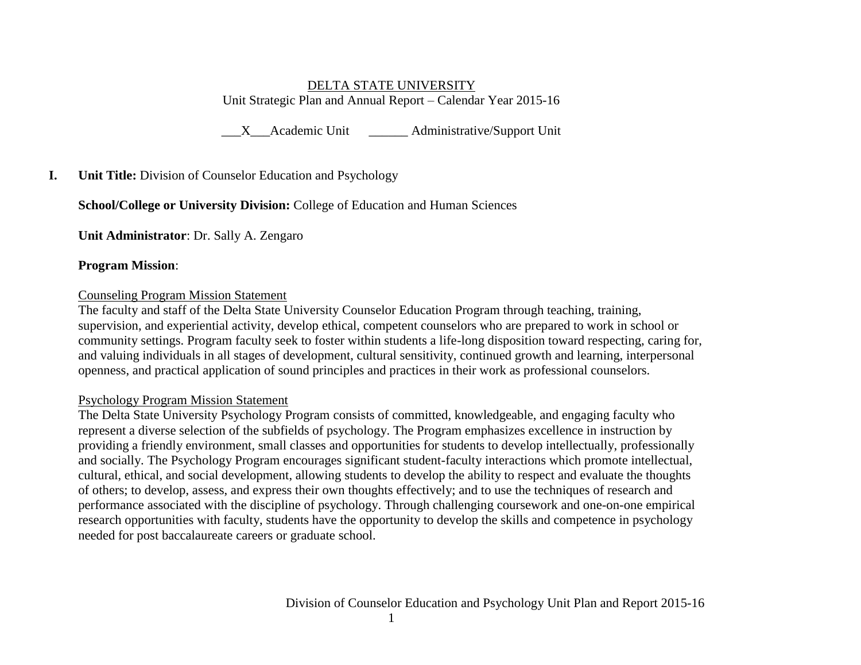## DELTA STATE UNIVERSITY Unit Strategic Plan and Annual Report – Calendar Year 2015-16

\_\_\_X\_\_\_Academic Unit \_\_\_\_\_\_ Administrative/Support Unit

## **I. Unit Title:** Division of Counselor Education and Psychology

## **School/College or University Division:** College of Education and Human Sciences

**Unit Administrator**: Dr. Sally A. Zengaro

#### **Program Mission**:

#### Counseling Program Mission Statement

The faculty and staff of the Delta State University Counselor Education Program through teaching, training, supervision, and experiential activity, develop ethical, competent counselors who are prepared to work in school or community settings. Program faculty seek to foster within students a life-long disposition toward respecting, caring for, and valuing individuals in all stages of development, cultural sensitivity, continued growth and learning, interpersonal openness, and practical application of sound principles and practices in their work as professional counselors.

## Psychology Program Mission Statement

The Delta State University Psychology Program consists of committed, knowledgeable, and engaging faculty who represent a diverse selection of the subfields of psychology. The Program emphasizes excellence in instruction by providing a friendly environment, small classes and opportunities for students to develop intellectually, professionally and socially. The Psychology Program encourages significant student-faculty interactions which promote intellectual, cultural, ethical, and social development, allowing students to develop the ability to respect and evaluate the thoughts of others; to develop, assess, and express their own thoughts effectively; and to use the techniques of research and performance associated with the discipline of psychology. Through challenging coursework and one-on-one empirical research opportunities with faculty, students have the opportunity to develop the skills and competence in psychology needed for post baccalaureate careers or graduate school.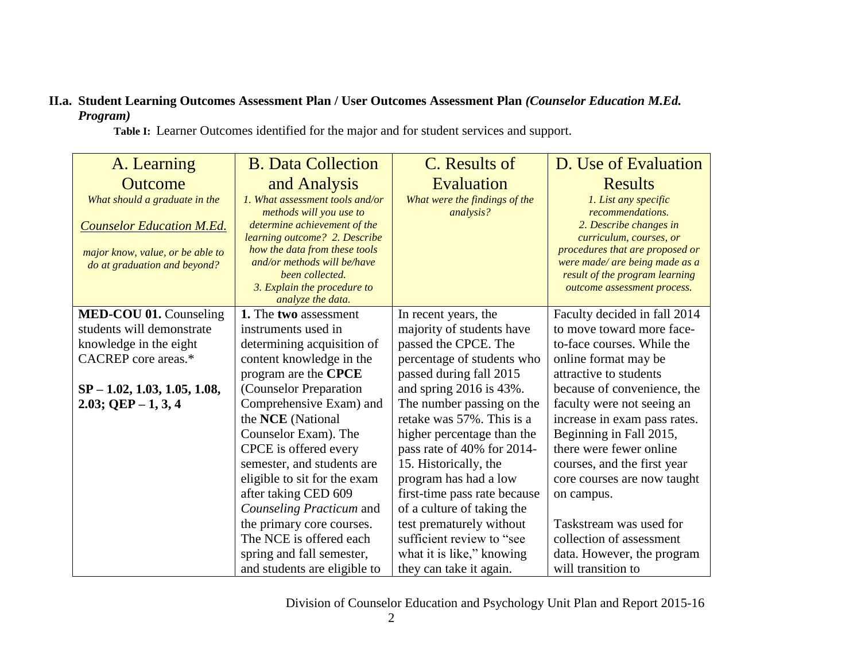# **II.a. Student Learning Outcomes Assessment Plan / User Outcomes Assessment Plan** *(Counselor Education M.Ed. Program)*

A. Learning **Outcome** *What should a graduate in the Counselor Education M.Ed. major know, value, or be able to do at graduation and beyond?* B. Data Collection and Analysis *1. What assessment tools and/or methods will you use to determine achievement of the learning outcome? 2. Describe how the data from these tools and/or methods will be/have been collected. 3. Explain the procedure to analyze the data.* C. Results of Evaluation *What were the findings of the analysis?* D. Use of Evaluation Results *1. List any specific recommendations. 2. Describe changes in curriculum, courses, or procedures that are proposed or were made/ are being made as a result of the program learning outcome assessment process.* **MED-COU 01.** Counseling students will demonstrate knowledge in the eight CACREP core areas.\* **SP – 1.02, 1.03, 1.05, 1.08, 2.03; QEP – 1, 3, 4 1.** The **two** assessment instruments used in determining acquisition of content knowledge in the program are the **CPCE** (Counselor Preparation Comprehensive Exam) and the **NCE** (National Counselor Exam). The CPCE is offered every semester, and students are eligible to sit for the exam after taking CED 609 *Counseling Practicum* and the primary core courses. The NCE is offered each spring and fall semester, and students are eligible to In recent years, the majority of students have passed the CPCE. The percentage of students who passed during fall 2015 and spring 2016 is 43%. The number passing on the retake was 57%. This is a higher percentage than the pass rate of 40% for 2014- 15. Historically, the program has had a low first-time pass rate because of a culture of taking the test prematurely without sufficient review to "see what it is like," knowing they can take it again. Faculty decided in fall 2014 to move toward more faceto-face courses. While the online format may be attractive to students because of convenience, the faculty were not seeing an increase in exam pass rates. Beginning in Fall 2015, there were fewer online courses, and the first year core courses are now taught on campus. Taskstream was used for collection of assessment data. However, the program will transition to

 **Table I:**Learner Outcomes identified for the major and for student services and support.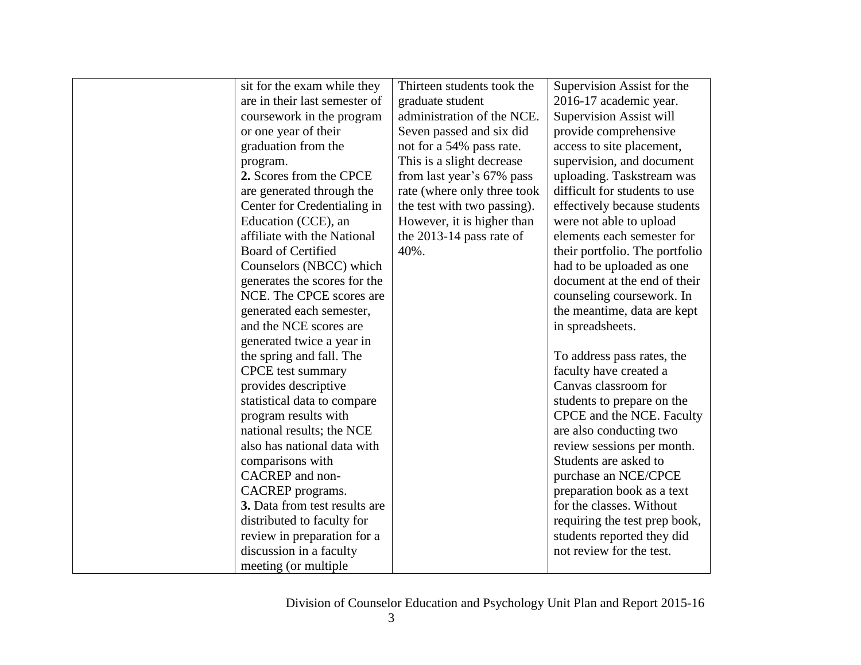| sit for the exam while they   | Thirteen students took the  | Supervision Assist for the     |
|-------------------------------|-----------------------------|--------------------------------|
| are in their last semester of | graduate student            | 2016-17 academic year.         |
| coursework in the program     | administration of the NCE.  | <b>Supervision Assist will</b> |
| or one year of their          | Seven passed and six did    | provide comprehensive          |
| graduation from the           | not for a 54% pass rate.    | access to site placement,      |
| program.                      | This is a slight decrease   | supervision, and document      |
| 2. Scores from the CPCE       | from last year's 67% pass   | uploading. Taskstream was      |
| are generated through the     | rate (where only three took | difficult for students to use  |
| Center for Credentialing in   | the test with two passing). | effectively because students   |
| Education (CCE), an           | However, it is higher than  | were not able to upload        |
| affiliate with the National   | the 2013-14 pass rate of    | elements each semester for     |
| <b>Board of Certified</b>     | 40%.                        | their portfolio. The portfolio |
| Counselors (NBCC) which       |                             | had to be uploaded as one      |
| generates the scores for the  |                             | document at the end of their   |
| NCE. The CPCE scores are      |                             | counseling coursework. In      |
| generated each semester,      |                             | the meantime, data are kept    |
| and the NCE scores are        |                             | in spreadsheets.               |
| generated twice a year in     |                             |                                |
| the spring and fall. The      |                             | To address pass rates, the     |
| <b>CPCE</b> test summary      |                             | faculty have created a         |
| provides descriptive          |                             | Canvas classroom for           |
| statistical data to compare   |                             | students to prepare on the     |
| program results with          |                             | CPCE and the NCE. Faculty      |
| national results; the NCE     |                             | are also conducting two        |
| also has national data with   |                             | review sessions per month.     |
| comparisons with              |                             | Students are asked to          |
| CACREP and non-               |                             | purchase an NCE/CPCE           |
| CACREP programs.              |                             | preparation book as a text     |
| 3. Data from test results are |                             | for the classes. Without       |
| distributed to faculty for    |                             | requiring the test prep book,  |
| review in preparation for a   |                             | students reported they did     |
| discussion in a faculty       |                             | not review for the test.       |
| meeting (or multiple)         |                             |                                |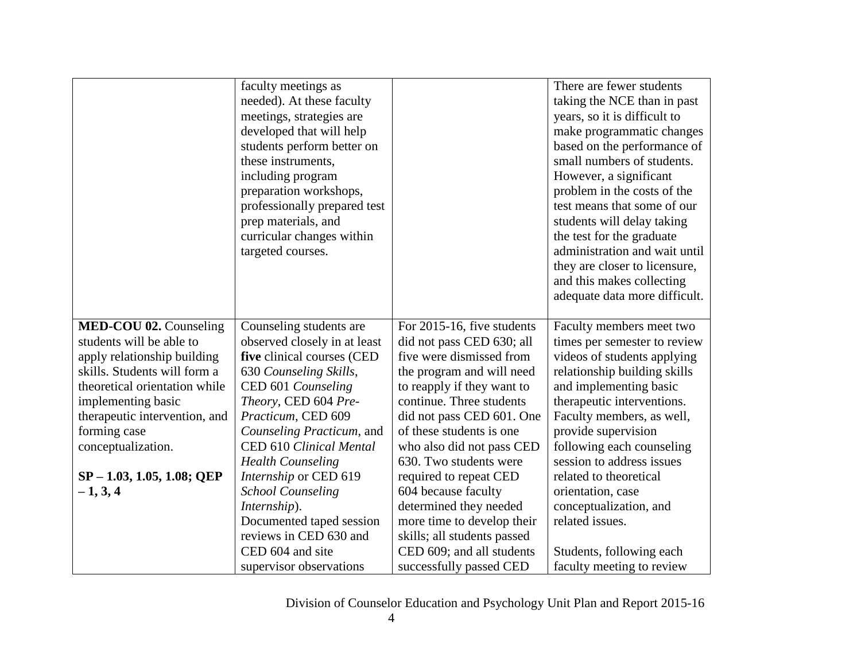|                               | faculty meetings as<br>needed). At these faculty<br>meetings, strategies are<br>developed that will help<br>students perform better on<br>these instruments,<br>including program<br>preparation workshops,<br>professionally prepared test<br>prep materials, and<br>curricular changes within<br>targeted courses. |                             | There are fewer students<br>taking the NCE than in past<br>years, so it is difficult to<br>make programmatic changes<br>based on the performance of<br>small numbers of students.<br>However, a significant<br>problem in the costs of the<br>test means that some of our<br>students will delay taking<br>the test for the graduate<br>administration and wait until |
|-------------------------------|----------------------------------------------------------------------------------------------------------------------------------------------------------------------------------------------------------------------------------------------------------------------------------------------------------------------|-----------------------------|-----------------------------------------------------------------------------------------------------------------------------------------------------------------------------------------------------------------------------------------------------------------------------------------------------------------------------------------------------------------------|
|                               |                                                                                                                                                                                                                                                                                                                      |                             | they are closer to licensure,<br>and this makes collecting<br>adequate data more difficult.                                                                                                                                                                                                                                                                           |
|                               |                                                                                                                                                                                                                                                                                                                      |                             |                                                                                                                                                                                                                                                                                                                                                                       |
| MED-COU 02. Counseling        | Counseling students are                                                                                                                                                                                                                                                                                              | For 2015-16, five students  | Faculty members meet two                                                                                                                                                                                                                                                                                                                                              |
| students will be able to      | observed closely in at least                                                                                                                                                                                                                                                                                         | did not pass CED 630; all   | times per semester to review                                                                                                                                                                                                                                                                                                                                          |
| apply relationship building   | five clinical courses (CED                                                                                                                                                                                                                                                                                           | five were dismissed from    | videos of students applying                                                                                                                                                                                                                                                                                                                                           |
| skills. Students will form a  | 630 Counseling Skills,                                                                                                                                                                                                                                                                                               | the program and will need   | relationship building skills                                                                                                                                                                                                                                                                                                                                          |
| theoretical orientation while | CED 601 Counseling                                                                                                                                                                                                                                                                                                   | to reapply if they want to  | and implementing basic                                                                                                                                                                                                                                                                                                                                                |
| implementing basic            | Theory, CED 604 Pre-                                                                                                                                                                                                                                                                                                 | continue. Three students    | therapeutic interventions.                                                                                                                                                                                                                                                                                                                                            |
| therapeutic intervention, and | Practicum, CED 609                                                                                                                                                                                                                                                                                                   | did not pass CED 601. One   | Faculty members, as well,                                                                                                                                                                                                                                                                                                                                             |
| forming case                  | Counseling Practicum, and                                                                                                                                                                                                                                                                                            | of these students is one    | provide supervision                                                                                                                                                                                                                                                                                                                                                   |
| conceptualization.            | CED 610 Clinical Mental                                                                                                                                                                                                                                                                                              | who also did not pass CED   | following each counseling                                                                                                                                                                                                                                                                                                                                             |
|                               | <b>Health Counseling</b>                                                                                                                                                                                                                                                                                             | 630. Two students were      | session to address issues                                                                                                                                                                                                                                                                                                                                             |
| $SP - 1.03, 1.05, 1.08; QEP$  | Internship or CED 619                                                                                                                                                                                                                                                                                                | required to repeat CED      | related to theoretical                                                                                                                                                                                                                                                                                                                                                |
| $-1, 3, 4$                    | <b>School Counseling</b>                                                                                                                                                                                                                                                                                             | 604 because faculty         | orientation, case                                                                                                                                                                                                                                                                                                                                                     |
|                               | Internship).                                                                                                                                                                                                                                                                                                         | determined they needed      | conceptualization, and                                                                                                                                                                                                                                                                                                                                                |
|                               | Documented taped session                                                                                                                                                                                                                                                                                             | more time to develop their  | related issues.                                                                                                                                                                                                                                                                                                                                                       |
|                               | reviews in CED 630 and                                                                                                                                                                                                                                                                                               | skills; all students passed |                                                                                                                                                                                                                                                                                                                                                                       |
|                               | CED 604 and site                                                                                                                                                                                                                                                                                                     | CED 609; and all students   | Students, following each                                                                                                                                                                                                                                                                                                                                              |
|                               | supervisor observations                                                                                                                                                                                                                                                                                              | successfully passed CED     | faculty meeting to review                                                                                                                                                                                                                                                                                                                                             |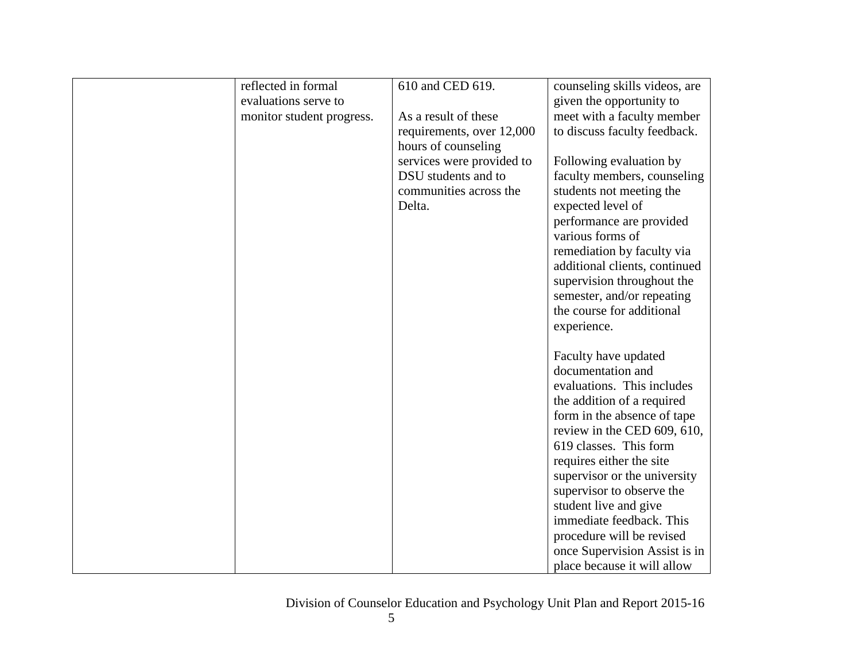| reflected in formal       | 610 and CED 619.          | counseling skills videos, are |
|---------------------------|---------------------------|-------------------------------|
| evaluations serve to      |                           | given the opportunity to      |
| monitor student progress. | As a result of these      | meet with a faculty member    |
|                           | requirements, over 12,000 | to discuss faculty feedback.  |
|                           | hours of counseling       |                               |
|                           | services were provided to | Following evaluation by       |
|                           | DSU students and to       | faculty members, counseling   |
|                           | communities across the    | students not meeting the      |
|                           | Delta.                    | expected level of             |
|                           |                           | performance are provided      |
|                           |                           | various forms of              |
|                           |                           | remediation by faculty via    |
|                           |                           | additional clients, continued |
|                           |                           | supervision throughout the    |
|                           |                           | semester, and/or repeating    |
|                           |                           | the course for additional     |
|                           |                           | experience.                   |
|                           |                           |                               |
|                           |                           | Faculty have updated          |
|                           |                           | documentation and             |
|                           |                           | evaluations. This includes    |
|                           |                           | the addition of a required    |
|                           |                           | form in the absence of tape   |
|                           |                           | review in the CED 609, 610,   |
|                           |                           | 619 classes. This form        |
|                           |                           | requires either the site      |
|                           |                           | supervisor or the university  |
|                           |                           | supervisor to observe the     |
|                           |                           | student live and give         |
|                           |                           | immediate feedback. This      |
|                           |                           | procedure will be revised     |
|                           |                           | once Supervision Assist is in |
|                           |                           | place because it will allow   |
|                           |                           |                               |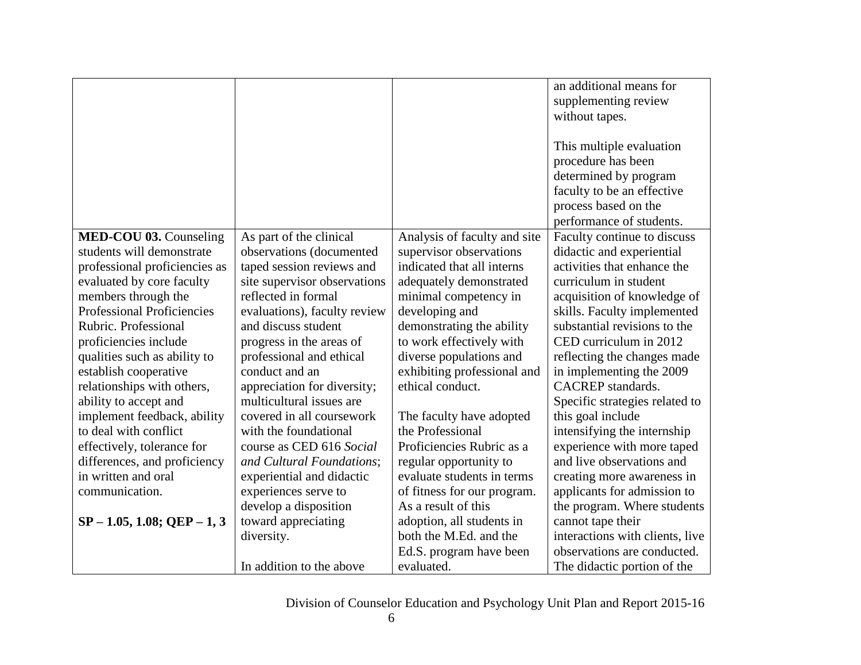|                                   |                              |                              | an additional means for         |
|-----------------------------------|------------------------------|------------------------------|---------------------------------|
|                                   |                              |                              | supplementing review            |
|                                   |                              |                              | without tapes.                  |
|                                   |                              |                              |                                 |
|                                   |                              |                              | This multiple evaluation        |
|                                   |                              |                              | procedure has been              |
|                                   |                              |                              | determined by program           |
|                                   |                              |                              | faculty to be an effective      |
|                                   |                              |                              | process based on the            |
|                                   |                              |                              | performance of students.        |
| MED-COU 03. Counseling            | As part of the clinical      | Analysis of faculty and site | Faculty continue to discuss     |
| students will demonstrate         | observations (documented     | supervisor observations      | didactic and experiential       |
| professional proficiencies as     | taped session reviews and    | indicated that all interns   | activities that enhance the     |
| evaluated by core faculty         | site supervisor observations | adequately demonstrated      | curriculum in student           |
| members through the               | reflected in formal          | minimal competency in        | acquisition of knowledge of     |
| <b>Professional Proficiencies</b> | evaluations), faculty review | developing and               | skills. Faculty implemented     |
| Rubric. Professional              | and discuss student          | demonstrating the ability    | substantial revisions to the    |
| proficiencies include             | progress in the areas of     | to work effectively with     | CED curriculum in 2012          |
| qualities such as ability to      | professional and ethical     | diverse populations and      | reflecting the changes made     |
| establish cooperative             | conduct and an               | exhibiting professional and  | in implementing the 2009        |
| relationships with others,        | appreciation for diversity;  | ethical conduct.             | CACREP standards.               |
| ability to accept and             | multicultural issues are     |                              | Specific strategies related to  |
| implement feedback, ability       | covered in all coursework    | The faculty have adopted     | this goal include               |
| to deal with conflict             | with the foundational        | the Professional             | intensifying the internship     |
| effectively, tolerance for        | course as CED 616 Social     | Proficiencies Rubric as a    | experience with more taped      |
| differences, and proficiency      | and Cultural Foundations;    | regular opportunity to       | and live observations and       |
| in written and oral               | experiential and didactic    | evaluate students in terms   | creating more awareness in      |
| communication.                    | experiences serve to         | of fitness for our program.  | applicants for admission to     |
|                                   | develop a disposition        | As a result of this          | the program. Where students     |
| $SP - 1.05$ , 1.08; QEP - 1, 3    | toward appreciating          | adoption, all students in    | cannot tape their               |
|                                   | diversity.                   | both the M.Ed. and the       | interactions with clients, live |
|                                   |                              | Ed.S. program have been      | observations are conducted.     |
|                                   | In addition to the above     | evaluated.                   | The didactic portion of the     |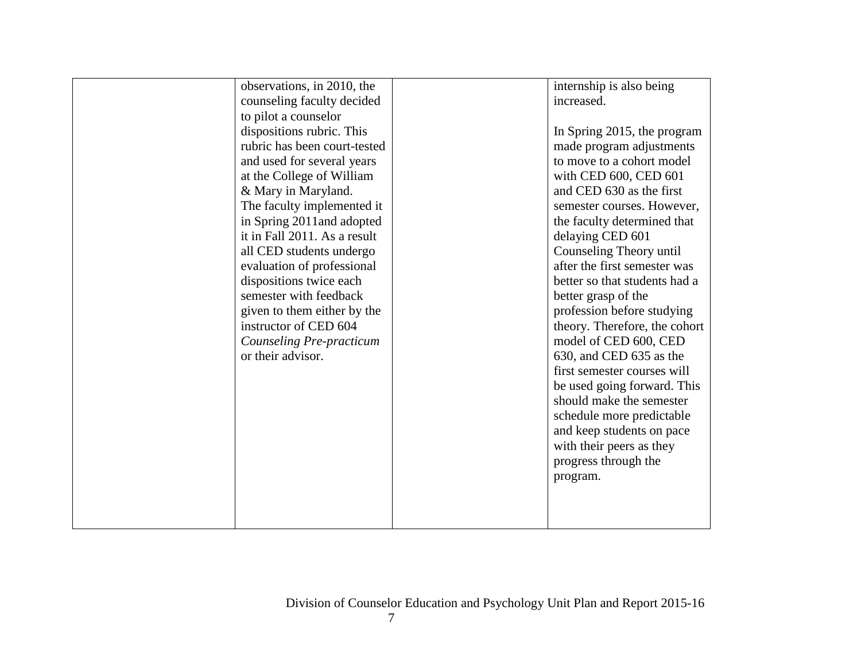| observations, in 2010, the<br>counseling faculty decided | internship is also being<br>increased. |
|----------------------------------------------------------|----------------------------------------|
|                                                          |                                        |
| to pilot a counselor                                     |                                        |
| dispositions rubric. This                                | In Spring 2015, the program            |
| rubric has been court-tested                             | made program adjustments               |
| and used for several years                               | to move to a cohort model              |
| at the College of William                                | with CED 600, CED 601                  |
| & Mary in Maryland.                                      | and CED 630 as the first               |
| The faculty implemented it                               | semester courses. However,             |
| in Spring 2011and adopted                                | the faculty determined that            |
| it in Fall 2011. As a result                             | delaying CED 601                       |
| all CED students undergo                                 | Counseling Theory until                |
| evaluation of professional                               | after the first semester was           |
| dispositions twice each                                  | better so that students had a          |
| semester with feedback                                   | better grasp of the                    |
| given to them either by the                              | profession before studying             |
| instructor of CED 604                                    | theory. Therefore, the cohort          |
| Counseling Pre-practicum                                 | model of CED 600, CED                  |
| or their advisor.                                        | 630, and CED 635 as the                |
|                                                          | first semester courses will            |
|                                                          | be used going forward. This            |
|                                                          | should make the semester               |
|                                                          | schedule more predictable              |
|                                                          | and keep students on pace              |
|                                                          | with their peers as they               |
|                                                          | progress through the                   |
|                                                          | program.                               |
|                                                          |                                        |
|                                                          |                                        |
|                                                          |                                        |
|                                                          |                                        |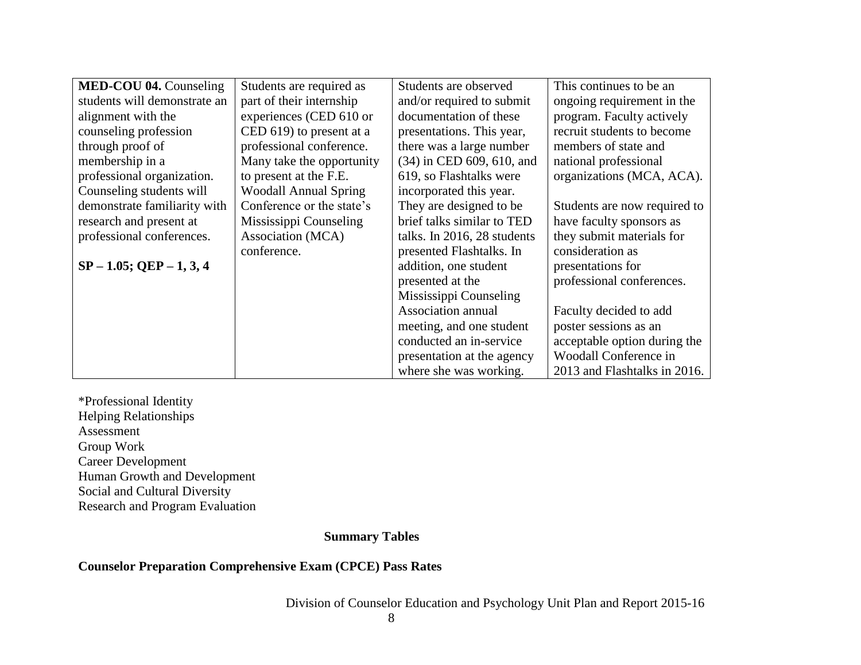| <b>MED-COU 04. Counseling</b> | Students are required as     | Students are observed       | This continues to be an      |
|-------------------------------|------------------------------|-----------------------------|------------------------------|
| students will demonstrate an  | part of their internship     | and/or required to submit   | ongoing requirement in the   |
| alignment with the            | experiences (CED 610 or      | documentation of these      | program. Faculty actively    |
| counseling profession         | CED 619) to present at a     | presentations. This year,   | recruit students to become   |
| through proof of              | professional conference.     | there was a large number    | members of state and         |
| membership in a               | Many take the opportunity    | (34) in CED 609, 610, and   | national professional        |
| professional organization.    | to present at the F.E.       | 619, so Flashtalks were     | organizations (MCA, ACA).    |
| Counseling students will      | <b>Woodall Annual Spring</b> | incorporated this year.     |                              |
| demonstrate familiarity with  | Conference or the state's    | They are designed to be     | Students are now required to |
| research and present at       | Mississippi Counseling       | brief talks similar to TED  | have faculty sponsors as     |
| professional conferences.     | Association (MCA)            | talks. In 2016, 28 students | they submit materials for    |
|                               | conference.                  | presented Flashtalks. In    | consideration as             |
| $SP - 1.05$ ; QEP $- 1, 3, 4$ |                              | addition, one student       | presentations for            |
|                               |                              | presented at the            | professional conferences.    |
|                               |                              | Mississippi Counseling      |                              |
|                               |                              | Association annual          | Faculty decided to add       |
|                               |                              | meeting, and one student    | poster sessions as an        |
|                               |                              | conducted an in-service     | acceptable option during the |
|                               |                              | presentation at the agency  | Woodall Conference in        |
|                               |                              | where she was working.      | 2013 and Flashtalks in 2016. |

\*Professional Identity Helping Relationships Assessment Group Work Career Development Human Growth and Development Social and Cultural Diversity Research and Program Evaluation

**Summary Tables**

## **Counselor Preparation Comprehensive Exam (CPCE) Pass Rates**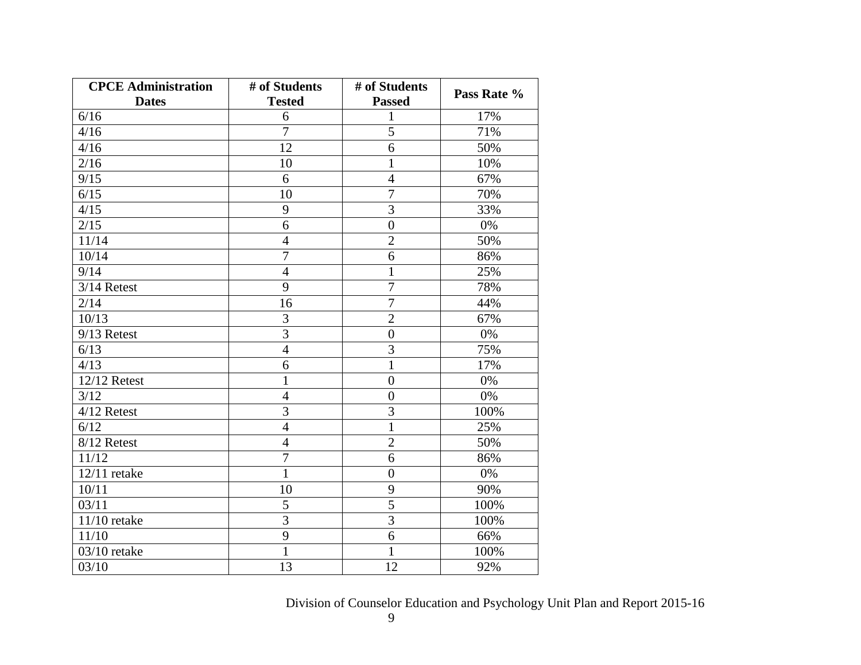| <b>CPCE Administration</b> | # of Students  | # of Students    | Pass Rate % |  |
|----------------------------|----------------|------------------|-------------|--|
| <b>Dates</b>               | <b>Tested</b>  | <b>Passed</b>    |             |  |
| 6/16                       | 6              | 1                | 17%         |  |
| 4/16                       | $\overline{7}$ | $\overline{5}$   | 71%         |  |
| 4/16                       | 12             | 6                | 50%         |  |
| 2/16                       | 10             | $\mathbf{1}$     | 10%         |  |
| 9/15                       | 6              | $\overline{4}$   | 67%         |  |
| 6/15                       | 10             | $\overline{7}$   | 70%         |  |
| 4/15                       | 9              | 3                | 33%         |  |
| 2/15                       | 6              | $\boldsymbol{0}$ | 0%          |  |
| 11/14                      | $\overline{4}$ | $\overline{2}$   | 50%         |  |
| 10/14                      | $\overline{7}$ | 6                | 86%         |  |
| 9/14                       | $\overline{4}$ | $\mathbf{1}$     | 25%         |  |
| 3/14 Retest                | 9              | $\overline{7}$   | 78%         |  |
| 2/14                       | 16             | $\overline{7}$   | 44%         |  |
| 10/13                      | $\overline{3}$ | $\overline{2}$   | 67%         |  |
| 9/13 Retest                | 3              | $\boldsymbol{0}$ | 0%          |  |
| 6/13                       | $\overline{4}$ | $\overline{3}$   | 75%         |  |
| 4/13                       | 6              | $\mathbf{1}$     | 17%         |  |
| 12/12 Retest               | $\mathbf{1}$   | $\overline{0}$   | 0%          |  |
| 3/12                       | $\overline{4}$ | $\overline{0}$   | 0%          |  |
| 4/12 Retest                | $\overline{3}$ | $\overline{3}$   | 100%        |  |
| 6/12                       | $\overline{4}$ | $\mathbf{1}$     | 25%         |  |
| 8/12 Retest                | $\overline{4}$ | $\overline{2}$   | 50%         |  |
| 11/12                      | 7              | 6                | 86%         |  |
| $12/11$ retake             | $\mathbf{1}$   | $\overline{0}$   | 0%          |  |
| 10/11                      | 10             | 9                | 90%         |  |
| 03/11                      | 5              | 5                | 100%        |  |
| $11/10$ retake             | $\overline{3}$ | $\overline{3}$   | 100%        |  |
| 11/10                      | 9              | 6                | 66%         |  |
| $03/10$ retake             | $\mathbf{1}$   | $\mathbf{1}$     | 100%        |  |
| 03/10                      | 13             | 12               | 92%         |  |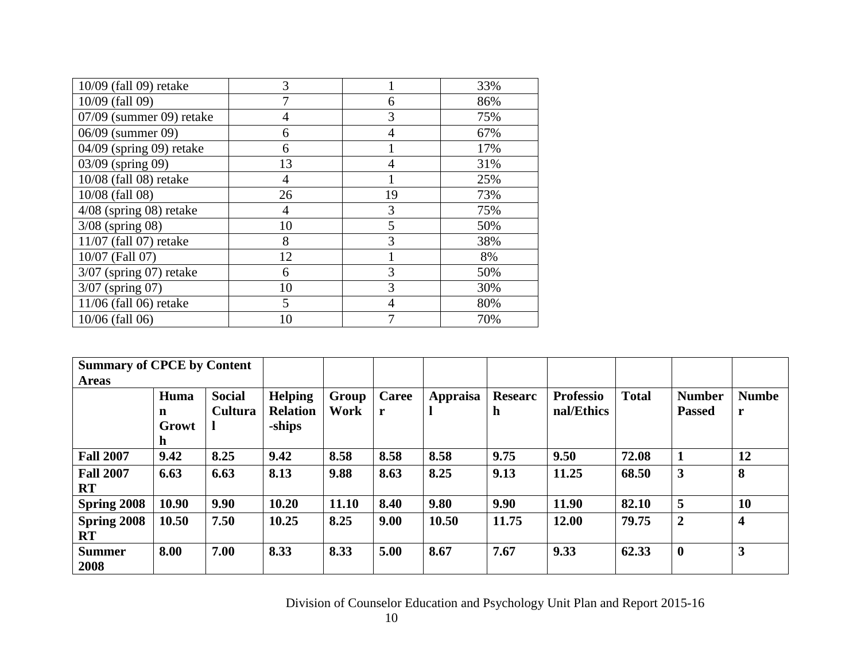| 10/09 (fall 09) retake    | 3              |    | 33% |
|---------------------------|----------------|----|-----|
| 10/09 (fall 09)           |                | 6  | 86% |
| 07/09 (summer 09) retake  | $\overline{4}$ | 3  | 75% |
| 06/09 (summer 09)         | 6              | 4  | 67% |
| 04/09 (spring 09) retake  | 6              |    | 17% |
| 03/09 (spring 09)         | 13             | 4  | 31% |
| 10/08 (fall 08) retake    | 4              |    | 25% |
| 10/08 (fall 08)           | 26             | 19 | 73% |
| $4/08$ (spring 08) retake | $\overline{4}$ | 3  | 75% |
| $3/08$ (spring 08)        | 10             | 5  | 50% |
| 11/07 (fall 07) retake    | 8              | 3  | 38% |
| 10/07 (Fall 07)           | 12             |    | 8%  |
| $3/07$ (spring 07) retake | 6              | 3  | 50% |
| 3/07 (spring 07)          | 10             | 3  | 30% |
| 11/06 (fall 06) retake    | 5              | 4  | 80% |
| 10/06 (fall 06)           | 10             | 7  | 70% |

| <b>Summary of CPCE by Content</b> |       |                |                 |       |       |          |                |                  |              |                         |                         |
|-----------------------------------|-------|----------------|-----------------|-------|-------|----------|----------------|------------------|--------------|-------------------------|-------------------------|
| <b>Areas</b>                      |       |                |                 |       |       |          |                |                  |              |                         |                         |
|                                   | Huma  | <b>Social</b>  | <b>Helping</b>  | Group | Caree | Appraisa | <b>Researc</b> | <b>Professio</b> | <b>Total</b> | <b>Number</b>           | <b>Numbe</b>            |
|                                   | n     | <b>Cultura</b> | <b>Relation</b> | Work  | r     |          | $\mathbf h$    | nal/Ethics       |              | <b>Passed</b>           | r                       |
|                                   | Growt |                | -ships          |       |       |          |                |                  |              |                         |                         |
|                                   | n     |                |                 |       |       |          |                |                  |              |                         |                         |
| <b>Fall 2007</b>                  | 9.42  | 8.25           | 9.42            | 8.58  | 8.58  | 8.58     | 9.75           | 9.50             | 72.08        |                         | 12                      |
| <b>Fall 2007</b>                  | 6.63  | 6.63           | 8.13            | 9.88  | 8.63  | 8.25     | 9.13           | 11.25            | 68.50        | $\overline{\mathbf{3}}$ | 8                       |
| <b>RT</b>                         |       |                |                 |       |       |          |                |                  |              |                         |                         |
| Spring 2008                       | 10.90 | 9.90           | 10.20           | 11.10 | 8.40  | 9.80     | 9.90           | 11.90            | 82.10        | 5                       | 10                      |
| Spring 2008                       | 10.50 | 7.50           | 10.25           | 8.25  | 9.00  | 10.50    | 11.75          | 12.00            | 79.75        | $\overline{2}$          | $\overline{\mathbf{4}}$ |
| RT                                |       |                |                 |       |       |          |                |                  |              |                         |                         |
| <b>Summer</b>                     | 8.00  | 7.00           | 8.33            | 8.33  | 5.00  | 8.67     | 7.67           | 9.33             | 62.33        | $\boldsymbol{0}$        | $\mathbf{3}$            |
| 2008                              |       |                |                 |       |       |          |                |                  |              |                         |                         |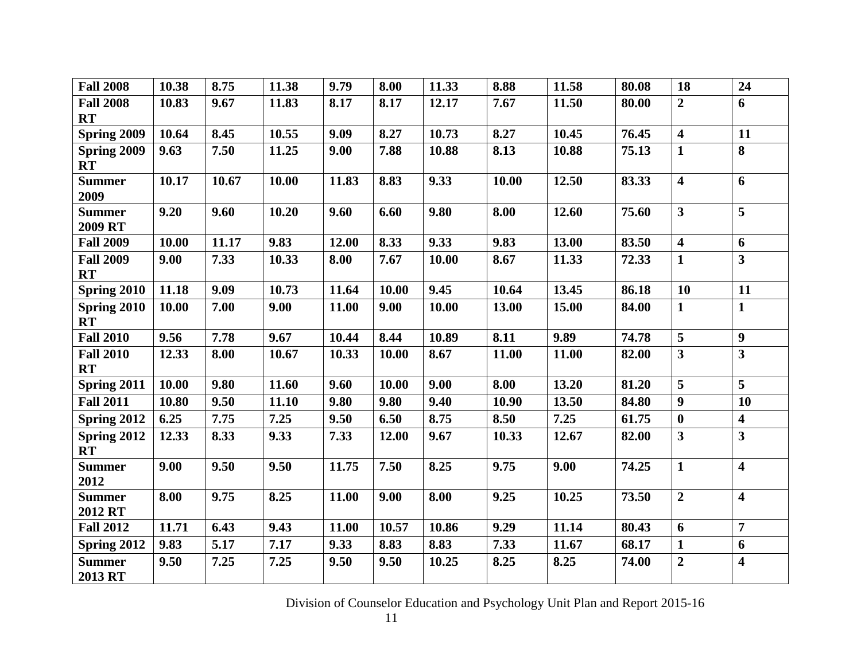| <b>Fall 2008</b>                | 10.38 | 8.75  | 11.38 | 9.79  | 8.00  | 11.33 | 8.88  | 11.58 | 80.08 | 18                      | 24                      |
|---------------------------------|-------|-------|-------|-------|-------|-------|-------|-------|-------|-------------------------|-------------------------|
| <b>Fall 2008</b><br><b>RT</b>   | 10.83 | 9.67  | 11.83 | 8.17  | 8.17  | 12.17 | 7.67  | 11.50 | 80.00 | $\overline{2}$          | 6                       |
| Spring 2009                     | 10.64 | 8.45  | 10.55 | 9.09  | 8.27  | 10.73 | 8.27  | 10.45 | 76.45 | $\overline{\mathbf{4}}$ | 11                      |
| Spring 2009<br><b>RT</b>        | 9.63  | 7.50  | 11.25 | 9.00  | 7.88  | 10.88 | 8.13  | 10.88 | 75.13 | $\mathbf{1}$            | 8                       |
| <b>Summer</b><br>2009           | 10.17 | 10.67 | 10.00 | 11.83 | 8.83  | 9.33  | 10.00 | 12.50 | 83.33 | $\overline{\mathbf{4}}$ | 6                       |
| <b>Summer</b><br>2009 RT        | 9.20  | 9.60  | 10.20 | 9.60  | 6.60  | 9.80  | 8.00  | 12.60 | 75.60 | $\overline{\mathbf{3}}$ |                         |
| <b>Fall 2009</b>                | 10.00 | 11.17 | 9.83  | 12.00 | 8.33  | 9.33  | 9.83  | 13.00 | 83.50 | $\overline{\mathbf{4}}$ | $\boldsymbol{6}$        |
| <b>Fall 2009</b><br><b>RT</b>   | 9.00  | 7.33  | 10.33 | 8.00  | 7.67  | 10.00 | 8.67  | 11.33 | 72.33 | $\mathbf{1}$            | $\overline{\mathbf{3}}$ |
| Spring 2010                     | 11.18 | 9.09  | 10.73 | 11.64 | 10.00 | 9.45  | 10.64 | 13.45 | 86.18 | 10                      | 11                      |
| Spring 2010<br><b>RT</b>        | 10.00 | 7.00  | 9.00  | 11.00 | 9.00  | 10.00 | 13.00 | 15.00 | 84.00 | $\mathbf{1}$            | $\mathbf{1}$            |
| <b>Fall 2010</b>                | 9.56  | 7.78  | 9.67  | 10.44 | 8.44  | 10.89 | 8.11  | 9.89  | 74.78 | 5                       | 9                       |
| <b>Fall 2010</b><br><b>RT</b>   | 12.33 | 8.00  | 10.67 | 10.33 | 10.00 | 8.67  | 11.00 | 11.00 | 82.00 | $\overline{\mathbf{3}}$ | $\overline{\mathbf{3}}$ |
| Spring 2011                     | 10.00 | 9.80  | 11.60 | 9.60  | 10.00 | 9.00  | 8.00  | 13.20 | 81.20 | 5                       | $\overline{5}$          |
| <b>Fall 2011</b>                | 10.80 | 9.50  | 11.10 | 9.80  | 9.80  | 9.40  | 10.90 | 13.50 | 84.80 | $\boldsymbol{9}$        | <b>10</b>               |
| Spring 2012                     | 6.25  | 7.75  | 7.25  | 9.50  | 6.50  | 8.75  | 8.50  | 7.25  | 61.75 | $\boldsymbol{0}$        | $\overline{\mathbf{4}}$ |
| <b>Spring 2012</b><br><b>RT</b> | 12.33 | 8.33  | 9.33  | 7.33  | 12.00 | 9.67  | 10.33 | 12.67 | 82.00 | 3                       | $\overline{\mathbf{3}}$ |
| <b>Summer</b><br>2012           | 9.00  | 9.50  | 9.50  | 11.75 | 7.50  | 8.25  | 9.75  | 9.00  | 74.25 | $\mathbf{1}$            | $\overline{\mathbf{4}}$ |
| <b>Summer</b><br>2012 RT        | 8.00  | 9.75  | 8.25  | 11.00 | 9.00  | 8.00  | 9.25  | 10.25 | 73.50 | $\overline{2}$          | $\overline{\mathbf{4}}$ |
| <b>Fall 2012</b>                | 11.71 | 6.43  | 9.43  | 11.00 | 10.57 | 10.86 | 9.29  | 11.14 | 80.43 | 6                       | $\overline{7}$          |
| Spring 2012                     | 9.83  | 5.17  | 7.17  | 9.33  | 8.83  | 8.83  | 7.33  | 11.67 | 68.17 | $\mathbf{1}$            | 6                       |
| <b>Summer</b><br>2013 RT        | 9.50  | 7.25  | 7.25  | 9.50  | 9.50  | 10.25 | 8.25  | 8.25  | 74.00 | $\overline{2}$          | $\overline{\mathbf{4}}$ |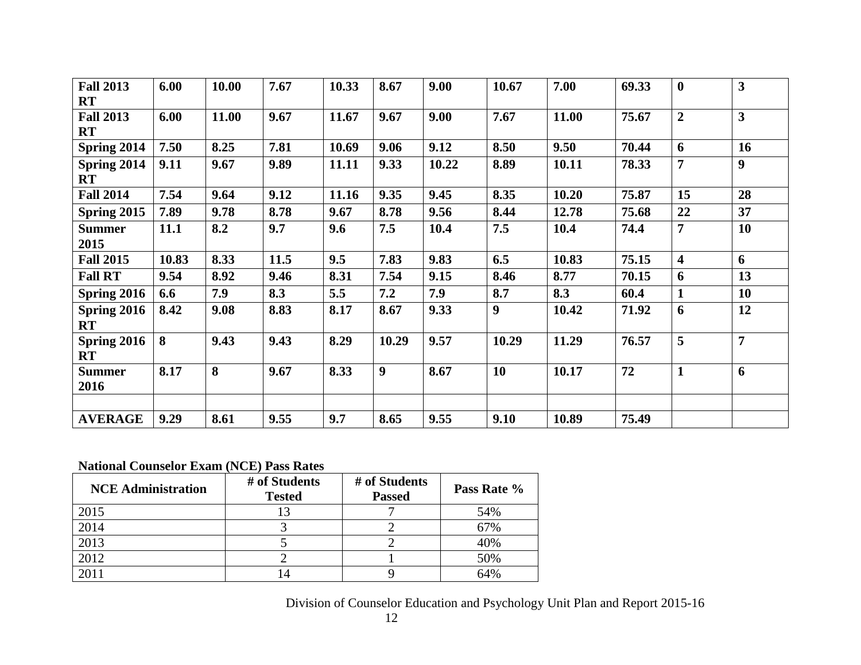| <b>Fall 2013</b>         | 6.00  | 10.00 | 7.67 | 10.33 | 8.67  | 9.00  | 10.67 | 7.00  | 69.33 | $\bf{0}$                | $\mathbf{3}$     |
|--------------------------|-------|-------|------|-------|-------|-------|-------|-------|-------|-------------------------|------------------|
| <b>RT</b>                |       |       |      |       |       |       |       |       |       |                         |                  |
| <b>Fall 2013</b>         | 6.00  | 11.00 | 9.67 | 11.67 | 9.67  | 9.00  | 7.67  | 11.00 | 75.67 | $\overline{2}$          | $\overline{3}$   |
| <b>RT</b>                |       |       |      |       |       |       |       |       |       |                         |                  |
| Spring 2014              | 7.50  | 8.25  | 7.81 | 10.69 | 9.06  | 9.12  | 8.50  | 9.50  | 70.44 | 6                       | 16               |
| Spring 2014<br><b>RT</b> | 9.11  | 9.67  | 9.89 | 11.11 | 9.33  | 10.22 | 8.89  | 10.11 | 78.33 | $\overline{7}$          | $\boldsymbol{9}$ |
| <b>Fall 2014</b>         | 7.54  | 9.64  | 9.12 | 11.16 | 9.35  | 9.45  | 8.35  | 10.20 | 75.87 | 15                      | 28               |
| Spring 2015              | 7.89  | 9.78  | 8.78 | 9.67  | 8.78  | 9.56  | 8.44  | 12.78 | 75.68 | 22                      | 37               |
| <b>Summer</b>            | 11.1  | 8.2   | 9.7  | 9.6   | 7.5   | 10.4  | 7.5   | 10.4  | 74.4  | 7                       | 10               |
| 2015                     |       |       |      |       |       |       |       |       |       |                         |                  |
| <b>Fall 2015</b>         | 10.83 | 8.33  | 11.5 | 9.5   | 7.83  | 9.83  | 6.5   | 10.83 | 75.15 | $\overline{\mathbf{4}}$ | 6                |
| <b>Fall RT</b>           | 9.54  | 8.92  | 9.46 | 8.31  | 7.54  | 9.15  | 8.46  | 8.77  | 70.15 | 6                       | 13               |
| Spring 2016              | 6.6   | 7.9   | 8.3  | 5.5   | 7.2   | 7.9   | 8.7   | 8.3   | 60.4  | $\mathbf{1}$            | 10               |
| Spring 2016<br><b>RT</b> | 8.42  | 9.08  | 8.83 | 8.17  | 8.67  | 9.33  | 9     | 10.42 | 71.92 | 6                       | 12               |
| Spring 2016<br><b>RT</b> | 8     | 9.43  | 9.43 | 8.29  | 10.29 | 9.57  | 10.29 | 11.29 | 76.57 | 5                       | $\overline{7}$   |
| <b>Summer</b><br>2016    | 8.17  | 8     | 9.67 | 8.33  | 9     | 8.67  | 10    | 10.17 | 72    | $\mathbf{1}$            | 6                |
|                          |       |       |      |       |       |       |       |       |       |                         |                  |
| <b>AVERAGE</b>           | 9.29  | 8.61  | 9.55 | 9.7   | 8.65  | 9.55  | 9.10  | 10.89 | 75.49 |                         |                  |

# **National Counselor Exam (NCE) Pass Rates**

| <b>NCE Administration</b> | # of Students<br><b>Tested</b> | # of Students<br><b>Passed</b> | Pass Rate % |
|---------------------------|--------------------------------|--------------------------------|-------------|
| 2015                      |                                |                                | 54%         |
| 2014                      |                                |                                | 67%         |
| 2013                      |                                |                                | 40%         |
| 2012                      |                                |                                | 50%         |
| 2011                      |                                |                                | 64%         |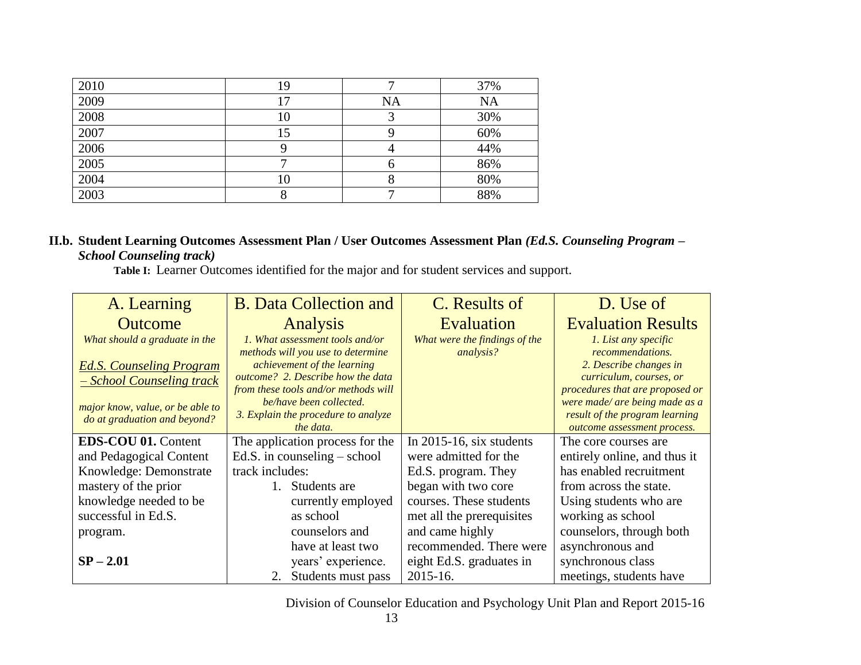| 2010 | 19 |           | 37%       |
|------|----|-----------|-----------|
| 2009 |    | <b>NA</b> | <b>NA</b> |
| 2008 | 10 |           | 30%       |
| 2007 | 15 |           | 60%       |
| 2006 |    |           | 44%       |
| 2005 |    |           | 86%       |
| 2004 | 10 |           | 80%       |
| 2003 |    |           | 88%       |

## **II.b. Student Learning Outcomes Assessment Plan / User Outcomes Assessment Plan** *(Ed.S. Counseling Program – School Counseling track)*

 **Table I:**Learner Outcomes identified for the major and for student services and support.

| A. Learning                                                      | <b>B.</b> Data Collection and                                        | C. Results of                              | D. Use of                                                        |  |
|------------------------------------------------------------------|----------------------------------------------------------------------|--------------------------------------------|------------------------------------------------------------------|--|
| <b>Outcome</b>                                                   | Analysis                                                             | Evaluation                                 | <b>Evaluation Results</b>                                        |  |
| What should a graduate in the                                    | 1. What assessment tools and/or<br>methods will you use to determine | What were the findings of the<br>analysis? | 1. List any specific<br>recommendations.                         |  |
| <b>Ed.S. Counseling Program</b><br>- School Counseling track     | achievement of the learning<br>outcome? 2. Describe how the data     |                                            | 2. Describe changes in<br>curriculum, courses, or                |  |
|                                                                  | from these tools and/or methods will<br>be/have been collected.      |                                            | procedures that are proposed or                                  |  |
| major know, value, or be able to<br>do at graduation and beyond? | 3. Explain the procedure to analyze                                  |                                            | were made/ are being made as a<br>result of the program learning |  |
|                                                                  | the data.                                                            |                                            | outcome assessment process.                                      |  |
| <b>EDS-COU 01. Content</b>                                       | The application process for the                                      | In $2015-16$ , six students                | The core courses are                                             |  |
| and Pedagogical Content                                          | Ed.S. in counseling $-$ school                                       | were admitted for the                      | entirely online, and thus it                                     |  |
| Knowledge: Demonstrate                                           | track includes:                                                      | Ed.S. program. They                        | has enabled recruitment                                          |  |
| mastery of the prior                                             | Students are<br>1.                                                   | began with two core                        | from across the state.                                           |  |
| knowledge needed to be                                           | currently employed                                                   | courses. These students                    | Using students who are                                           |  |
| successful in Ed.S.                                              | as school                                                            | met all the prerequisites                  | working as school                                                |  |
| program.                                                         | counselors and                                                       | and came highly                            | counselors, through both                                         |  |
|                                                                  | have at least two                                                    | recommended. There were                    | asynchronous and                                                 |  |
| $SP - 2.01$                                                      | years' experience.                                                   | eight Ed.S. graduates in                   | synchronous class                                                |  |
|                                                                  | Students must pass<br>2.                                             | 2015-16.                                   | meetings, students have                                          |  |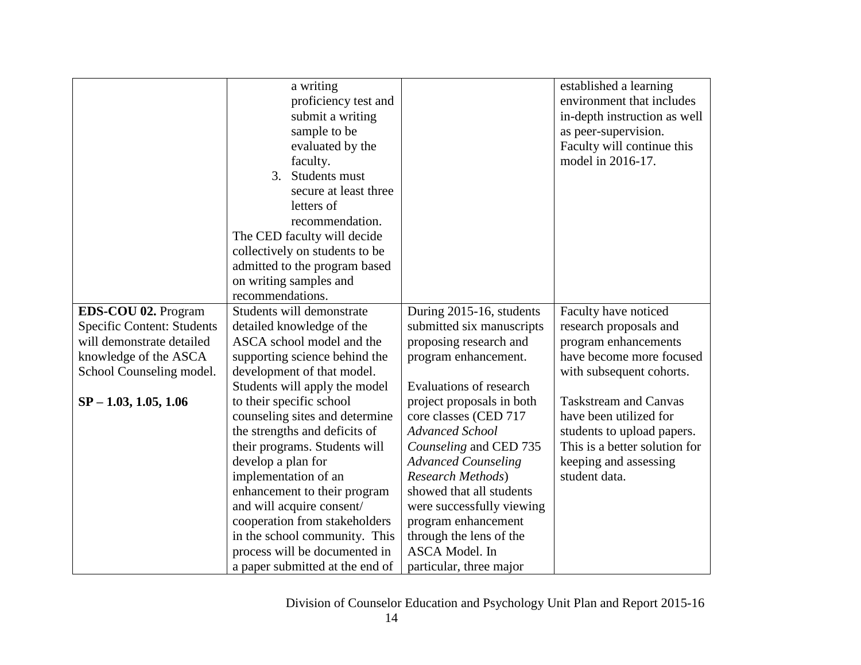|                                   | a writing                       |                                | established a learning                          |
|-----------------------------------|---------------------------------|--------------------------------|-------------------------------------------------|
|                                   | proficiency test and            |                                | environment that includes                       |
|                                   | submit a writing                |                                | in-depth instruction as well                    |
|                                   | sample to be                    |                                |                                                 |
|                                   |                                 |                                | as peer-supervision.                            |
|                                   | evaluated by the                |                                | Faculty will continue this<br>model in 2016-17. |
|                                   | faculty.                        |                                |                                                 |
|                                   | Students must<br>3.             |                                |                                                 |
|                                   | secure at least three           |                                |                                                 |
|                                   | letters of                      |                                |                                                 |
|                                   | recommendation.                 |                                |                                                 |
|                                   | The CED faculty will decide     |                                |                                                 |
|                                   | collectively on students to be  |                                |                                                 |
|                                   | admitted to the program based   |                                |                                                 |
|                                   | on writing samples and          |                                |                                                 |
|                                   | recommendations.                |                                |                                                 |
| EDS-COU 02. Program               | Students will demonstrate       | During 2015-16, students       | Faculty have noticed                            |
| <b>Specific Content: Students</b> | detailed knowledge of the       | submitted six manuscripts      | research proposals and                          |
| will demonstrate detailed         | ASCA school model and the       | proposing research and         | program enhancements                            |
| knowledge of the ASCA             | supporting science behind the   | program enhancement.           | have become more focused                        |
| School Counseling model.          | development of that model.      |                                | with subsequent cohorts.                        |
|                                   | Students will apply the model   | <b>Evaluations of research</b> |                                                 |
| $SP - 1.03, 1.05, 1.06$           | to their specific school        | project proposals in both      | <b>Taskstream and Canvas</b>                    |
|                                   | counseling sites and determine  | core classes (CED 717          | have been utilized for                          |
|                                   | the strengths and deficits of   | <b>Advanced School</b>         | students to upload papers.                      |
|                                   | their programs. Students will   | Counseling and CED 735         | This is a better solution for                   |
|                                   | develop a plan for              | <b>Advanced Counseling</b>     | keeping and assessing                           |
|                                   | implementation of an            | <b>Research Methods</b> )      | student data.                                   |
|                                   | enhancement to their program    | showed that all students       |                                                 |
|                                   | and will acquire consent/       | were successfully viewing      |                                                 |
|                                   | cooperation from stakeholders   | program enhancement            |                                                 |
|                                   | in the school community. This   | through the lens of the        |                                                 |
|                                   | process will be documented in   | ASCA Model. In                 |                                                 |
|                                   | a paper submitted at the end of | particular, three major        |                                                 |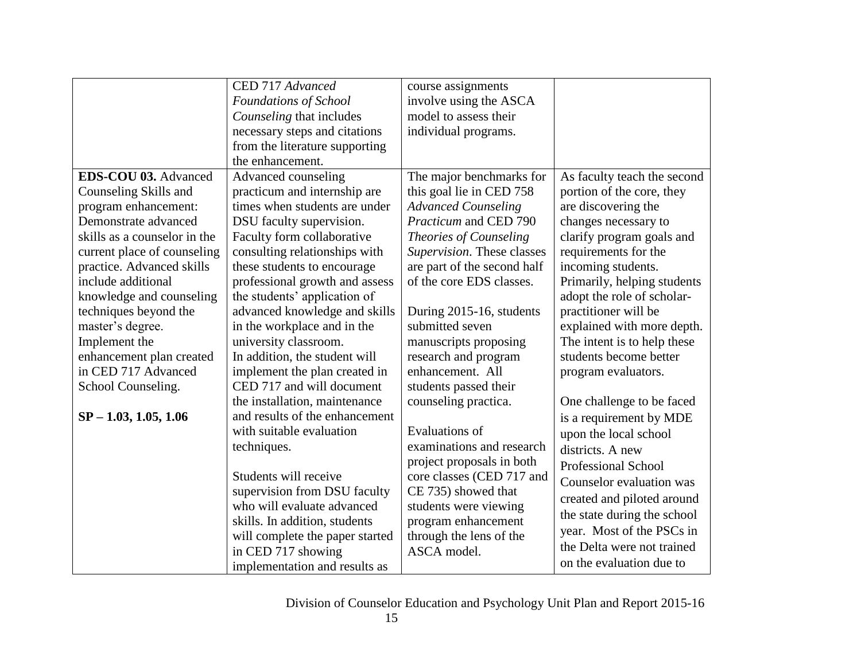|                              | CED 717 Advanced                | course assignments           |                             |
|------------------------------|---------------------------------|------------------------------|-----------------------------|
|                              | Foundations of School           | involve using the ASCA       |                             |
|                              | Counseling that includes        | model to assess their        |                             |
|                              | necessary steps and citations   | individual programs.         |                             |
|                              | from the literature supporting  |                              |                             |
|                              | the enhancement.                |                              |                             |
| EDS-COU 03. Advanced         | Advanced counseling             | The major benchmarks for     | As faculty teach the second |
| Counseling Skills and        | practicum and internship are    | this goal lie in CED 758     | portion of the core, they   |
| program enhancement:         | times when students are under   | <b>Advanced Counseling</b>   | are discovering the         |
| Demonstrate advanced         | DSU faculty supervision.        | <i>Practicum</i> and CED 790 | changes necessary to        |
| skills as a counselor in the | Faculty form collaborative      | Theories of Counseling       | clarify program goals and   |
| current place of counseling  | consulting relationships with   | Supervision. These classes   | requirements for the        |
| practice. Advanced skills    | these students to encourage     | are part of the second half  | incoming students.          |
| include additional           | professional growth and assess  | of the core EDS classes.     | Primarily, helping students |
| knowledge and counseling     | the students' application of    |                              | adopt the role of scholar-  |
| techniques beyond the        | advanced knowledge and skills   | During 2015-16, students     | practitioner will be        |
| master's degree.             | in the workplace and in the     | submitted seven              | explained with more depth.  |
| Implement the                | university classroom.           | manuscripts proposing        | The intent is to help these |
| enhancement plan created     | In addition, the student will   | research and program         | students become better      |
| in CED 717 Advanced          | implement the plan created in   | enhancement. All             | program evaluators.         |
| School Counseling.           | CED 717 and will document       | students passed their        |                             |
|                              | the installation, maintenance   | counseling practica.         | One challenge to be faced   |
| $SP - 1.03, 1.05, 1.06$      | and results of the enhancement  |                              | is a requirement by MDE     |
|                              | with suitable evaluation        | Evaluations of               | upon the local school       |
|                              | techniques.                     | examinations and research    | districts. A new            |
|                              |                                 | project proposals in both    | <b>Professional School</b>  |
|                              | Students will receive           | core classes (CED 717 and    | Counselor evaluation was    |
|                              | supervision from DSU faculty    | CE 735) showed that          | created and piloted around  |
|                              | who will evaluate advanced      | students were viewing        | the state during the school |
|                              | skills. In addition, students   | program enhancement          | year. Most of the PSCs in   |
|                              | will complete the paper started | through the lens of the      | the Delta were not trained  |
|                              | in CED 717 showing              | ASCA model.                  |                             |
|                              | implementation and results as   |                              | on the evaluation due to    |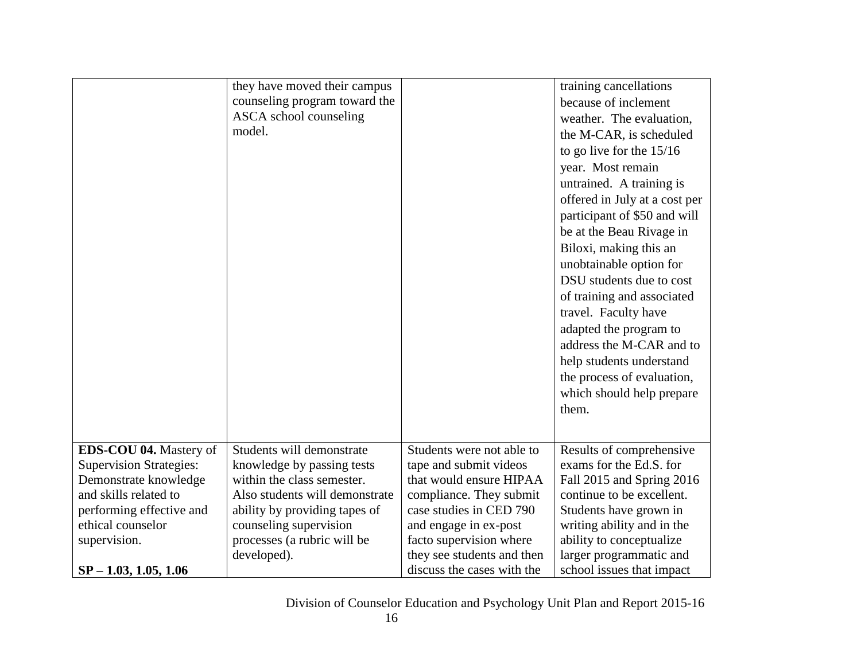|                                                                                                                                                                                                        | they have moved their campus<br>counseling program toward the<br>ASCA school counseling<br>model.                                                                                                                                |                                                                                                                                                                                                                                                      | training cancellations<br>because of inclement<br>weather. The evaluation,<br>the M-CAR, is scheduled<br>to go live for the $15/16$<br>year. Most remain<br>untrained. A training is<br>offered in July at a cost per<br>participant of \$50 and will<br>be at the Beau Rivage in<br>Biloxi, making this an<br>unobtainable option for<br>DSU students due to cost<br>of training and associated<br>travel. Faculty have<br>adapted the program to<br>address the M-CAR and to<br>help students understand<br>the process of evaluation,<br>which should help prepare<br>them. |
|--------------------------------------------------------------------------------------------------------------------------------------------------------------------------------------------------------|----------------------------------------------------------------------------------------------------------------------------------------------------------------------------------------------------------------------------------|------------------------------------------------------------------------------------------------------------------------------------------------------------------------------------------------------------------------------------------------------|--------------------------------------------------------------------------------------------------------------------------------------------------------------------------------------------------------------------------------------------------------------------------------------------------------------------------------------------------------------------------------------------------------------------------------------------------------------------------------------------------------------------------------------------------------------------------------|
| EDS-COU 04. Mastery of<br><b>Supervision Strategies:</b><br>Demonstrate knowledge<br>and skills related to<br>performing effective and<br>ethical counselor<br>supervision.<br>$SP - 1.03, 1.05, 1.06$ | Students will demonstrate<br>knowledge by passing tests<br>within the class semester.<br>Also students will demonstrate<br>ability by providing tapes of<br>counseling supervision<br>processes (a rubric will be<br>developed). | Students were not able to<br>tape and submit videos<br>that would ensure HIPAA<br>compliance. They submit<br>case studies in CED 790<br>and engage in ex-post<br>facto supervision where<br>they see students and then<br>discuss the cases with the | Results of comprehensive<br>exams for the Ed.S. for<br>Fall 2015 and Spring 2016<br>continue to be excellent.<br>Students have grown in<br>writing ability and in the<br>ability to conceptualize<br>larger programmatic and<br>school issues that impact                                                                                                                                                                                                                                                                                                                      |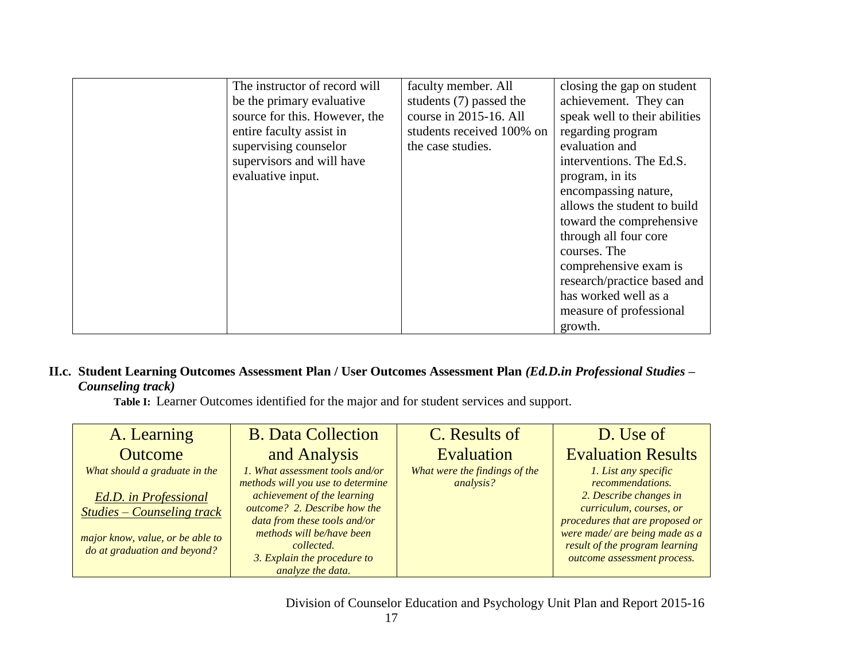| The instructor of record will | faculty member. All       | closing the gap on student    |
|-------------------------------|---------------------------|-------------------------------|
| be the primary evaluative     | students (7) passed the   | achievement. They can         |
| source for this. However, the | course in 2015-16. All    | speak well to their abilities |
| entire faculty assist in      | students received 100% on | regarding program             |
| supervising counselor         | the case studies.         | evaluation and                |
| supervisors and will have     |                           | interventions. The Ed.S.      |
| evaluative input.             |                           | program, in its               |
|                               |                           | encompassing nature,          |
|                               |                           | allows the student to build   |
|                               |                           | toward the comprehensive      |
|                               |                           | through all four core         |
|                               |                           | courses. The                  |
|                               |                           | comprehensive exam is         |
|                               |                           | research/practice based and   |
|                               |                           | has worked well as a          |
|                               |                           | measure of professional       |
|                               |                           | growth.                       |

## **II.c. Student Learning Outcomes Assessment Plan / User Outcomes Assessment Plan** *(Ed.D.in Professional Studies – Counseling track)*

 **Table I:**Learner Outcomes identified for the major and for student services and support.

| A. Learning                       | <b>B.</b> Data Collection                                            | C. Results of                              | D. Use of                                                     |
|-----------------------------------|----------------------------------------------------------------------|--------------------------------------------|---------------------------------------------------------------|
| <b>Outcome</b>                    | and Analysis                                                         | Evaluation                                 | <b>Evaluation Results</b>                                     |
| What should a graduate in the     | 1. What assessment tools and/or<br>methods will you use to determine | What were the findings of the<br>analysis? | 1. List any specific<br>recommendations.                      |
| <b>Ed.D.</b> in Professional      | achievement of the learning                                          |                                            | 2. Describe changes in                                        |
| <b>Studies - Counseling track</b> | outcome? 2. Describe how the<br>data from these tools and/or         |                                            | curriculum, courses, or<br>procedures that are proposed or    |
| major know, value, or be able to  | methods will be/have been<br><i>collected.</i>                       |                                            | were made/ are being made as a                                |
| do at graduation and beyond?      | 3. Explain the procedure to                                          |                                            | result of the program learning<br>outcome assessment process. |
|                                   | analyze the data.                                                    |                                            |                                                               |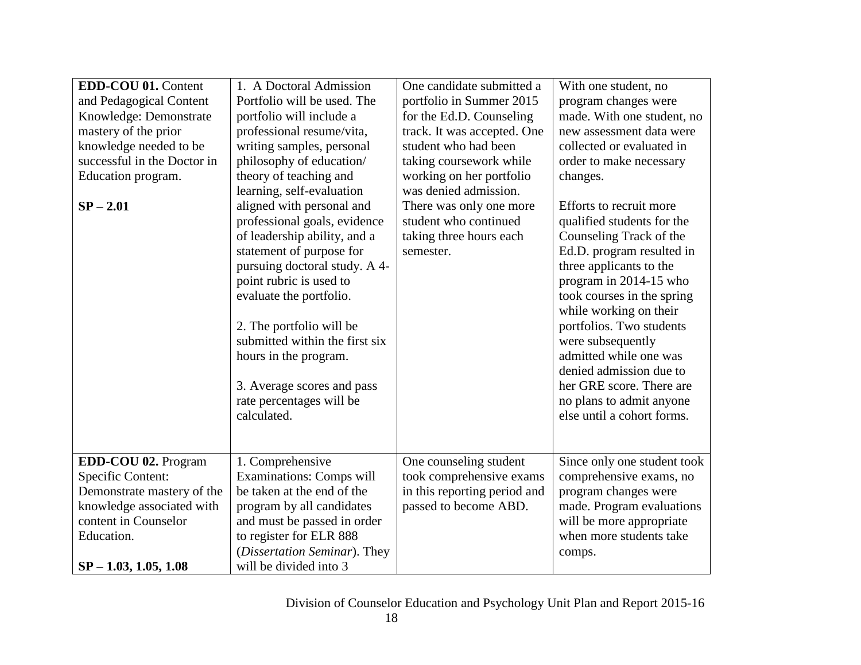| 2. The portfolio will be<br>submitted within the first six<br>hours in the program.<br>3. Average scores and pass<br>rate percentages will be<br>calculated.                                             |                                                                                   | while working on their<br>portfolios. Two students<br>were subsequently<br>admitted while one was<br>denied admission due to<br>her GRE score. There are<br>no plans to admit anyone<br>else until a cohort forms. |
|----------------------------------------------------------------------------------------------------------------------------------------------------------------------------------------------------------|-----------------------------------------------------------------------------------|--------------------------------------------------------------------------------------------------------------------------------------------------------------------------------------------------------------------|
|                                                                                                                                                                                                          |                                                                                   |                                                                                                                                                                                                                    |
| 1. Comprehensive<br><b>Examinations: Comps will</b><br>be taken at the end of the<br>program by all candidates<br>and must be passed in order<br>to register for ELR 888<br>(Dissertation Seminar). They | took comprehensive exams<br>in this reporting period and<br>passed to become ABD. | Since only one student took<br>comprehensive exams, no<br>program changes were<br>made. Program evaluations<br>will be more appropriate<br>when more students take<br>comps.                                       |
|                                                                                                                                                                                                          |                                                                                   | One counseling student<br>will be divided into 3                                                                                                                                                                   |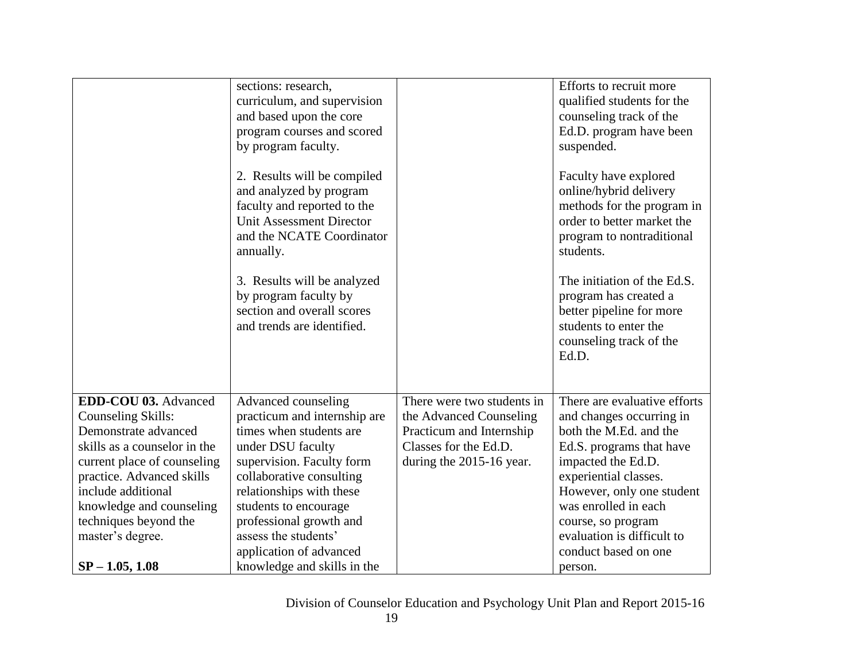|                                                                                                                                                                                                                                                                                           | sections: research,<br>curriculum, and supervision<br>and based upon the core<br>program courses and scored<br>by program faculty.<br>2. Results will be compiled<br>and analyzed by program<br>faculty and reported to the<br><b>Unit Assessment Director</b><br>and the NCATE Coordinator<br>annually.<br>3. Results will be analyzed<br>by program faculty by<br>section and overall scores<br>and trends are identified. |                                                                                                                                        | Efforts to recruit more<br>qualified students for the<br>counseling track of the<br>Ed.D. program have been<br>suspended.<br>Faculty have explored<br>online/hybrid delivery<br>methods for the program in<br>order to better market the<br>program to nontraditional<br>students.<br>The initiation of the Ed.S.<br>program has created a<br>better pipeline for more<br>students to enter the<br>counseling track of the<br>Ed.D. |
|-------------------------------------------------------------------------------------------------------------------------------------------------------------------------------------------------------------------------------------------------------------------------------------------|------------------------------------------------------------------------------------------------------------------------------------------------------------------------------------------------------------------------------------------------------------------------------------------------------------------------------------------------------------------------------------------------------------------------------|----------------------------------------------------------------------------------------------------------------------------------------|-------------------------------------------------------------------------------------------------------------------------------------------------------------------------------------------------------------------------------------------------------------------------------------------------------------------------------------------------------------------------------------------------------------------------------------|
| EDD-COU 03. Advanced<br><b>Counseling Skills:</b><br>Demonstrate advanced<br>skills as a counselor in the<br>current place of counseling<br>practice. Advanced skills<br>include additional<br>knowledge and counseling<br>techniques beyond the<br>master's degree.<br>$SP - 1.05, 1.08$ | Advanced counseling<br>practicum and internship are<br>times when students are<br>under DSU faculty<br>supervision. Faculty form<br>collaborative consulting<br>relationships with these<br>students to encourage<br>professional growth and<br>assess the students'<br>application of advanced<br>knowledge and skills in the                                                                                               | There were two students in<br>the Advanced Counseling<br>Practicum and Internship<br>Classes for the Ed.D.<br>during the 2015-16 year. | There are evaluative efforts<br>and changes occurring in<br>both the M.Ed. and the<br>Ed.S. programs that have<br>impacted the Ed.D.<br>experiential classes.<br>However, only one student<br>was enrolled in each<br>course, so program<br>evaluation is difficult to<br>conduct based on one<br>person.                                                                                                                           |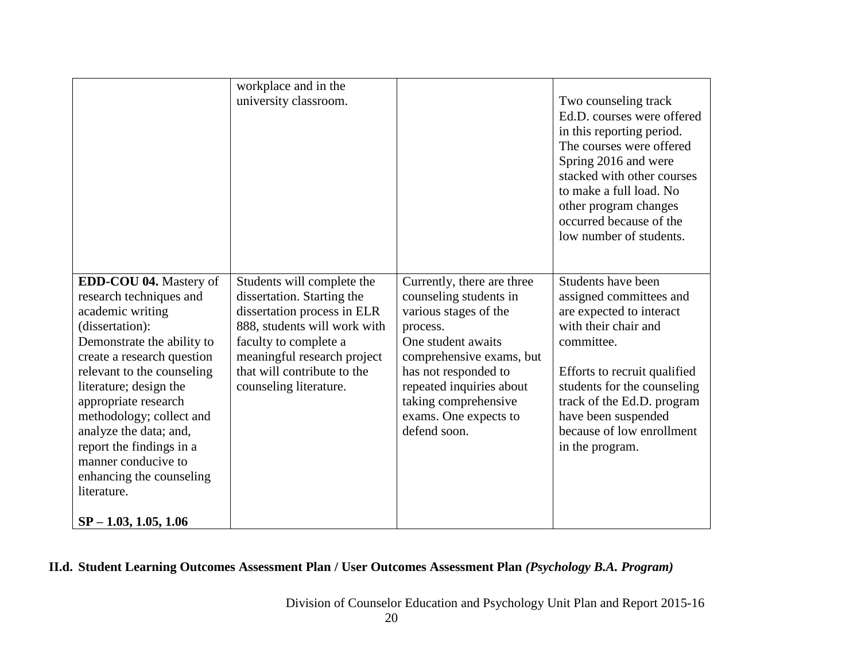|                                                                                                                                                                                                                                                                                                                                                                                                                     | workplace and in the<br>university classroom.                                                                                                                                                                                            |                                                                                                                                                                                                                                                                  | Two counseling track<br>Ed.D. courses were offered<br>in this reporting period.<br>The courses were offered<br>Spring 2016 and were<br>stacked with other courses<br>to make a full load. No<br>other program changes<br>occurred because of the<br>low number of students.         |
|---------------------------------------------------------------------------------------------------------------------------------------------------------------------------------------------------------------------------------------------------------------------------------------------------------------------------------------------------------------------------------------------------------------------|------------------------------------------------------------------------------------------------------------------------------------------------------------------------------------------------------------------------------------------|------------------------------------------------------------------------------------------------------------------------------------------------------------------------------------------------------------------------------------------------------------------|-------------------------------------------------------------------------------------------------------------------------------------------------------------------------------------------------------------------------------------------------------------------------------------|
| EDD-COU 04. Mastery of<br>research techniques and<br>academic writing<br>(dissertation):<br>Demonstrate the ability to<br>create a research question<br>relevant to the counseling<br>literature; design the<br>appropriate research<br>methodology; collect and<br>analyze the data; and,<br>report the findings in a<br>manner conducive to<br>enhancing the counseling<br>literature.<br>$SP - 1.03, 1.05, 1.06$ | Students will complete the<br>dissertation. Starting the<br>dissertation process in ELR<br>888, students will work with<br>faculty to complete a<br>meaningful research project<br>that will contribute to the<br>counseling literature. | Currently, there are three<br>counseling students in<br>various stages of the<br>process.<br>One student awaits<br>comprehensive exams, but<br>has not responded to<br>repeated inquiries about<br>taking comprehensive<br>exams. One expects to<br>defend soon. | Students have been<br>assigned committees and<br>are expected to interact<br>with their chair and<br>committee.<br>Efforts to recruit qualified<br>students for the counseling<br>track of the Ed.D. program<br>have been suspended<br>because of low enrollment<br>in the program. |

# **II.d. Student Learning Outcomes Assessment Plan / User Outcomes Assessment Plan** *(Psychology B.A. Program)*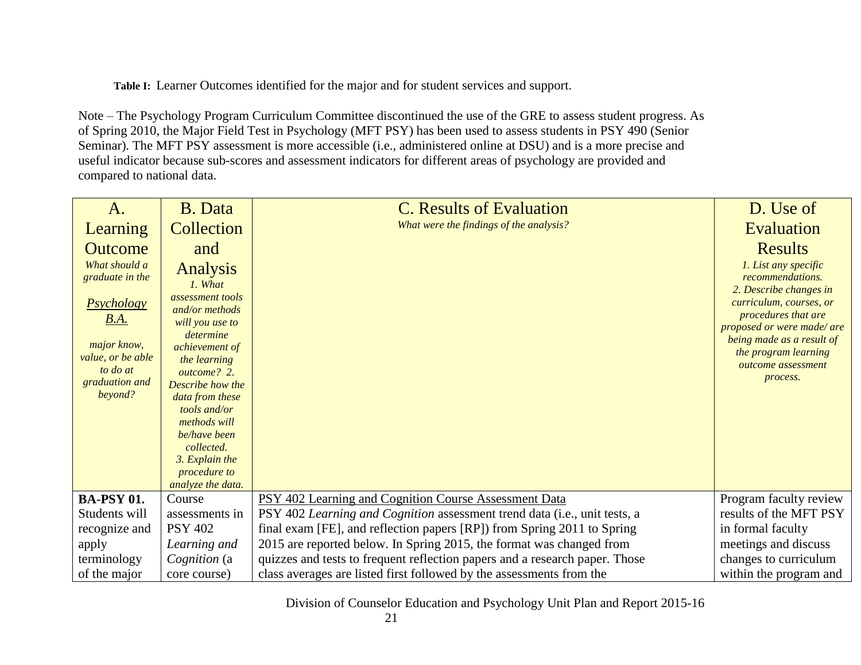**Table I:**Learner Outcomes identified for the major and for student services and support.

Note – The Psychology Program Curriculum Committee discontinued the use of the GRE to assess student progress. As of Spring 2010, the Major Field Test in Psychology (MFT PSY) has been used to assess students in PSY 490 (Senior Seminar). The MFT PSY assessment is more accessible (i.e., administered online at DSU) and is a more precise and useful indicator because sub-scores and assessment indicators for different areas of psychology are provided and compared to national data.

| A.                                                                                                                                                           | <b>B.</b> Data                                                                                                                                                                                                                                                                                                                     | <b>C.</b> Results of Evaluation                                             | D. Use of                                                                                                                                                                                                                                                   |
|--------------------------------------------------------------------------------------------------------------------------------------------------------------|------------------------------------------------------------------------------------------------------------------------------------------------------------------------------------------------------------------------------------------------------------------------------------------------------------------------------------|-----------------------------------------------------------------------------|-------------------------------------------------------------------------------------------------------------------------------------------------------------------------------------------------------------------------------------------------------------|
| Learning                                                                                                                                                     | Collection                                                                                                                                                                                                                                                                                                                         | What were the findings of the analysis?                                     | Evaluation                                                                                                                                                                                                                                                  |
| <b>Outcome</b><br>What should a<br>graduate in the<br><b>Psychology</b><br>B.A.<br>major know,<br>value, or be able<br>to do at<br>graduation and<br>beyond? | and<br><b>Analysis</b><br>1. What<br>assessment tools<br>and/or methods<br>will you use to<br>determine<br><i>achievement of</i><br>the learning<br>outcome? 2.<br>Describe how the<br>data from these<br>tools and/or<br>methods will<br>be/have been<br>collected.<br>3. Explain the<br><i>procedure to</i><br>analyze the data. |                                                                             | <b>Results</b><br>1. List any specific<br>recommendations.<br>2. Describe changes in<br>curriculum, courses, or<br>procedures that are<br>proposed or were made/ are<br>being made as a result of<br>the program learning<br>outcome assessment<br>process. |
| <b>BA-PSY 01.</b>                                                                                                                                            | Course                                                                                                                                                                                                                                                                                                                             | PSY 402 Learning and Cognition Course Assessment Data                       | Program faculty review                                                                                                                                                                                                                                      |
| Students will                                                                                                                                                | assessments in                                                                                                                                                                                                                                                                                                                     | PSY 402 Learning and Cognition assessment trend data (i.e., unit tests, a   | results of the MFT PSY                                                                                                                                                                                                                                      |
| recognize and                                                                                                                                                | <b>PSY 402</b>                                                                                                                                                                                                                                                                                                                     | final exam [FE], and reflection papers [RP]) from Spring 2011 to Spring     | in formal faculty                                                                                                                                                                                                                                           |
| apply                                                                                                                                                        | Learning and                                                                                                                                                                                                                                                                                                                       | 2015 are reported below. In Spring 2015, the format was changed from        | meetings and discuss                                                                                                                                                                                                                                        |
| terminology                                                                                                                                                  | Cognition (a                                                                                                                                                                                                                                                                                                                       | quizzes and tests to frequent reflection papers and a research paper. Those | changes to curriculum                                                                                                                                                                                                                                       |
| of the major                                                                                                                                                 | core course)                                                                                                                                                                                                                                                                                                                       | class averages are listed first followed by the assessments from the        | within the program and                                                                                                                                                                                                                                      |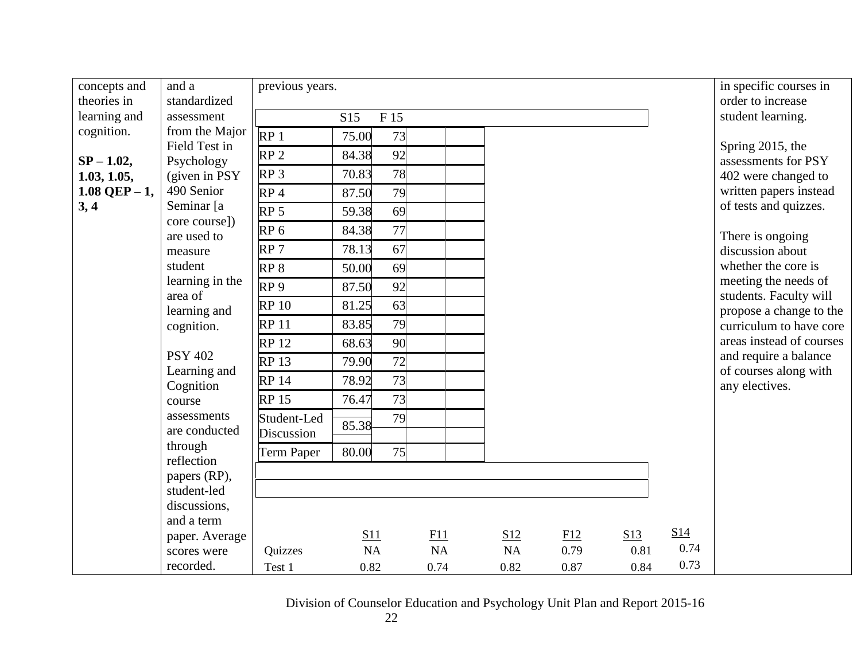| concepts and<br>theories in | and a<br>standardized         | previous years.           |             |      |           |      |      |      | in specific courses in<br>order to increase       |
|-----------------------------|-------------------------------|---------------------------|-------------|------|-----------|------|------|------|---------------------------------------------------|
| learning and                | assessment                    |                           | S15<br>F 15 |      |           |      |      |      | student learning.                                 |
| cognition.                  | from the Major                | RP <sub>1</sub>           | 75.00       | 73   |           |      |      |      |                                                   |
|                             | Field Test in                 | RP <sub>2</sub>           | 84.38       | 92   |           |      |      |      | Spring 2015, the                                  |
| $SP - 1.02$ ,               | Psychology                    |                           |             | 78   |           |      |      |      | assessments for PSY                               |
| 1.03, 1.05,                 | (given in PSY)                | RP <sub>3</sub>           | 70.83       |      |           |      |      |      | 402 were changed to                               |
| $1.08$ QEP $-1$ ,<br>3, 4   | 490 Senior<br>Seminar [a]     | RP <sub>4</sub>           | 87.50       | 79   |           |      |      |      | written papers instead<br>of tests and quizzes.   |
|                             | core course])                 | RP <sub>5</sub>           | 59.38       | 69   |           |      |      |      |                                                   |
|                             | are used to                   | RP <sub>6</sub>           | 84.38       | 77   |           |      |      |      | There is ongoing                                  |
|                             | measure                       | RP <sub>7</sub>           | 78.13       | 67   |           |      |      |      | discussion about                                  |
|                             | student                       | RP <sub>8</sub>           | 50.00       | 69   |           |      |      |      | whether the core is                               |
|                             | learning in the               | RP <sub>9</sub>           | 87.50       | 92   |           |      |      |      | meeting the needs of                              |
|                             | area of<br>learning and       | <b>RP10</b>               | 81.25       | 63   |           |      |      |      | students. Faculty will<br>propose a change to the |
|                             | cognition.                    | <b>RP11</b>               | 83.85       | 79   |           |      |      |      | curriculum to have core                           |
|                             |                               | <b>RP12</b>               | 68.63       | 90   |           |      |      |      | areas instead of courses                          |
|                             | <b>PSY 402</b>                | <b>RP13</b>               | 79.90       | 72   |           |      |      |      | and require a balance                             |
|                             | Learning and                  | <b>RP14</b>               | 78.92       | 73   |           |      |      |      | of courses along with                             |
|                             | Cognition                     | <b>RP15</b>               | 76.47       | 73   |           |      |      |      | any electives.                                    |
|                             | course<br>assessments         |                           |             |      |           |      |      |      |                                                   |
|                             | are conducted                 | Student-Led<br>Discussion | 85.38       | 79   |           |      |      |      |                                                   |
|                             | through                       |                           |             | 75   |           |      |      |      |                                                   |
|                             | reflection                    | <b>Term Paper</b>         | 80.00       |      |           |      |      |      |                                                   |
|                             | papers (RP),                  |                           |             |      |           |      |      |      |                                                   |
|                             | student-led                   |                           |             |      |           |      |      |      |                                                   |
|                             | discussions,                  |                           |             |      |           |      |      |      |                                                   |
|                             | and a term                    |                           | S11         | F11  | S12       | E12  | S13  | S14  |                                                   |
|                             | paper. Average<br>scores were | Quizzes                   | NA          | NA   | <b>NA</b> | 0.79 | 0.81 | 0.74 |                                                   |
|                             | recorded.                     | Test 1                    | 0.82        | 0.74 | 0.82      | 0.87 | 0.84 | 0.73 |                                                   |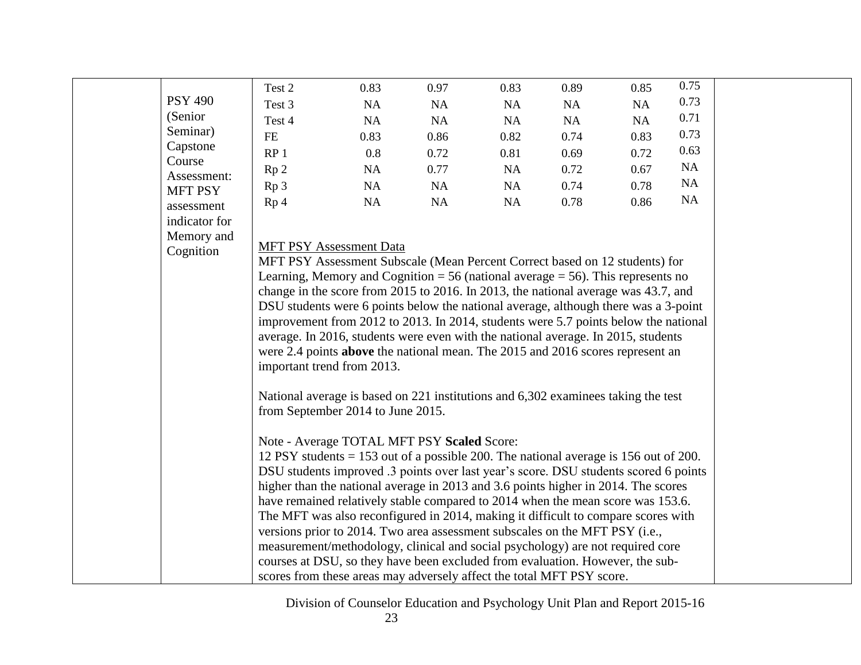|                               | Test 2                                                                                                                                                                     | 0.83                           | 0.97 | 0.83 | 0.89 | 0.85 | 0.75 |  |  |  |  |
|-------------------------------|----------------------------------------------------------------------------------------------------------------------------------------------------------------------------|--------------------------------|------|------|------|------|------|--|--|--|--|
| <b>PSY 490</b>                | Test 3                                                                                                                                                                     | NA                             | NA   | NA   | NA   | NA   | 0.73 |  |  |  |  |
| (Senior)                      | Test 4                                                                                                                                                                     | NA                             | NA   | NA   | NA   | NA   | 0.71 |  |  |  |  |
| Seminar)                      | $\rm FE$                                                                                                                                                                   | 0.83                           | 0.86 | 0.82 | 0.74 | 0.83 | 0.73 |  |  |  |  |
| Capstone                      | RP <sub>1</sub>                                                                                                                                                            | 0.8                            | 0.72 | 0.81 | 0.69 | 0.72 | 0.63 |  |  |  |  |
| Course                        | Rp <sub>2</sub>                                                                                                                                                            | NA                             | 0.77 | NA   | 0.72 | 0.67 | NA   |  |  |  |  |
| Assessment:<br><b>MFT PSY</b> | Rp <sub>3</sub>                                                                                                                                                            | NA                             | NA   | NA   | 0.74 | 0.78 | NA   |  |  |  |  |
| assessment                    | Rp <sub>4</sub>                                                                                                                                                            | NA                             | NA   | NA   | 0.78 | 0.86 | NA   |  |  |  |  |
| indicator for                 |                                                                                                                                                                            |                                |      |      |      |      |      |  |  |  |  |
| Memory and                    |                                                                                                                                                                            |                                |      |      |      |      |      |  |  |  |  |
| Cognition                     |                                                                                                                                                                            | <b>MFT PSY Assessment Data</b> |      |      |      |      |      |  |  |  |  |
|                               | MFT PSY Assessment Subscale (Mean Percent Correct based on 12 students) for                                                                                                |                                |      |      |      |      |      |  |  |  |  |
|                               | Learning, Memory and Cognition = 56 (national average = 56). This represents no                                                                                            |                                |      |      |      |      |      |  |  |  |  |
|                               | change in the score from 2015 to 2016. In 2013, the national average was 43.7, and                                                                                         |                                |      |      |      |      |      |  |  |  |  |
|                               | DSU students were 6 points below the national average, although there was a 3-point                                                                                        |                                |      |      |      |      |      |  |  |  |  |
|                               | improvement from 2012 to 2013. In 2014, students were 5.7 points below the national                                                                                        |                                |      |      |      |      |      |  |  |  |  |
|                               | average. In 2016, students were even with the national average. In 2015, students                                                                                          |                                |      |      |      |      |      |  |  |  |  |
|                               | were 2.4 points above the national mean. The 2015 and 2016 scores represent an                                                                                             |                                |      |      |      |      |      |  |  |  |  |
|                               | important trend from 2013.                                                                                                                                                 |                                |      |      |      |      |      |  |  |  |  |
|                               |                                                                                                                                                                            |                                |      |      |      |      |      |  |  |  |  |
|                               | National average is based on 221 institutions and 6,302 examinees taking the test                                                                                          |                                |      |      |      |      |      |  |  |  |  |
|                               | from September 2014 to June 2015.                                                                                                                                          |                                |      |      |      |      |      |  |  |  |  |
|                               |                                                                                                                                                                            |                                |      |      |      |      |      |  |  |  |  |
|                               | Note - Average TOTAL MFT PSY Scaled Score:                                                                                                                                 |                                |      |      |      |      |      |  |  |  |  |
|                               | 12 PSY students $= 153$ out of a possible 200. The national average is 156 out of 200.                                                                                     |                                |      |      |      |      |      |  |  |  |  |
|                               | DSU students improved .3 points over last year's score. DSU students scored 6 points<br>higher than the national average in 2013 and 3.6 points higher in 2014. The scores |                                |      |      |      |      |      |  |  |  |  |
|                               |                                                                                                                                                                            |                                |      |      |      |      |      |  |  |  |  |
|                               | have remained relatively stable compared to 2014 when the mean score was 153.6.                                                                                            |                                |      |      |      |      |      |  |  |  |  |
|                               | The MFT was also reconfigured in 2014, making it difficult to compare scores with                                                                                          |                                |      |      |      |      |      |  |  |  |  |
|                               | versions prior to 2014. Two area assessment subscales on the MFT PSY (i.e.,                                                                                                |                                |      |      |      |      |      |  |  |  |  |
|                               | measurement/methodology, clinical and social psychology) are not required core<br>courses at DSU, so they have been excluded from evaluation. However, the sub-            |                                |      |      |      |      |      |  |  |  |  |
|                               | scores from these areas may adversely affect the total MFT PSY score.                                                                                                      |                                |      |      |      |      |      |  |  |  |  |
|                               |                                                                                                                                                                            |                                |      |      |      |      |      |  |  |  |  |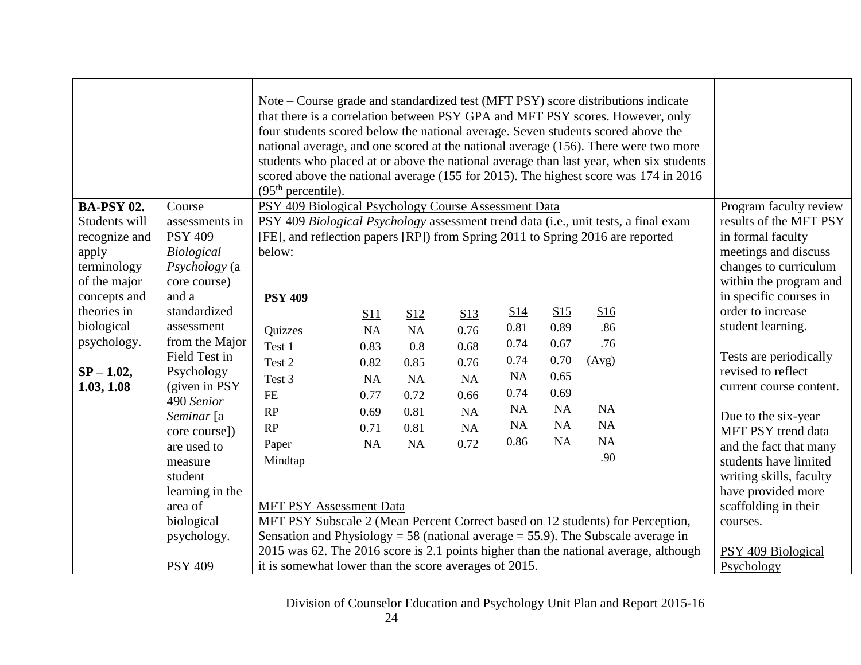|                   |                                 | Note – Course grade and standardized test (MFT PSY) score distributions indicate<br>that there is a correlation between PSY GPA and MFT PSY scores. However, only<br>four students scored below the national average. Seven students scored above the<br>national average, and one scored at the national average (156). There were two more<br>students who placed at or above the national average than last year, when six students<br>scored above the national average (155 for 2015). The highest score was 174 in 2016<br>(95 <sup>th</sup> percentile). |      |                 |           |                 |           |                                                                                      |                         |
|-------------------|---------------------------------|-----------------------------------------------------------------------------------------------------------------------------------------------------------------------------------------------------------------------------------------------------------------------------------------------------------------------------------------------------------------------------------------------------------------------------------------------------------------------------------------------------------------------------------------------------------------|------|-----------------|-----------|-----------------|-----------|--------------------------------------------------------------------------------------|-------------------------|
| <b>BA-PSY 02.</b> | Course                          | PSY 409 Biological Psychology Course Assessment Data                                                                                                                                                                                                                                                                                                                                                                                                                                                                                                            |      |                 |           |                 |           |                                                                                      | Program faculty review  |
| Students will     | assessments in                  |                                                                                                                                                                                                                                                                                                                                                                                                                                                                                                                                                                 |      |                 |           |                 |           | PSY 409 Biological Psychology assessment trend data (i.e., unit tests, a final exam  | results of the MFT PSY  |
| recognize and     | <b>PSY 409</b>                  |                                                                                                                                                                                                                                                                                                                                                                                                                                                                                                                                                                 |      |                 |           |                 |           | [FE], and reflection papers [RP]) from Spring 2011 to Spring 2016 are reported       | in formal faculty       |
| apply             | <b>Biological</b>               | below:                                                                                                                                                                                                                                                                                                                                                                                                                                                                                                                                                          |      |                 |           |                 |           |                                                                                      | meetings and discuss    |
| terminology       | Psychology (a                   |                                                                                                                                                                                                                                                                                                                                                                                                                                                                                                                                                                 |      |                 |           |                 |           |                                                                                      | changes to curriculum   |
| of the major      | core course)                    |                                                                                                                                                                                                                                                                                                                                                                                                                                                                                                                                                                 |      |                 |           |                 |           |                                                                                      | within the program and  |
| concepts and      | and a                           | <b>PSY 409</b>                                                                                                                                                                                                                                                                                                                                                                                                                                                                                                                                                  |      |                 |           |                 |           |                                                                                      | in specific courses in  |
| theories in       | standardized                    |                                                                                                                                                                                                                                                                                                                                                                                                                                                                                                                                                                 | S11  | S <sub>12</sub> | S13       | S <sub>14</sub> | S15       | S16                                                                                  | order to increase       |
| biological        | assessment                      | Quizzes                                                                                                                                                                                                                                                                                                                                                                                                                                                                                                                                                         | NA   | <b>NA</b>       | 0.76      | 0.81            | 0.89      | .86                                                                                  | student learning.       |
| psychology.       | from the Major<br>Field Test in | Test 1                                                                                                                                                                                                                                                                                                                                                                                                                                                                                                                                                          | 0.83 | 0.8             | 0.68      | 0.74            | 0.67      | .76                                                                                  | Tests are periodically  |
| $SP - 1.02$ ,     | Psychology                      | Test 2                                                                                                                                                                                                                                                                                                                                                                                                                                                                                                                                                          | 0.82 | 0.85            | 0.76      | 0.74            | 0.70      | (Avg)                                                                                | revised to reflect      |
| 1.03, 1.08        | (given in PSY)                  | Test 3                                                                                                                                                                                                                                                                                                                                                                                                                                                                                                                                                          | NA   | NA              | <b>NA</b> | <b>NA</b>       | 0.65      |                                                                                      | current course content. |
|                   | 490 Senior                      | $FE$                                                                                                                                                                                                                                                                                                                                                                                                                                                                                                                                                            | 0.77 | 0.72            | 0.66      | 0.74            | 0.69      |                                                                                      |                         |
|                   | Seminar [a                      | RP                                                                                                                                                                                                                                                                                                                                                                                                                                                                                                                                                              | 0.69 | 0.81            | <b>NA</b> | <b>NA</b>       | <b>NA</b> | NA                                                                                   | Due to the six-year     |
|                   | core course])                   | RP                                                                                                                                                                                                                                                                                                                                                                                                                                                                                                                                                              | 0.71 | 0.81            | NA        | <b>NA</b>       | <b>NA</b> | NA                                                                                   | MFT PSY trend data      |
|                   | are used to                     | Paper                                                                                                                                                                                                                                                                                                                                                                                                                                                                                                                                                           | NA   | NA              | 0.72      | 0.86            | NA        | NA                                                                                   | and the fact that many  |
|                   | measure                         | Mindtap                                                                                                                                                                                                                                                                                                                                                                                                                                                                                                                                                         |      |                 |           |                 |           | .90                                                                                  | students have limited   |
|                   | student                         |                                                                                                                                                                                                                                                                                                                                                                                                                                                                                                                                                                 |      |                 |           |                 |           |                                                                                      | writing skills, faculty |
|                   | learning in the                 |                                                                                                                                                                                                                                                                                                                                                                                                                                                                                                                                                                 |      |                 |           |                 |           |                                                                                      | have provided more      |
|                   | area of                         | <b>MFT PSY Assessment Data</b>                                                                                                                                                                                                                                                                                                                                                                                                                                                                                                                                  |      |                 |           |                 |           |                                                                                      | scaffolding in their    |
|                   | biological                      |                                                                                                                                                                                                                                                                                                                                                                                                                                                                                                                                                                 |      |                 |           |                 |           | MFT PSY Subscale 2 (Mean Percent Correct based on 12 students) for Perception,       | courses.                |
|                   | psychology.                     |                                                                                                                                                                                                                                                                                                                                                                                                                                                                                                                                                                 |      |                 |           |                 |           | Sensation and Physiology = 58 (national average = 55.9). The Subscale average in     |                         |
|                   |                                 |                                                                                                                                                                                                                                                                                                                                                                                                                                                                                                                                                                 |      |                 |           |                 |           | 2015 was 62. The 2016 score is 2.1 points higher than the national average, although | PSY 409 Biological      |
|                   | <b>PSY 409</b>                  | it is somewhat lower than the score averages of 2015.                                                                                                                                                                                                                                                                                                                                                                                                                                                                                                           |      |                 |           |                 |           |                                                                                      | Psychology              |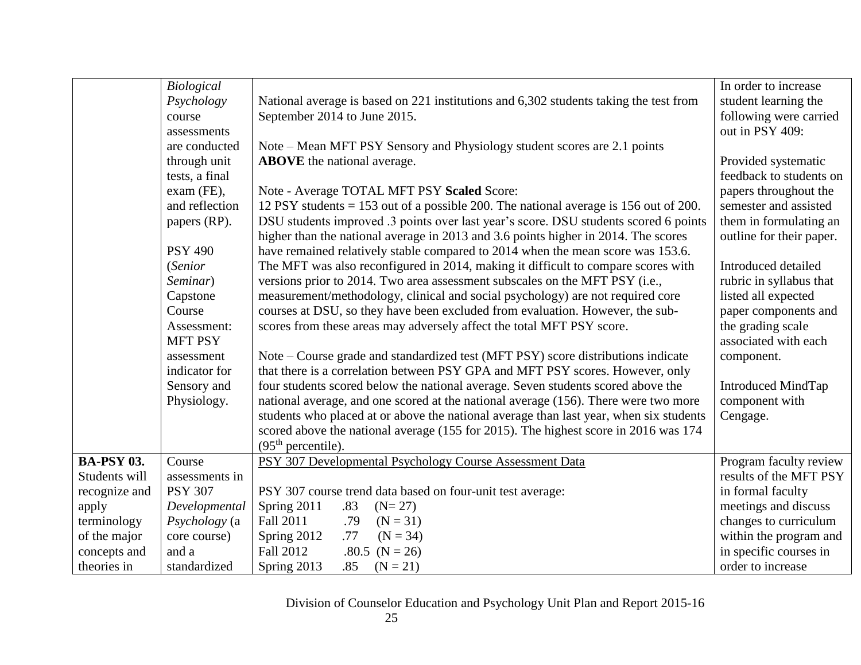|                   | Biological     |                                                                                        | In order to increase     |
|-------------------|----------------|----------------------------------------------------------------------------------------|--------------------------|
|                   | Psychology     | National average is based on 221 institutions and 6,302 students taking the test from  | student learning the     |
|                   | course         | September 2014 to June 2015.                                                           | following were carried   |
|                   | assessments    |                                                                                        | out in PSY 409:          |
|                   | are conducted  | Note – Mean MFT PSY Sensory and Physiology student scores are 2.1 points               |                          |
|                   | through unit   | <b>ABOVE</b> the national average.                                                     | Provided systematic      |
|                   | tests, a final |                                                                                        | feedback to students on  |
|                   | exam (FE),     | Note - Average TOTAL MFT PSY Scaled Score:                                             | papers throughout the    |
|                   | and reflection | 12 PSY students $= 153$ out of a possible 200. The national average is 156 out of 200. | semester and assisted    |
|                   | papers (RP).   | DSU students improved .3 points over last year's score. DSU students scored 6 points   | them in formulating an   |
|                   |                | higher than the national average in 2013 and 3.6 points higher in 2014. The scores     | outline for their paper. |
|                   | <b>PSY 490</b> | have remained relatively stable compared to 2014 when the mean score was 153.6.        |                          |
|                   | (Senior        | The MFT was also reconfigured in 2014, making it difficult to compare scores with      | Introduced detailed      |
|                   | Seminar)       | versions prior to 2014. Two area assessment subscales on the MFT PSY (i.e.,            | rubric in syllabus that  |
|                   | Capstone       | measurement/methodology, clinical and social psychology) are not required core         | listed all expected      |
|                   | Course         | courses at DSU, so they have been excluded from evaluation. However, the sub-          | paper components and     |
|                   | Assessment:    | scores from these areas may adversely affect the total MFT PSY score.                  | the grading scale        |
|                   | <b>MFT PSY</b> |                                                                                        | associated with each     |
|                   | assessment     | Note – Course grade and standardized test (MFT PSY) score distributions indicate       | component.               |
|                   | indicator for  | that there is a correlation between PSY GPA and MFT PSY scores. However, only          |                          |
|                   | Sensory and    | four students scored below the national average. Seven students scored above the       | Introduced MindTap       |
|                   | Physiology.    | national average, and one scored at the national average (156). There were two more    | component with           |
|                   |                | students who placed at or above the national average than last year, when six students | Cengage.                 |
|                   |                | scored above the national average (155 for 2015). The highest score in 2016 was 174    |                          |
|                   |                | (95 <sup>th</sup> percentile).                                                         |                          |
| <b>BA-PSY 03.</b> | Course         | PSY 307 Developmental Psychology Course Assessment Data                                | Program faculty review   |
| Students will     | assessments in |                                                                                        | results of the MFT PSY   |
| recognize and     | <b>PSY 307</b> | PSY 307 course trend data based on four-unit test average:                             | in formal faculty        |
| apply             | Developmental  | Spring 2011<br>.83<br>$(N=27)$                                                         | meetings and discuss     |
| terminology       | Psychology (a  | <b>Fall 2011</b><br>$(N = 31)$<br>.79                                                  | changes to curriculum    |
| of the major      | core course)   | Spring 2012<br>.77<br>$(N = 34)$                                                       | within the program and   |
| concepts and      | and a          | Fall 2012<br>.80.5 $(N = 26)$                                                          | in specific courses in   |
| theories in       | standardized   | Spring 2013<br>.85<br>$(N = 21)$                                                       | order to increase        |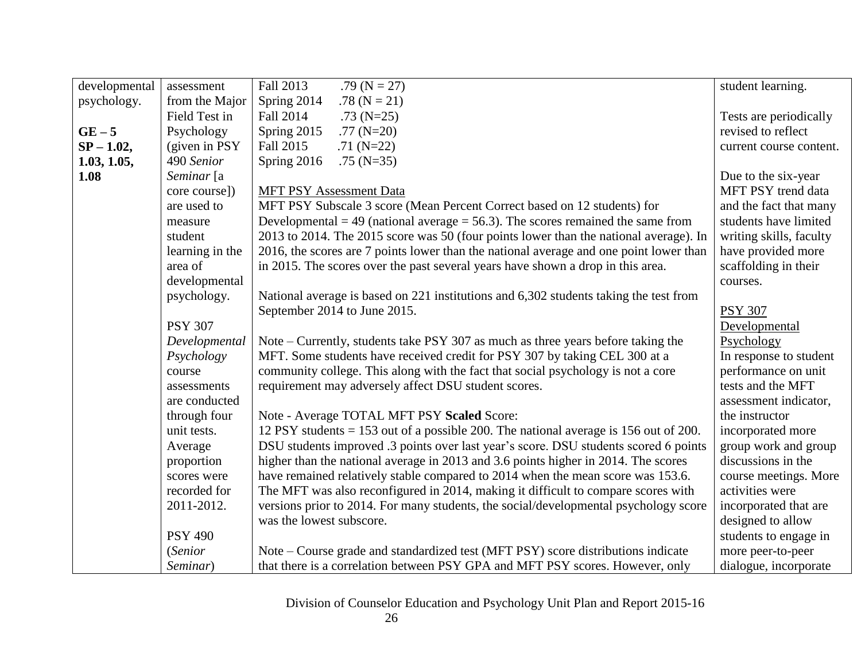| developmental | assessment      | Fall 2013<br>.79 ( $N = 27$ )                                                          | student learning.       |
|---------------|-----------------|----------------------------------------------------------------------------------------|-------------------------|
| psychology.   | from the Major  | Spring 2014<br>.78 ( $N = 21$ )                                                        |                         |
|               | Field Test in   | Fall 2014<br>$.73$ (N=25)                                                              | Tests are periodically  |
| $GE-5$        | Psychology      | Spring 2015<br>.77 $(N=20)$                                                            | revised to reflect      |
| $SP - 1.02$ , | (given in PSY)  | Fall 2015<br>$.71(N=22)$                                                               | current course content. |
| 1.03, 1.05,   | 490 Senior      | Spring 2016<br>$.75$ (N=35)                                                            |                         |
| 1.08          | Seminar [a      |                                                                                        | Due to the six-year     |
|               | core course])   | <b>MFT PSY Assessment Data</b>                                                         | MFT PSY trend data      |
|               | are used to     | MFT PSY Subscale 3 score (Mean Percent Correct based on 12 students) for               | and the fact that many  |
|               | measure         | Developmental = 49 (national average = 56.3). The scores remained the same from        | students have limited   |
|               | student         | 2013 to 2014. The 2015 score was 50 (four points lower than the national average). In  | writing skills, faculty |
|               | learning in the | 2016, the scores are 7 points lower than the national average and one point lower than | have provided more      |
|               | area of         | in 2015. The scores over the past several years have shown a drop in this area.        | scaffolding in their    |
|               | developmental   |                                                                                        | courses.                |
|               | psychology.     | National average is based on 221 institutions and 6,302 students taking the test from  |                         |
|               |                 | September 2014 to June 2015.                                                           | <b>PSY 307</b>          |
|               | <b>PSY 307</b>  |                                                                                        | Developmental           |
|               | Developmental   | Note – Currently, students take PSY 307 as much as three years before taking the       | Psychology              |
|               | Psychology      | MFT. Some students have received credit for PSY 307 by taking CEL 300 at a             | In response to student  |
|               | course          | community college. This along with the fact that social psychology is not a core       | performance on unit     |
|               | assessments     | requirement may adversely affect DSU student scores.                                   | tests and the MFT       |
|               | are conducted   |                                                                                        | assessment indicator,   |
|               | through four    | Note - Average TOTAL MFT PSY Scaled Score:                                             | the instructor          |
|               | unit tests.     | 12 PSY students $= 153$ out of a possible 200. The national average is 156 out of 200. | incorporated more       |
|               | Average         | DSU students improved .3 points over last year's score. DSU students scored 6 points   | group work and group    |
|               | proportion      | higher than the national average in 2013 and 3.6 points higher in 2014. The scores     | discussions in the      |
|               | scores were     | have remained relatively stable compared to 2014 when the mean score was 153.6.        | course meetings. More   |
|               | recorded for    | The MFT was also reconfigured in 2014, making it difficult to compare scores with      | activities were         |
|               | 2011-2012.      | versions prior to 2014. For many students, the social/developmental psychology score   | incorporated that are   |
|               |                 | was the lowest subscore.                                                               | designed to allow       |
|               | <b>PSY 490</b>  |                                                                                        | students to engage in   |
|               | (Senior         | Note – Course grade and standardized test (MFT PSY) score distributions indicate       | more peer-to-peer       |
|               | Seminar)        | that there is a correlation between PSY GPA and MFT PSY scores. However, only          | dialogue, incorporate   |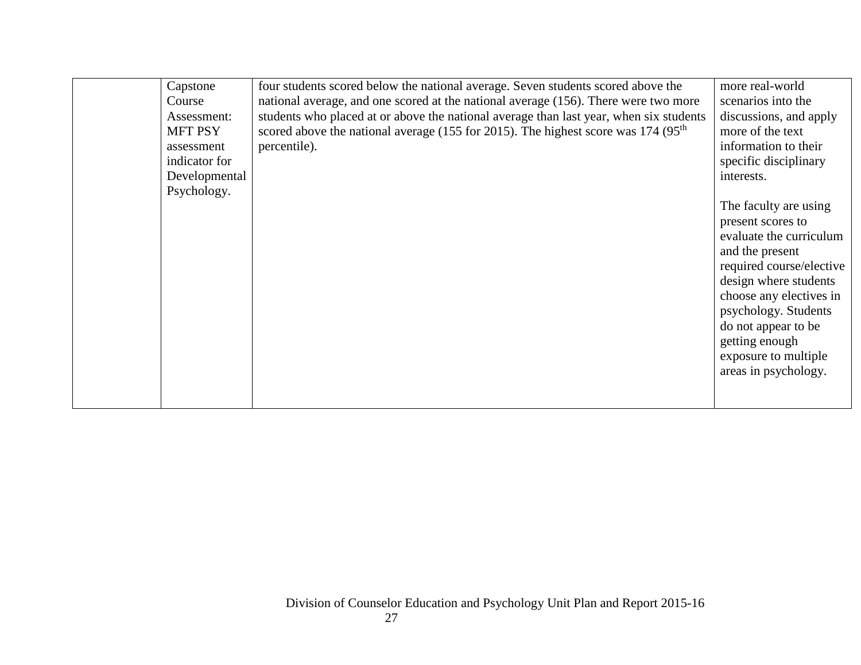| Capstone<br>Course<br>Assessment:<br><b>MFT PSY</b><br>assessment<br>indicator for<br>Developmental<br>Psychology. | four students scored below the national average. Seven students scored above the<br>national average, and one scored at the national average (156). There were two more<br>students who placed at or above the national average than last year, when six students<br>scored above the national average (155 for 2015). The highest score was 174 (95 <sup>th</sup> )<br>percentile). | more real-world<br>scenarios into the<br>discussions, and apply<br>more of the text<br>information to their<br>specific disciplinary<br>interests.<br>The faculty are using<br>present scores to<br>evaluate the curriculum<br>and the present<br>required course/elective<br>design where students<br>choose any electives in<br>psychology. Students<br>do not appear to be |
|--------------------------------------------------------------------------------------------------------------------|--------------------------------------------------------------------------------------------------------------------------------------------------------------------------------------------------------------------------------------------------------------------------------------------------------------------------------------------------------------------------------------|-------------------------------------------------------------------------------------------------------------------------------------------------------------------------------------------------------------------------------------------------------------------------------------------------------------------------------------------------------------------------------|
|                                                                                                                    |                                                                                                                                                                                                                                                                                                                                                                                      | getting enough<br>exposure to multiple<br>areas in psychology.                                                                                                                                                                                                                                                                                                                |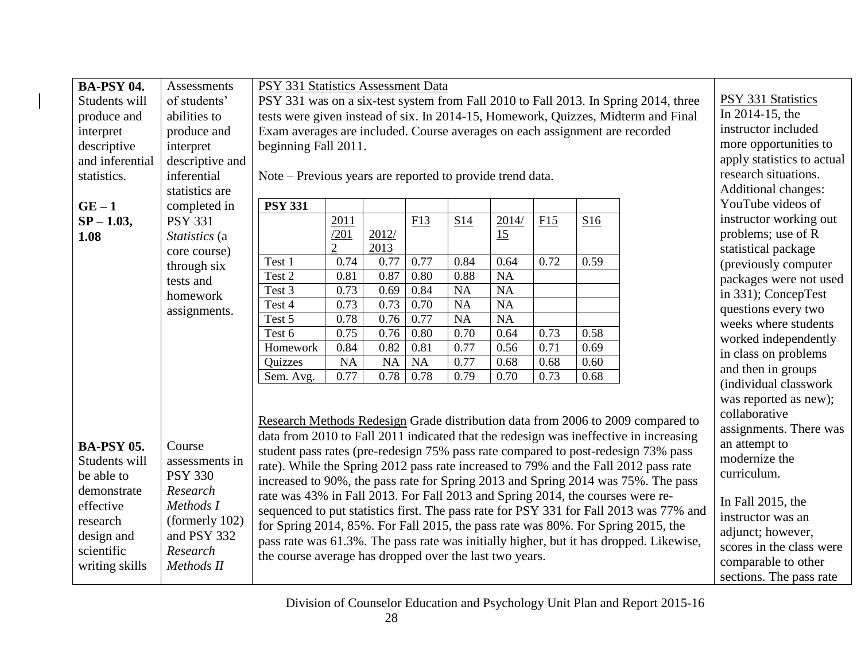| <b>BA-PSY 04.</b> | <b>Assessments</b> | PSY 331 Statistics Assessment Data                                             |                                                                                     |                   |            |              |              |              |              |                                                                                        |                            |
|-------------------|--------------------|--------------------------------------------------------------------------------|-------------------------------------------------------------------------------------|-------------------|------------|--------------|--------------|--------------|--------------|----------------------------------------------------------------------------------------|----------------------------|
| Students will     | of students'       |                                                                                | PSY 331 was on a six-test system from Fall 2010 to Fall 2013. In Spring 2014, three |                   |            |              |              |              |              |                                                                                        |                            |
| produce and       | abilities to       |                                                                                | tests were given instead of six. In 2014-15, Homework, Quizzes, Midterm and Final   |                   |            |              |              |              |              |                                                                                        |                            |
| interpret         | produce and        | Exam averages are included. Course averages on each assignment are recorded    |                                                                                     |                   |            |              |              |              |              |                                                                                        | instructor included        |
| descriptive       | interpret          | beginning Fall 2011.                                                           |                                                                                     |                   |            |              |              |              |              |                                                                                        | more opportunities to      |
| and inferential   | descriptive and    |                                                                                |                                                                                     |                   |            |              |              |              |              |                                                                                        | apply statistics to actual |
| statistics.       | inferential        | Note – Previous years are reported to provide trend data.                      |                                                                                     |                   |            |              |              |              |              |                                                                                        | research situations.       |
|                   | statistics are     |                                                                                |                                                                                     |                   |            |              |              |              |              |                                                                                        | Additional changes:        |
| $GE-1$            | completed in       | <b>PSY 331</b>                                                                 |                                                                                     |                   |            |              |              |              |              |                                                                                        | YouTube videos of          |
| $SP - 1.03,$      | <b>PSY 331</b>     |                                                                                | 2011                                                                                |                   | F13        | S14          | 2014/        | F15          | S16          |                                                                                        | instructor working out     |
| 1.08              | Statistics (a      |                                                                                | /201                                                                                | 2012/             |            |              | 15           |              |              |                                                                                        | problems; use of R         |
|                   | core course)       |                                                                                | $\overline{2}$                                                                      | 2013              |            |              |              |              |              |                                                                                        | statistical package        |
|                   | through six        | Test 1                                                                         | 0.74                                                                                | 0.77              | 0.77       | 0.84         | 0.64         | 0.72         | 0.59         |                                                                                        | (previously computer       |
|                   | tests and          | Test 2                                                                         | 0.81                                                                                | 0.87              | 0.80       | 0.88         | <b>NA</b>    |              |              |                                                                                        | packages were not used     |
|                   | homework           | Test 3                                                                         | 0.73                                                                                | 0.69              | 0.84       | NA           | <b>NA</b>    |              |              |                                                                                        | in 331); ConcepTest        |
|                   | assignments.       | Test 4                                                                         | 0.73                                                                                | 0.73              | 0.70       | NA           | <b>NA</b>    |              |              |                                                                                        | questions every two        |
|                   |                    | Test 5                                                                         | 0.78                                                                                | 0.76              | 0.77       | NA           | <b>NA</b>    |              |              |                                                                                        | weeks where students       |
|                   |                    | Test 6                                                                         | 0.75<br>0.84                                                                        | 0.76              | 0.80       | 0.70         | 0.64<br>0.56 | 0.73         | 0.58         |                                                                                        | worked independently       |
|                   |                    | Homework<br>Quizzes                                                            | <b>NA</b>                                                                           | 0.82<br><b>NA</b> | 0.81<br>NA | 0.77<br>0.77 | 0.68         | 0.71<br>0.68 | 0.69<br>0.60 |                                                                                        | in class on problems       |
|                   |                    | Sem. Avg.                                                                      | 0.77                                                                                | 0.78              | 0.78       | 0.79         | 0.70         | 0.73         | 0.68         |                                                                                        | and then in groups         |
|                   |                    |                                                                                |                                                                                     |                   |            |              |              |              |              |                                                                                        | (individual classwork      |
|                   |                    |                                                                                |                                                                                     |                   |            |              |              |              |              |                                                                                        | was reported as new);      |
|                   |                    |                                                                                |                                                                                     |                   |            |              |              |              |              | Research Methods Redesign Grade distribution data from 2006 to 2009 compared to        | collaborative              |
|                   |                    |                                                                                |                                                                                     |                   |            |              |              |              |              | data from 2010 to Fall 2011 indicated that the redesign was ineffective in increasing  | assignments. There was     |
| <b>BA-PSY 05.</b> | Course             |                                                                                |                                                                                     |                   |            |              |              |              |              | student pass rates (pre-redesign 75% pass rate compared to post-redesign 73% pass      | an attempt to              |
| Students will     | assessments in     |                                                                                |                                                                                     |                   |            |              |              |              |              | rate). While the Spring 2012 pass rate increased to 79% and the Fall 2012 pass rate    | modernize the              |
| be able to        | <b>PSY 330</b>     |                                                                                |                                                                                     |                   |            |              |              |              |              | increased to 90%, the pass rate for Spring 2013 and Spring 2014 was 75%. The pass      | curriculum.                |
| demonstrate       | Research           | rate was 43% in Fall 2013. For Fall 2013 and Spring 2014, the courses were re- |                                                                                     |                   |            |              |              |              |              |                                                                                        |                            |
| effective         | Methods I          |                                                                                |                                                                                     |                   |            |              |              |              |              | sequenced to put statistics first. The pass rate for PSY 331 for Fall 2013 was 77% and | In Fall 2015, the          |
| research          | (formerly 102)     |                                                                                |                                                                                     |                   |            |              |              |              |              | for Spring 2014, 85%. For Fall 2015, the pass rate was 80%. For Spring 2015, the       | instructor was an          |
| design and        | and PSY 332        |                                                                                |                                                                                     |                   |            |              |              |              |              | pass rate was 61.3%. The pass rate was initially higher, but it has dropped. Likewise, | adjunct; however,          |
| scientific        | Research           | the course average has dropped over the last two years.                        |                                                                                     |                   |            |              |              |              |              |                                                                                        | scores in the class were   |
| writing skills    | Methods II         |                                                                                |                                                                                     |                   |            |              |              |              |              |                                                                                        | comparable to other        |
|                   |                    |                                                                                |                                                                                     |                   |            |              |              |              |              |                                                                                        | sections. The pass rate    |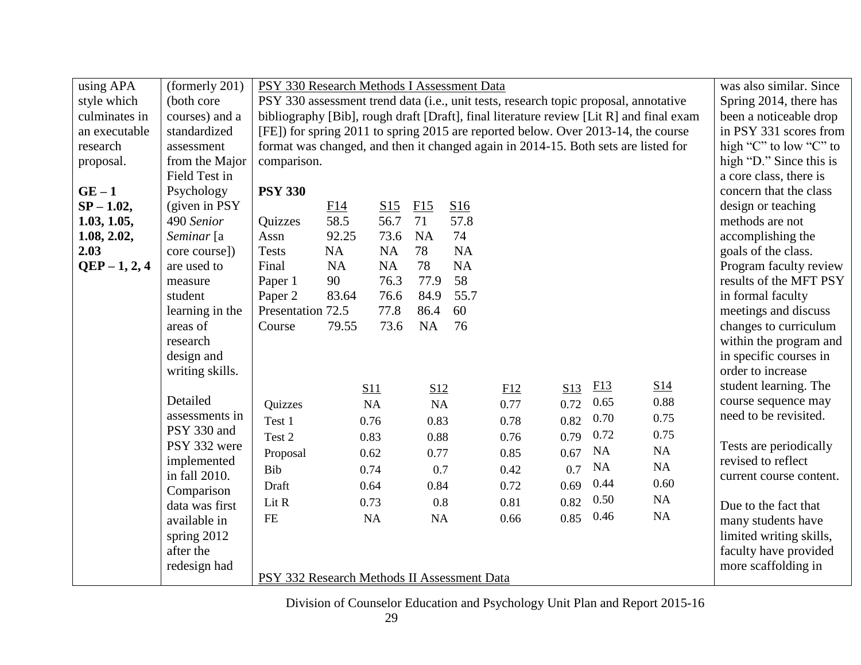| using APA<br>(formerly 201)<br>PSY 330 Research Methods I Assessment Data                                                  | was also similar. Since |
|----------------------------------------------------------------------------------------------------------------------------|-------------------------|
| PSY 330 assessment trend data (i.e., unit tests, research topic proposal, annotative<br>(both core<br>style which          | Spring 2014, there has  |
| bibliography [Bib], rough draft [Draft], final literature review [Lit R] and final exam<br>culminates in<br>courses) and a | been a noticeable drop  |
| [FE]) for spring 2011 to spring 2015 are reported below. Over 2013-14, the course<br>an executable<br>standardized         | in PSY 331 scores from  |
| format was changed, and then it changed again in 2014-15. Both sets are listed for<br>research<br>assessment               | high "C" to low "C" to  |
| from the Major<br>comparison.<br>proposal.                                                                                 | high "D." Since this is |
| Field Test in                                                                                                              | a core class, there is  |
| $GE-1$<br><b>PSY 330</b><br>Psychology                                                                                     | concern that the class  |
| $SP - 1.02$ ,<br>(given in PSY)<br>F15<br>S16<br>F14<br>S15                                                                | design or teaching      |
| 58.5<br>71<br>57.8<br>56.7<br>1.03, 1.05,<br>490 Senior<br>Quizzes                                                         | methods are not         |
| 92.25<br>73.6<br>74<br>Seminar [a<br>Assn<br><b>NA</b><br>1.08, 2.02,                                                      | accomplishing the       |
| 78<br><b>NA</b><br><b>NA</b><br><b>NA</b><br>2.03<br>core course])<br><b>Tests</b>                                         | goals of the class.     |
| 78<br>$QEP - 1, 2, 4$<br>NA<br>NA<br><b>NA</b><br>are used to<br>Final                                                     | Program faculty review  |
| 58<br>76.3<br>77.9<br>90<br>Paper 1<br>measure                                                                             | results of the MFT PSY  |
| 83.64<br>84.9<br>55.7<br>Paper 2<br>76.6<br>student                                                                        | in formal faculty       |
| Presentation 72.5<br>77.8<br>60<br>86.4<br>learning in the                                                                 | meetings and discuss    |
| 73.6<br>NA<br>areas of<br>79.55<br>76<br>Course                                                                            | changes to curriculum   |
| research                                                                                                                   | within the program and  |
| design and                                                                                                                 | in specific courses in  |
| writing skills.                                                                                                            | order to increase       |
| E13<br>S <sub>14</sub><br>S13<br>S11<br>S12<br>E12                                                                         | student learning. The   |
| Detailed<br>0.88<br>0.65<br>0.72<br>0.77<br>Quizzes<br>NA<br>NA                                                            | course sequence may     |
| assessments in<br>0.70<br>0.75<br>0.82<br>0.83<br>0.78<br>Test 1<br>0.76                                                   | need to be revisited.   |
| PSY 330 and<br>0.72<br>0.75<br>0.79<br>Test 2<br>0.88<br>0.76<br>0.83                                                      |                         |
| PSY 332 were<br>NA<br>NA<br>0.67<br>0.77<br>0.85<br>Proposal<br>0.62                                                       | Tests are periodically  |
| implemented<br>NA<br>NA<br>0.7<br>0.7<br>0.42<br>Bib<br>0.74                                                               | revised to reflect      |
| in fall 2010.<br>0.44<br>0.60<br>0.69<br>0.84<br>0.72<br>0.64<br>Draft                                                     | current course content. |
| Comparison<br>NA<br>0.50<br>0.82<br>0.8<br>0.81<br>Lit R<br>0.73                                                           |                         |
| data was first<br>NA<br>0.46<br>0.85<br><b>FE</b><br>NA<br>NA<br>0.66                                                      | Due to the fact that    |
| available in                                                                                                               | many students have      |
| spring 2012                                                                                                                | limited writing skills, |
| after the                                                                                                                  | faculty have provided   |
| redesign had<br>PSY 332 Research Methods II Assessment Data                                                                | more scaffolding in     |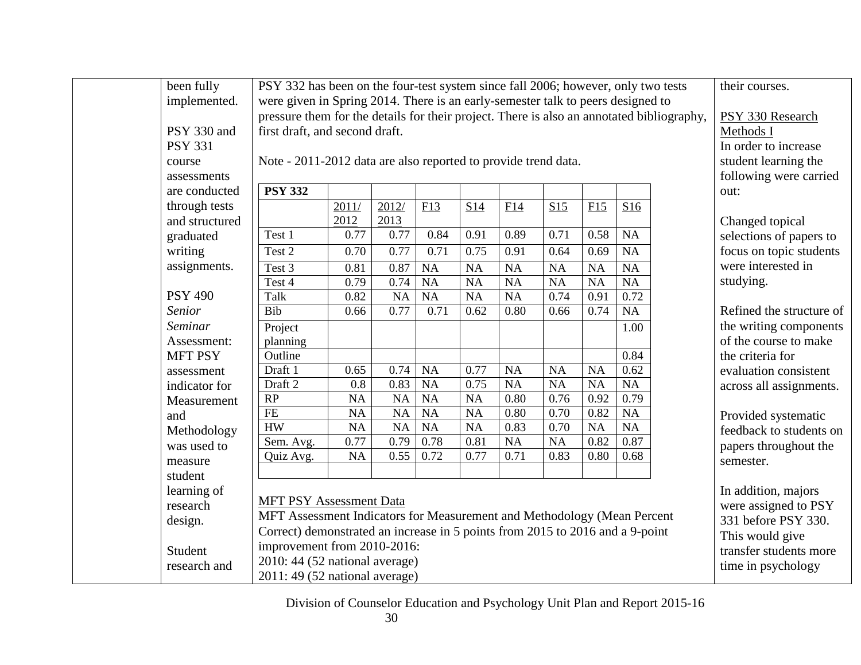| been fully     | PSY 332 has been on the four-test system since fall 2006; however, only two tests |                                                                                           |                   |           |           |           |      |           |           |  | their courses.           |
|----------------|-----------------------------------------------------------------------------------|-------------------------------------------------------------------------------------------|-------------------|-----------|-----------|-----------|------|-----------|-----------|--|--------------------------|
| implemented.   | were given in Spring 2014. There is an early-semester talk to peers designed to   |                                                                                           |                   |           |           |           |      |           |           |  |                          |
|                |                                                                                   | pressure them for the details for their project. There is also an annotated bibliography, |                   |           |           |           |      |           |           |  |                          |
| PSY 330 and    |                                                                                   | first draft, and second draft.                                                            |                   |           |           |           |      |           |           |  |                          |
| <b>PSY 331</b> |                                                                                   |                                                                                           |                   |           |           |           |      |           |           |  | In order to increase     |
| course         | Note - 2011-2012 data are also reported to provide trend data.                    |                                                                                           |                   |           |           |           |      |           |           |  | student learning the     |
| assessments    |                                                                                   |                                                                                           |                   |           |           |           |      |           |           |  | following were carried   |
| are conducted  | <b>PSY 332</b>                                                                    |                                                                                           |                   |           |           |           |      |           |           |  | out:                     |
| through tests  |                                                                                   | 2011/                                                                                     | 2012/             | F13       | S14       | F14       | S15  | F15       | S16       |  |                          |
| and structured |                                                                                   | 2012                                                                                      | 2013              |           |           |           |      |           |           |  | Changed topical          |
| graduated      | Test 1                                                                            | 0.77                                                                                      | 0.77              | 0.84      | 0.91      | 0.89      | 0.71 | 0.58      | NA        |  | selections of papers to  |
| writing        | Test 2                                                                            | 0.70                                                                                      | 0.77              | 0.71      | 0.75      | 0.91      | 0.64 | 0.69      | NA        |  | focus on topic students  |
| assignments.   | Test 3                                                                            | 0.81                                                                                      | 0.87              | <b>NA</b> | <b>NA</b> | <b>NA</b> | NA   | <b>NA</b> | <b>NA</b> |  | were interested in       |
|                | Test 4                                                                            | 0.79                                                                                      | 0.74              | <b>NA</b> | <b>NA</b> | <b>NA</b> | NA   | <b>NA</b> | <b>NA</b> |  | studying.                |
| <b>PSY 490</b> | Talk                                                                              | 0.82                                                                                      | NA                | NA        | NA        | NA        | 0.74 | 0.91      | 0.72      |  |                          |
| <b>Senior</b>  | Bib                                                                               | 0.66                                                                                      | $\overline{0.77}$ | 0.71      | 0.62      | 0.80      | 0.66 | 0.74      | NA        |  | Refined the structure of |
| Seminar        | Project                                                                           |                                                                                           |                   |           |           |           |      |           | 1.00      |  | the writing components   |
| Assessment:    | planning                                                                          |                                                                                           |                   |           |           |           |      |           |           |  | of the course to make    |
| <b>MFT PSY</b> | Outline                                                                           |                                                                                           |                   |           |           |           |      |           | 0.84      |  | the criteria for         |
| assessment     | Draft 1                                                                           | 0.65                                                                                      | 0.74              | <b>NA</b> | 0.77      | <b>NA</b> | NA   | <b>NA</b> | 0.62      |  | evaluation consistent    |
| indicator for  | Draft 2                                                                           | 0.8                                                                                       | 0.83              | <b>NA</b> | 0.75      | <b>NA</b> | NA   | <b>NA</b> | NA        |  | across all assignments.  |
| Measurement    | RP                                                                                | NA                                                                                        | $\overline{NA}$   | <b>NA</b> | <b>NA</b> | 0.80      | 0.76 | 0.92      | 0.79      |  |                          |
| and            | FE                                                                                | NA                                                                                        | <b>NA</b>         | NA        | <b>NA</b> | 0.80      | 0.70 | 0.82      | <b>NA</b> |  | Provided systematic      |
| Methodology    | HW                                                                                | NA                                                                                        | $\overline{NA}$   | NA        | <b>NA</b> | 0.83      | 0.70 | <b>NA</b> | NA        |  | feedback to students on  |
| was used to    | Sem. Avg.                                                                         | 0.77                                                                                      | 0.79              | 0.78      | 0.81      | NA        | NA   | 0.82      | 0.87      |  | papers throughout the    |
| measure        | Quiz Avg.                                                                         | <b>NA</b>                                                                                 | 0.55              | 0.72      | 0.77      | 0.71      | 0.83 | 0.80      | 0.68      |  | semester.                |
| student        |                                                                                   |                                                                                           |                   |           |           |           |      |           |           |  |                          |
| learning of    |                                                                                   |                                                                                           |                   |           |           |           |      |           |           |  | In addition, majors      |
| research       | <b>MFT PSY Assessment Data</b>                                                    |                                                                                           |                   |           |           |           |      |           |           |  | were assigned to PSY     |
| design.        | MFT Assessment Indicators for Measurement and Methodology (Mean Percent           |                                                                                           |                   |           |           |           |      |           |           |  | 331 before PSY 330.      |
|                | Correct) demonstrated an increase in 5 points from 2015 to 2016 and a 9-point     |                                                                                           |                   |           |           |           |      |           |           |  | This would give          |
| Student        | improvement from 2010-2016:                                                       |                                                                                           |                   |           |           |           |      |           |           |  | transfer students more   |
| research and   | 2010: 44 (52 national average)                                                    |                                                                                           |                   |           |           |           |      |           |           |  | time in psychology       |
|                | 2011: 49 (52 national average)                                                    |                                                                                           |                   |           |           |           |      |           |           |  |                          |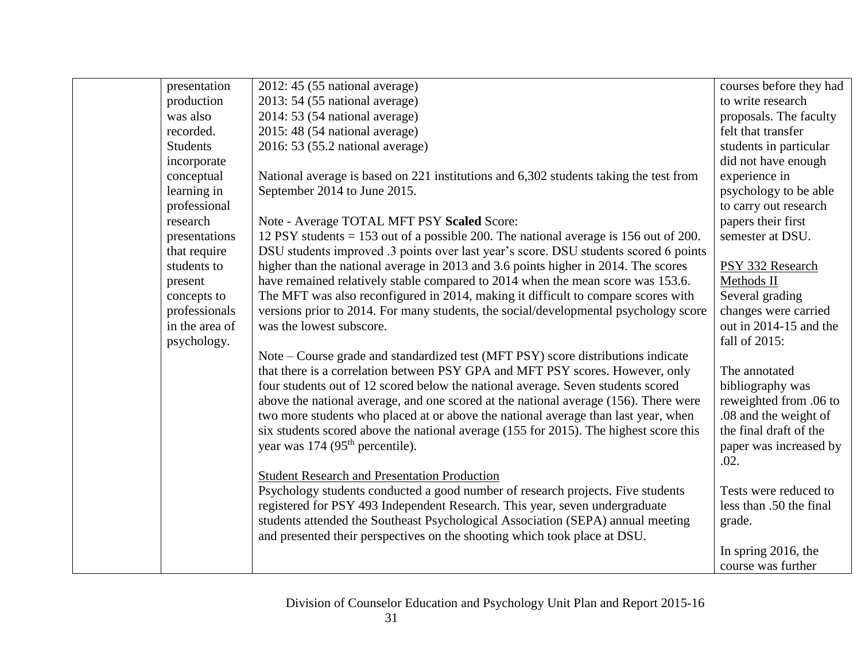| presentation    | $2012:45(55$ national average)                                                         | courses before they had |
|-----------------|----------------------------------------------------------------------------------------|-------------------------|
| production      | $2013: 54 (55$ national average)                                                       | to write research       |
| was also        | 2014: 53 (54 national average)                                                         | proposals. The faculty  |
| recorded.       | 2015: 48 (54 national average)                                                         | felt that transfer      |
| <b>Students</b> | 2016: 53 (55.2 national average)                                                       | students in particular  |
| incorporate     |                                                                                        | did not have enough     |
| conceptual      | National average is based on 221 institutions and 6,302 students taking the test from  | experience in           |
| learning in     | September 2014 to June 2015.                                                           | psychology to be able   |
| professional    |                                                                                        | to carry out research   |
| research        | Note - Average TOTAL MFT PSY Scaled Score:                                             | papers their first      |
| presentations   | 12 PSY students $= 153$ out of a possible 200. The national average is 156 out of 200. | semester at DSU.        |
| that require    | DSU students improved .3 points over last year's score. DSU students scored 6 points   |                         |
| students to     | higher than the national average in 2013 and 3.6 points higher in 2014. The scores     | PSY 332 Research        |
| present         | have remained relatively stable compared to 2014 when the mean score was 153.6.        | Methods II              |
| concepts to     | The MFT was also reconfigured in 2014, making it difficult to compare scores with      | Several grading         |
| professionals   | versions prior to 2014. For many students, the social/developmental psychology score   | changes were carried    |
| in the area of  | was the lowest subscore.                                                               | out in 2014-15 and the  |
| psychology.     |                                                                                        | fall of 2015:           |
|                 | Note – Course grade and standardized test (MFT PSY) score distributions indicate       |                         |
|                 | that there is a correlation between PSY GPA and MFT PSY scores. However, only          | The annotated           |
|                 | four students out of 12 scored below the national average. Seven students scored       | bibliography was        |
|                 | above the national average, and one scored at the national average (156). There were   | reweighted from .06 to  |
|                 | two more students who placed at or above the national average than last year, when     | .08 and the weight of   |
|                 | six students scored above the national average (155 for 2015). The highest score this  | the final draft of the  |
|                 | year was 174 (95 <sup>th</sup> percentile).                                            | paper was increased by  |
|                 |                                                                                        | .02.                    |
|                 | <b>Student Research and Presentation Production</b>                                    |                         |
|                 | Psychology students conducted a good number of research projects. Five students        | Tests were reduced to   |
|                 | registered for PSY 493 Independent Research. This year, seven undergraduate            | less than .50 the final |
|                 | students attended the Southeast Psychological Association (SEPA) annual meeting        | grade.                  |
|                 | and presented their perspectives on the shooting which took place at DSU.              |                         |
|                 |                                                                                        | In spring 2016, the     |
|                 |                                                                                        | course was further      |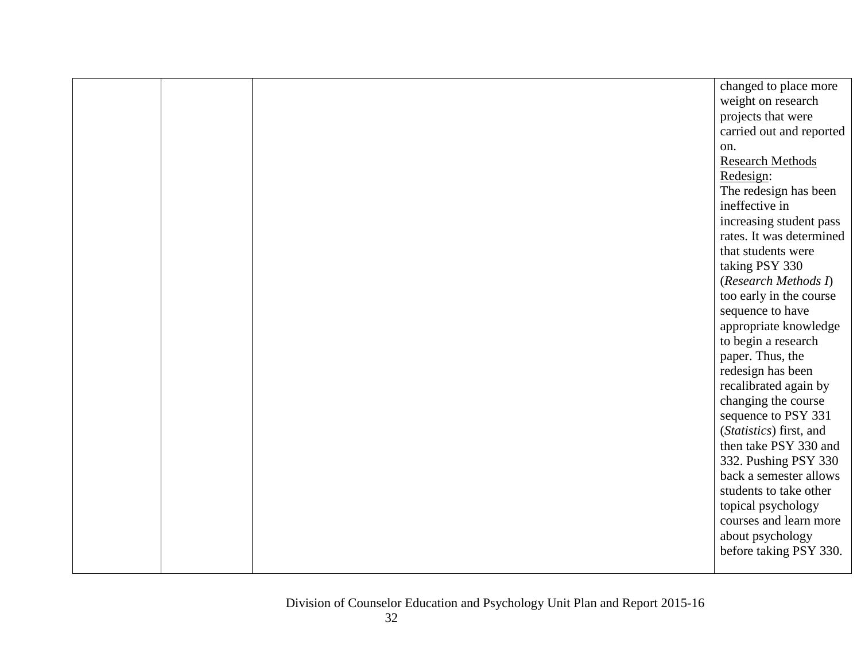|  | changed to place more    |
|--|--------------------------|
|  | weight on research       |
|  | projects that were       |
|  | carried out and reported |
|  | on.                      |
|  | <b>Research Methods</b>  |
|  | Redesign:                |
|  | The redesign has been    |
|  | ineffective in           |
|  | increasing student pass  |
|  | rates. It was determined |
|  | that students were       |
|  | taking PSY 330           |
|  | (Research Methods I)     |
|  | too early in the course  |
|  | sequence to have         |
|  | appropriate knowledge    |
|  | to begin a research      |
|  | paper. Thus, the         |
|  | redesign has been        |
|  | recalibrated again by    |
|  | changing the course      |
|  | sequence to PSY 331      |
|  | (Statistics) first, and  |
|  | then take PSY 330 and    |
|  | 332. Pushing PSY 330     |
|  | back a semester allows   |
|  | students to take other   |
|  | topical psychology       |
|  | courses and learn more   |
|  | about psychology         |
|  | before taking PSY 330.   |
|  |                          |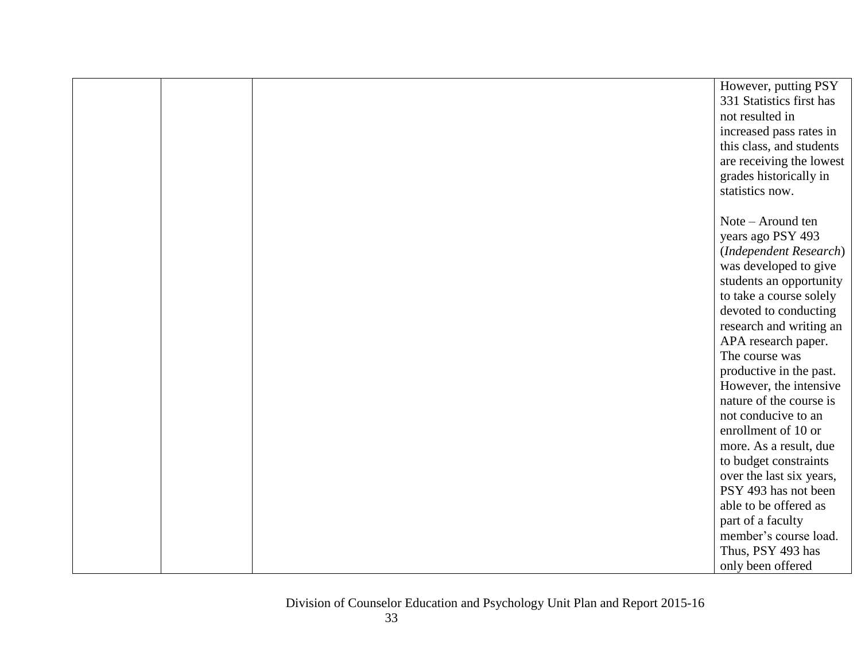|  | However, putting PSY     |
|--|--------------------------|
|  | 331 Statistics first has |
|  | not resulted in          |
|  | increased pass rates in  |
|  | this class, and students |
|  | are receiving the lowest |
|  | grades historically in   |
|  | statistics now.          |
|  |                          |
|  | Note – Around ten        |
|  | years ago PSY 493        |
|  | (Independent Research)   |
|  | was developed to give    |
|  | students an opportunity  |
|  | to take a course solely  |
|  | devoted to conducting    |
|  | research and writing an  |
|  | APA research paper.      |
|  | The course was           |
|  | productive in the past.  |
|  | However, the intensive   |
|  | nature of the course is  |
|  | not conducive to an      |
|  | enrollment of 10 or      |
|  | more. As a result, due   |
|  | to budget constraints    |
|  | over the last six years, |
|  | PSY 493 has not been     |
|  | able to be offered as    |
|  | part of a faculty        |
|  | member's course load.    |
|  | Thus, PSY 493 has        |
|  | only been offered        |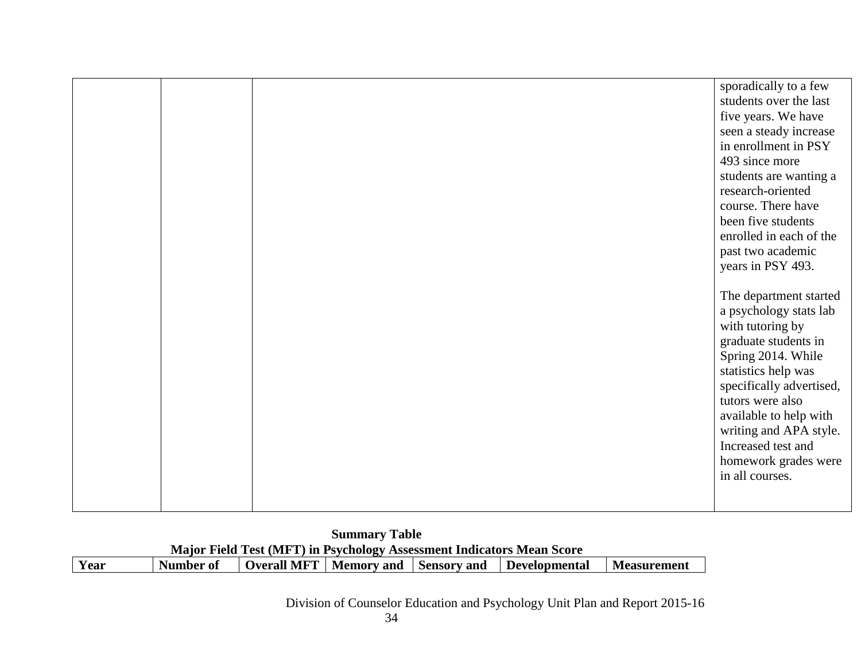| <b>Summary Table</b> |                                                                       |                                        |  |  |               |                    |  |  |
|----------------------|-----------------------------------------------------------------------|----------------------------------------|--|--|---------------|--------------------|--|--|
|                      | Major Field Test (MFT) in Psychology Assessment Indicators Mean Score |                                        |  |  |               |                    |  |  |
| Year                 | Number of                                                             | Overall MFT   Memory and   Sensory and |  |  | Developmental | <b>Measurement</b> |  |  |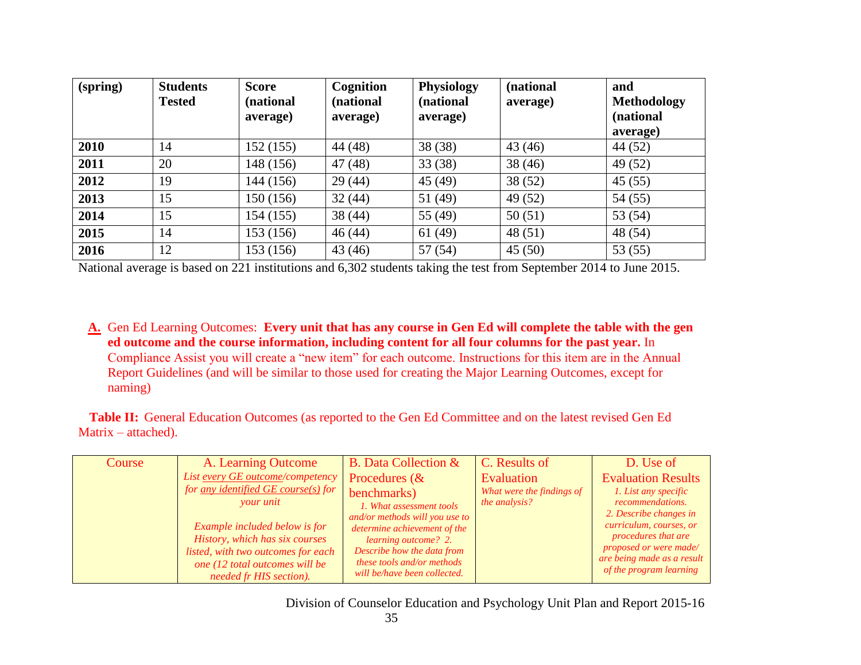| (spring) | <b>Students</b><br><b>Tested</b> | <b>Score</b><br>(national<br>average) | Cognition<br>(national<br>average) | <b>Physiology</b><br>(national<br>average) | (national<br>average) | and<br><b>Methodology</b><br>(national<br>average) |
|----------|----------------------------------|---------------------------------------|------------------------------------|--------------------------------------------|-----------------------|----------------------------------------------------|
| 2010     | 14                               | 152 (155)                             | 44 (48)                            | 38(38)                                     | 43(46)                | 44 (52)                                            |
| 2011     | 20                               | 148 (156)                             | 47(48)                             | 33(38)                                     | 38(46)                | 49 (52)                                            |
| 2012     | 19                               | 144 (156)                             | 29(44)                             | 45(49)                                     | 38(52)                | 45(55)                                             |
| 2013     | 15                               | 150 (156)                             | 32(44)                             | 51 (49)                                    | 49 (52)               | 54(55)                                             |
| 2014     | 15                               | 154 (155)                             | 38(44)                             | 55 (49)                                    | 50(51)                | 53 (54)                                            |
| 2015     | 14                               | 153 (156)                             | 46(44)                             | 61(49)                                     | 48(51)                | 48 (54)                                            |
| 2016     | 12                               | 153 (156)                             | 43(46)                             | 57(54)                                     | 45(50)                | 53 $(55)$                                          |

National average is based on 221 institutions and 6,302 students taking the test from September 2014 to June 2015.

**A.** Gen Ed Learning Outcomes: **Every unit that has any course in Gen Ed will complete the table with the gen ed outcome and the course information, including content for all four columns for the past year.** In Compliance Assist you will create a "new item" for each outcome. Instructions for this item are in the Annual Report Guidelines (and will be similar to those used for creating the Major Learning Outcomes, except for naming)

**Table II:** General Education Outcomes (as reported to the Gen Ed Committee and on the latest revised Gen Ed Matrix – attached).

| List every GE outcome/competency<br>for any identified $GE$ course(s) for<br>your unit<br>Example included below is for<br>History, which has six courses<br>listed, with two outcomes for each<br>one (12 total outcomes will be<br>needed fr HIS section). | benchmarks)<br>1. What assessment tools<br>and/or methods will you use to<br>determine achievement of the<br><i>learning outcome? 2.</i><br>Describe how the data from<br>these tools and/or methods<br>will be/have been collected. | What were the findings of<br>the analysis? | <b>Evaluation Results</b><br>1. List any specific<br>recommendations.<br>2. Describe changes in<br>curriculum, courses, or<br><i>procedures that are</i><br>proposed or were made/<br>are being made as a result<br>of the program learning |
|--------------------------------------------------------------------------------------------------------------------------------------------------------------------------------------------------------------------------------------------------------------|--------------------------------------------------------------------------------------------------------------------------------------------------------------------------------------------------------------------------------------|--------------------------------------------|---------------------------------------------------------------------------------------------------------------------------------------------------------------------------------------------------------------------------------------------|
|--------------------------------------------------------------------------------------------------------------------------------------------------------------------------------------------------------------------------------------------------------------|--------------------------------------------------------------------------------------------------------------------------------------------------------------------------------------------------------------------------------------|--------------------------------------------|---------------------------------------------------------------------------------------------------------------------------------------------------------------------------------------------------------------------------------------------|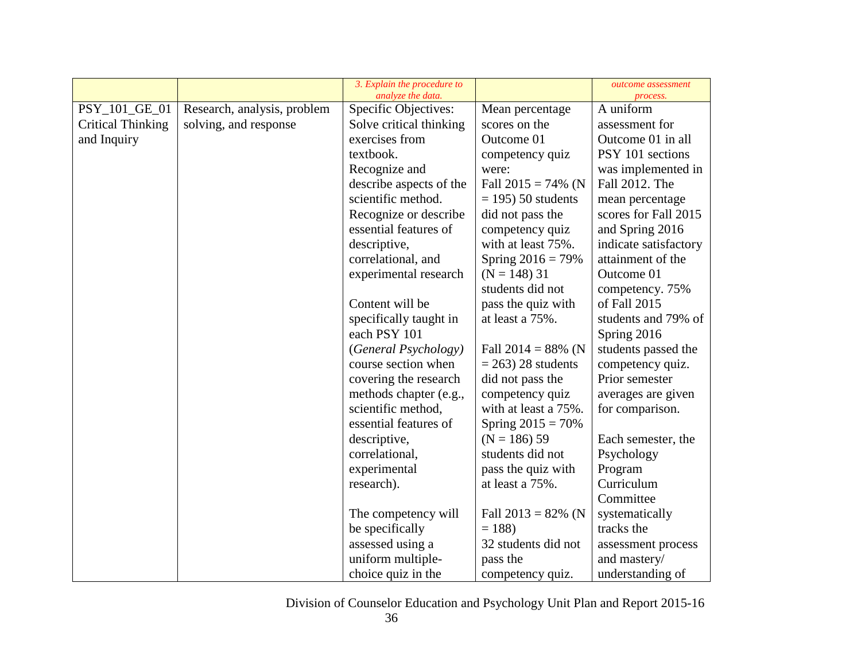|                          |                             | 3. Explain the procedure to<br>analyze the data. |                       | outcome assessment<br>process. |
|--------------------------|-----------------------------|--------------------------------------------------|-----------------------|--------------------------------|
| PSY_101_GE_01            | Research, analysis, problem | Specific Objectives:                             | Mean percentage       | A uniform                      |
| <b>Critical Thinking</b> | solving, and response       | Solve critical thinking                          | scores on the         | assessment for                 |
| and Inquiry              |                             | exercises from                                   | Outcome 01            | Outcome 01 in all              |
|                          |                             | textbook.                                        | competency quiz       | PSY 101 sections               |
|                          |                             | Recognize and                                    | were:                 | was implemented in             |
|                          |                             | describe aspects of the                          | Fall $2015 = 74\%$ (N | Fall 2012. The                 |
|                          |                             | scientific method.                               | $=$ 195) 50 students  | mean percentage                |
|                          |                             | Recognize or describe                            | did not pass the      | scores for Fall 2015           |
|                          |                             | essential features of                            | competency quiz       | and Spring 2016                |
|                          |                             | descriptive,                                     | with at least 75%.    | indicate satisfactory          |
|                          |                             | correlational, and                               | Spring $2016 = 79\%$  | attainment of the              |
|                          |                             | experimental research                            | $(N = 148)$ 31        | Outcome 01                     |
|                          |                             |                                                  | students did not      | competency. 75%                |
|                          |                             | Content will be                                  | pass the quiz with    | of Fall 2015                   |
|                          |                             | specifically taught in                           | at least a 75%.       | students and 79% of            |
|                          |                             | each PSY 101                                     |                       | Spring 2016                    |
|                          |                             | (General Psychology)                             | Fall $2014 = 88\%$ (N | students passed the            |
|                          |                             | course section when                              | $= 263$ ) 28 students | competency quiz.               |
|                          |                             | covering the research                            | did not pass the      | Prior semester                 |
|                          |                             | methods chapter (e.g.,                           | competency quiz       | averages are given             |
|                          |                             | scientific method,                               | with at least a 75%.  | for comparison.                |
|                          |                             | essential features of                            | Spring $2015 = 70\%$  |                                |
|                          |                             | descriptive,                                     | $(N = 186) 59$        | Each semester, the             |
|                          |                             | correlational,                                   | students did not      | Psychology                     |
|                          |                             | experimental                                     | pass the quiz with    | Program                        |
|                          |                             | research).                                       | at least a 75%.       | Curriculum                     |
|                          |                             |                                                  |                       | Committee                      |
|                          |                             | The competency will                              | Fall $2013 = 82\%$ (N | systematically                 |
|                          |                             | be specifically                                  | $= 188$               | tracks the                     |
|                          |                             | assessed using a                                 | 32 students did not   | assessment process             |
|                          |                             | uniform multiple-                                | pass the              | and mastery/                   |
|                          |                             | choice quiz in the                               | competency quiz.      | understanding of               |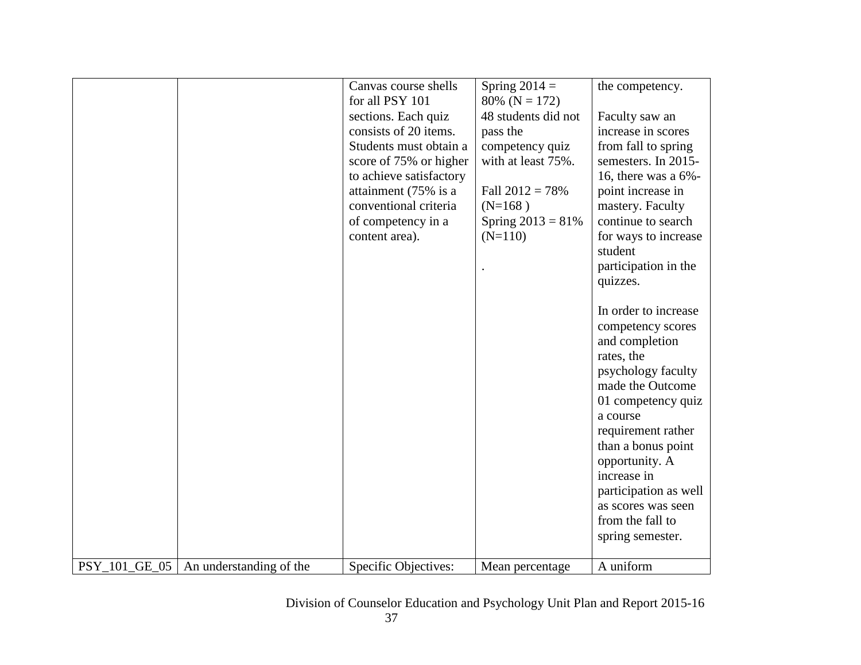|                      |                         | Canvas course shells<br>for all PSY 101 | Spring $2014 =$<br>80% ( $N = 172$ ) | the competency.         |
|----------------------|-------------------------|-----------------------------------------|--------------------------------------|-------------------------|
|                      |                         | sections. Each quiz                     | 48 students did not                  | Faculty saw an          |
|                      |                         | consists of 20 items.                   | pass the                             | increase in scores      |
|                      |                         | Students must obtain a                  | competency quiz                      | from fall to spring     |
|                      |                         | score of 75% or higher                  | with at least 75%.                   | semesters. In 2015-     |
|                      |                         | to achieve satisfactory                 |                                      | 16, there was a $6\%$ - |
|                      |                         | attainment (75% is a                    | Fall $2012 = 78%$                    | point increase in       |
|                      |                         | conventional criteria                   | $(N=168)$                            | mastery. Faculty        |
|                      |                         | of competency in a                      | Spring $2013 = 81\%$                 | continue to search      |
|                      |                         | content area).                          | $(N=110)$                            | for ways to increase    |
|                      |                         |                                         |                                      | student                 |
|                      |                         |                                         |                                      | participation in the    |
|                      |                         |                                         |                                      | quizzes.                |
|                      |                         |                                         |                                      |                         |
|                      |                         |                                         |                                      | In order to increase    |
|                      |                         |                                         |                                      | competency scores       |
|                      |                         |                                         |                                      | and completion          |
|                      |                         |                                         |                                      | rates, the              |
|                      |                         |                                         |                                      | psychology faculty      |
|                      |                         |                                         |                                      | made the Outcome        |
|                      |                         |                                         |                                      | 01 competency quiz      |
|                      |                         |                                         |                                      | a course                |
|                      |                         |                                         |                                      | requirement rather      |
|                      |                         |                                         |                                      | than a bonus point      |
|                      |                         |                                         |                                      | opportunity. A          |
|                      |                         |                                         |                                      | increase in             |
|                      |                         |                                         |                                      | participation as well   |
|                      |                         |                                         |                                      | as scores was seen      |
|                      |                         |                                         |                                      | from the fall to        |
|                      |                         |                                         |                                      | spring semester.        |
|                      |                         |                                         |                                      |                         |
| <b>PSY 101 GE 05</b> | An understanding of the | Specific Objectives:                    | Mean percentage                      | A uniform               |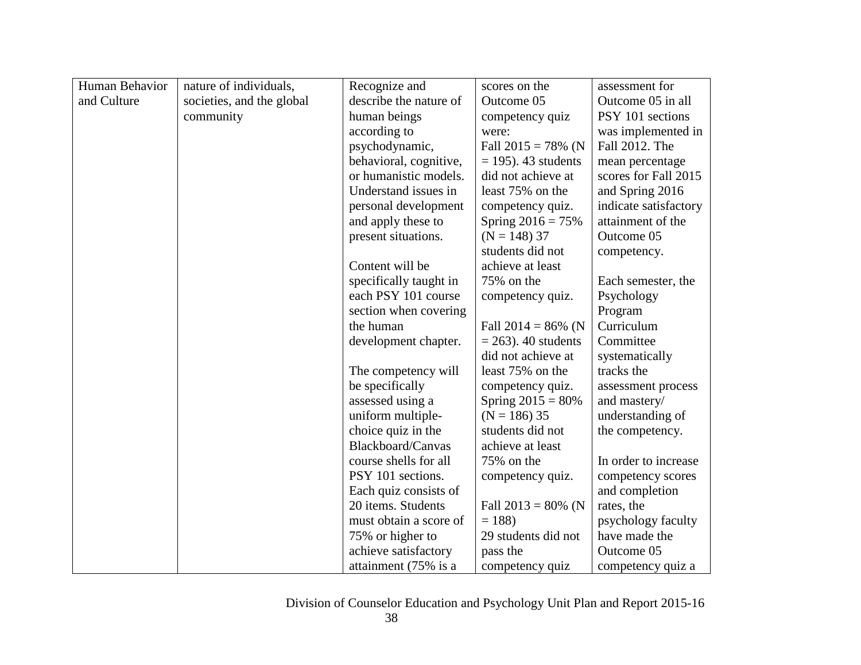| Human Behavior | nature of individuals,    | Recognize and          | scores on the          | assessment for        |
|----------------|---------------------------|------------------------|------------------------|-----------------------|
| and Culture    | societies, and the global | describe the nature of | Outcome 05             | Outcome 05 in all     |
|                | community                 | human beings           | competency quiz        | PSY 101 sections      |
|                |                           | according to           | were:                  | was implemented in    |
|                |                           | psychodynamic,         | Fall $2015 = 78\%$ (N  | Fall 2012. The        |
|                |                           | behavioral, cognitive, | $= 195$ ). 43 students | mean percentage       |
|                |                           | or humanistic models.  | did not achieve at     | scores for Fall 2015  |
|                |                           | Understand issues in   | least 75% on the       | and Spring 2016       |
|                |                           | personal development   | competency quiz.       | indicate satisfactory |
|                |                           | and apply these to     | Spring $2016 = 75%$    | attainment of the     |
|                |                           | present situations.    | $(N = 148)$ 37         | Outcome 05            |
|                |                           |                        | students did not       | competency.           |
|                |                           | Content will be        | achieve at least       |                       |
|                |                           | specifically taught in | 75% on the             | Each semester, the    |
|                |                           | each PSY 101 course    | competency quiz.       | Psychology            |
|                |                           | section when covering  |                        | Program               |
|                |                           | the human              | Fall $2014 = 86\%$ (N  | Curriculum            |
|                |                           | development chapter.   | $= 263$ ). 40 students | Committee             |
|                |                           |                        | did not achieve at     | systematically        |
|                |                           | The competency will    | least 75% on the       | tracks the            |
|                |                           | be specifically        | competency quiz.       | assessment process    |
|                |                           | assessed using a       | Spring $2015 = 80\%$   | and mastery/          |
|                |                           | uniform multiple-      | $(N = 186)$ 35         | understanding of      |
|                |                           | choice quiz in the     | students did not       | the competency.       |
|                |                           | Blackboard/Canvas      | achieve at least       |                       |
|                |                           | course shells for all  | 75% on the             | In order to increase  |
|                |                           | PSY 101 sections.      | competency quiz.       | competency scores     |
|                |                           | Each quiz consists of  |                        | and completion        |
|                |                           | 20 items. Students     | Fall $2013 = 80\%$ (N  | rates, the            |
|                |                           | must obtain a score of | $= 188$                | psychology faculty    |
|                |                           | 75% or higher to       | 29 students did not    | have made the         |
|                |                           | achieve satisfactory   | pass the               | Outcome 05            |
|                |                           | attainment (75% is a   | competency quiz        | competency quiz a     |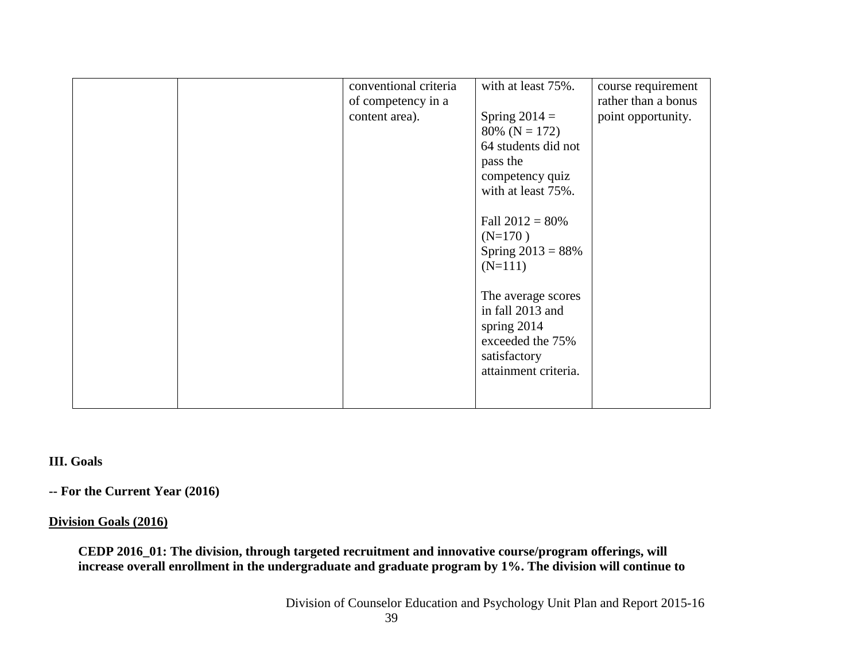|  | conventional criteria | with at least 75%.   | course requirement  |
|--|-----------------------|----------------------|---------------------|
|  | of competency in a    |                      | rather than a bonus |
|  | content area).        | Spring $2014 =$      | point opportunity.  |
|  |                       | $80\%$ (N = 172)     |                     |
|  |                       | 64 students did not  |                     |
|  |                       | pass the             |                     |
|  |                       | competency quiz      |                     |
|  |                       | with at least 75%.   |                     |
|  |                       |                      |                     |
|  |                       | Fall $2012 = 80\%$   |                     |
|  |                       | $(N=170)$            |                     |
|  |                       | Spring $2013 = 88%$  |                     |
|  |                       | $(N=111)$            |                     |
|  |                       |                      |                     |
|  |                       | The average scores   |                     |
|  |                       | in fall 2013 and     |                     |
|  |                       | spring $2014$        |                     |
|  |                       | exceeded the 75%     |                     |
|  |                       | satisfactory         |                     |
|  |                       | attainment criteria. |                     |
|  |                       |                      |                     |
|  |                       |                      |                     |

# **III. Goals**

**-- For the Current Year (2016)**

#### **Division Goals (2016)**

**CEDP 2016\_01: The division, through targeted recruitment and innovative course/program offerings, will increase overall enrollment in the undergraduate and graduate program by 1%. The division will continue to**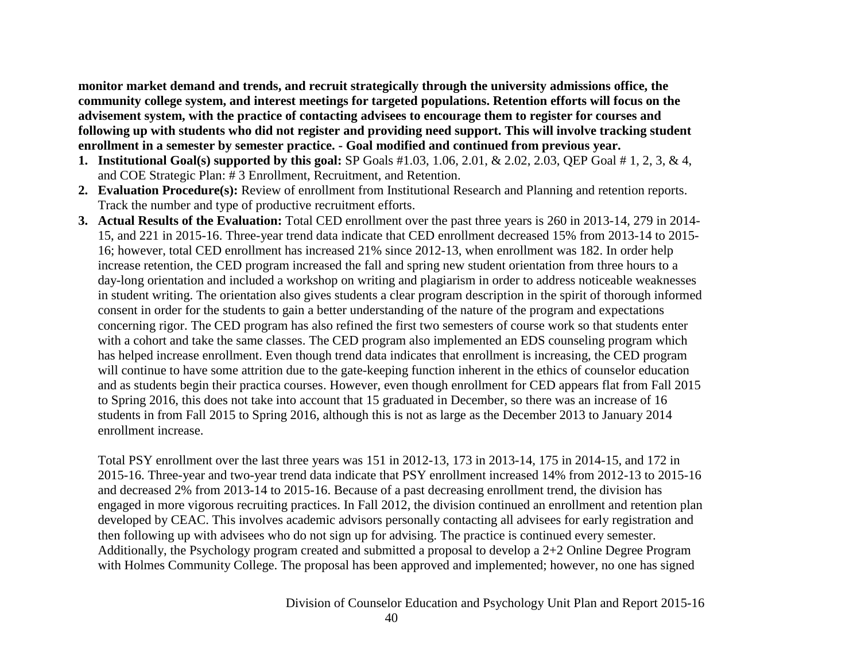**monitor market demand and trends, and recruit strategically through the university admissions office, the community college system, and interest meetings for targeted populations. Retention efforts will focus on the advisement system, with the practice of contacting advisees to encourage them to register for courses and following up with students who did not register and providing need support. This will involve tracking student enrollment in a semester by semester practice. - Goal modified and continued from previous year.**

- **1. Institutional Goal(s) supported by this goal:** SP Goals #1.03, 1.06, 2.01, & 2.02, 2.03, QEP Goal # 1, 2, 3, & 4, and COE Strategic Plan: # 3 Enrollment, Recruitment, and Retention.
- **2. Evaluation Procedure(s):** Review of enrollment from Institutional Research and Planning and retention reports. Track the number and type of productive recruitment efforts.
- **3. Actual Results of the Evaluation:** Total CED enrollment over the past three years is 260 in 2013-14, 279 in 2014- 15, and 221 in 2015-16. Three-year trend data indicate that CED enrollment decreased 15% from 2013-14 to 2015- 16; however, total CED enrollment has increased 21% since 2012-13, when enrollment was 182. In order help increase retention, the CED program increased the fall and spring new student orientation from three hours to a day-long orientation and included a workshop on writing and plagiarism in order to address noticeable weaknesses in student writing. The orientation also gives students a clear program description in the spirit of thorough informed consent in order for the students to gain a better understanding of the nature of the program and expectations concerning rigor. The CED program has also refined the first two semesters of course work so that students enter with a cohort and take the same classes. The CED program also implemented an EDS counseling program which has helped increase enrollment. Even though trend data indicates that enrollment is increasing, the CED program will continue to have some attrition due to the gate-keeping function inherent in the ethics of counselor education and as students begin their practica courses. However, even though enrollment for CED appears flat from Fall 2015 to Spring 2016, this does not take into account that 15 graduated in December, so there was an increase of 16 students in from Fall 2015 to Spring 2016, although this is not as large as the December 2013 to January 2014 enrollment increase.

Total PSY enrollment over the last three years was 151 in 2012-13, 173 in 2013-14, 175 in 2014-15, and 172 in 2015-16. Three-year and two-year trend data indicate that PSY enrollment increased 14% from 2012-13 to 2015-16 and decreased 2% from 2013-14 to 2015-16. Because of a past decreasing enrollment trend, the division has engaged in more vigorous recruiting practices. In Fall 2012, the division continued an enrollment and retention plan developed by CEAC. This involves academic advisors personally contacting all advisees for early registration and then following up with advisees who do not sign up for advising. The practice is continued every semester. Additionally, the Psychology program created and submitted a proposal to develop a 2+2 Online Degree Program with Holmes Community College. The proposal has been approved and implemented; however, no one has signed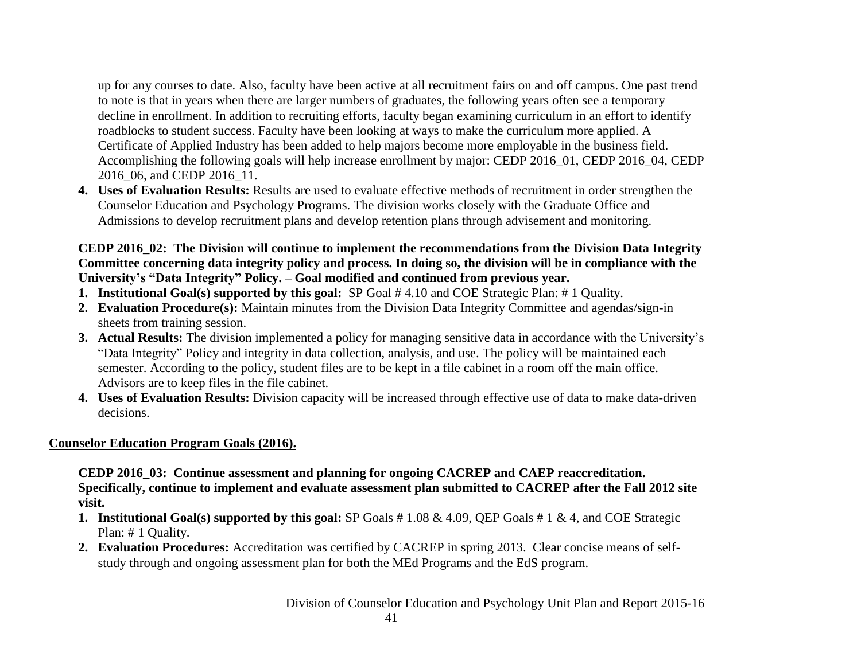up for any courses to date. Also, faculty have been active at all recruitment fairs on and off campus. One past trend to note is that in years when there are larger numbers of graduates, the following years often see a temporary decline in enrollment. In addition to recruiting efforts, faculty began examining curriculum in an effort to identify roadblocks to student success. Faculty have been looking at ways to make the curriculum more applied. A Certificate of Applied Industry has been added to help majors become more employable in the business field. Accomplishing the following goals will help increase enrollment by major: CEDP 2016\_01, CEDP 2016\_04, CEDP 2016 06, and CEDP 2016 11.

**4. Uses of Evaluation Results:** Results are used to evaluate effective methods of recruitment in order strengthen the Counselor Education and Psychology Programs. The division works closely with the Graduate Office and Admissions to develop recruitment plans and develop retention plans through advisement and monitoring.

# **CEDP 2016\_02: The Division will continue to implement the recommendations from the Division Data Integrity Committee concerning data integrity policy and process. In doing so, the division will be in compliance with the University's "Data Integrity" Policy. – Goal modified and continued from previous year.**

- **1. Institutional Goal(s) supported by this goal:** SP Goal # 4.10 and COE Strategic Plan: # 1 Quality.
- **2. Evaluation Procedure(s):** Maintain minutes from the Division Data Integrity Committee and agendas/sign-in sheets from training session.
- **3. Actual Results:** The division implemented a policy for managing sensitive data in accordance with the University's "Data Integrity" Policy and integrity in data collection, analysis, and use. The policy will be maintained each semester. According to the policy, student files are to be kept in a file cabinet in a room off the main office. Advisors are to keep files in the file cabinet.
- **4. Uses of Evaluation Results:** Division capacity will be increased through effective use of data to make data-driven decisions.

# **Counselor Education Program Goals (2016).**

**CEDP 2016\_03: Continue assessment and planning for ongoing CACREP and CAEP reaccreditation. Specifically, continue to implement and evaluate assessment plan submitted to CACREP after the Fall 2012 site visit.** 

- **1. Institutional Goal(s) supported by this goal:** SP Goals # 1.08 & 4.09, QEP Goals # 1 & 4, and COE Strategic Plan: # 1 Quality.
- **2. Evaluation Procedures:** Accreditation was certified by CACREP in spring 2013. Clear concise means of selfstudy through and ongoing assessment plan for both the MEd Programs and the EdS program.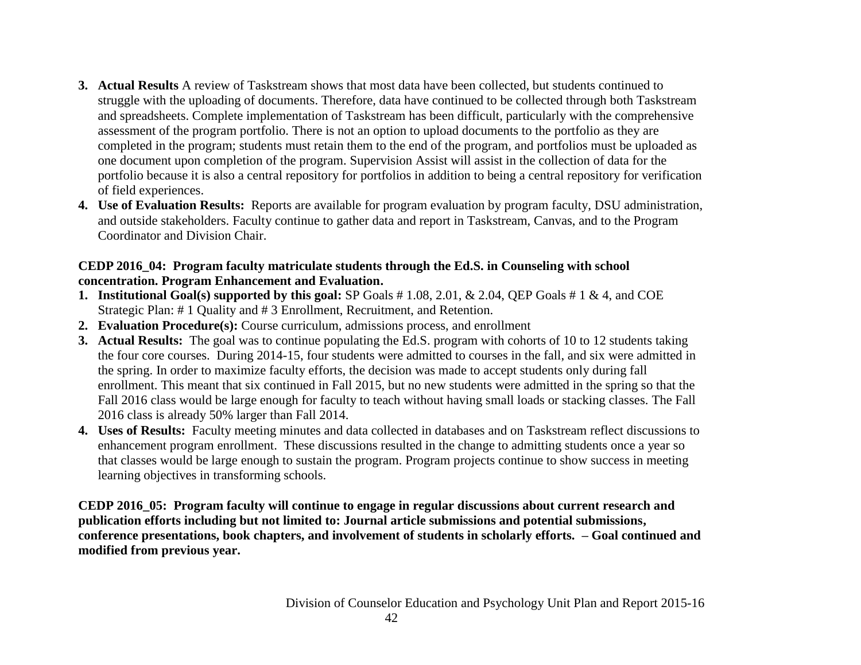- **3. Actual Results** A review of Taskstream shows that most data have been collected, but students continued to struggle with the uploading of documents. Therefore, data have continued to be collected through both Taskstream and spreadsheets. Complete implementation of Taskstream has been difficult, particularly with the comprehensive assessment of the program portfolio. There is not an option to upload documents to the portfolio as they are completed in the program; students must retain them to the end of the program, and portfolios must be uploaded as one document upon completion of the program. Supervision Assist will assist in the collection of data for the portfolio because it is also a central repository for portfolios in addition to being a central repository for verification of field experiences.
- **4. Use of Evaluation Results:** Reports are available for program evaluation by program faculty, DSU administration, and outside stakeholders. Faculty continue to gather data and report in Taskstream, Canvas, and to the Program Coordinator and Division Chair.

## **CEDP 2016\_04: Program faculty matriculate students through the Ed.S. in Counseling with school concentration. Program Enhancement and Evaluation.**

- **1. Institutional Goal(s) supported by this goal:** SP Goals # 1.08, 2.01, & 2.04, QEP Goals # 1 & 4, and COE Strategic Plan: # 1 Quality and # 3 Enrollment, Recruitment, and Retention.
- **2. Evaluation Procedure(s):** Course curriculum, admissions process, and enrollment
- **3. Actual Results:** The goal was to continue populating the Ed.S. program with cohorts of 10 to 12 students taking the four core courses. During 2014-15, four students were admitted to courses in the fall, and six were admitted in the spring. In order to maximize faculty efforts, the decision was made to accept students only during fall enrollment. This meant that six continued in Fall 2015, but no new students were admitted in the spring so that the Fall 2016 class would be large enough for faculty to teach without having small loads or stacking classes. The Fall 2016 class is already 50% larger than Fall 2014.
- **4. Uses of Results:** Faculty meeting minutes and data collected in databases and on Taskstream reflect discussions to enhancement program enrollment. These discussions resulted in the change to admitting students once a year so that classes would be large enough to sustain the program. Program projects continue to show success in meeting learning objectives in transforming schools.

**CEDP 2016\_05: Program faculty will continue to engage in regular discussions about current research and publication efforts including but not limited to: Journal article submissions and potential submissions, conference presentations, book chapters, and involvement of students in scholarly efforts. – Goal continued and modified from previous year.**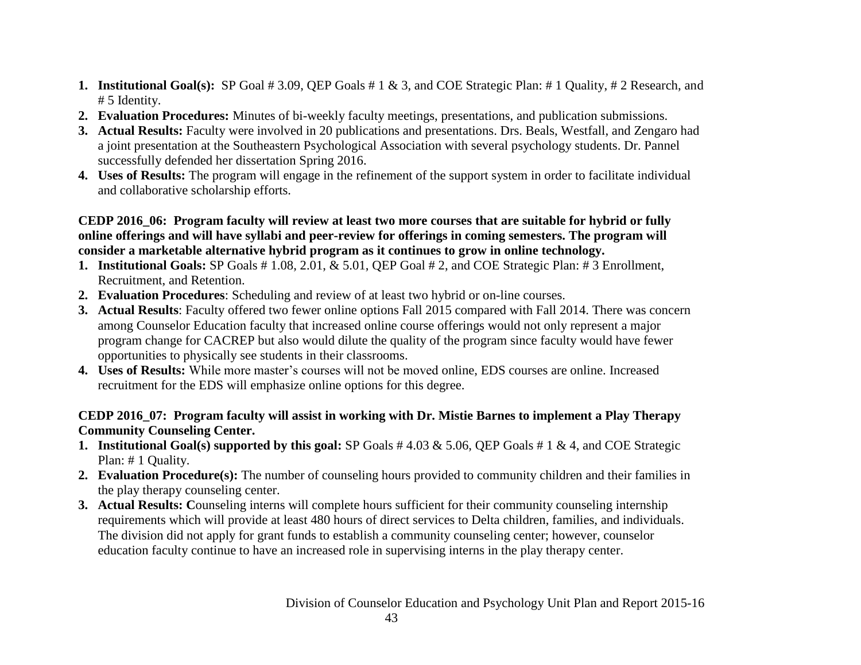- **1. Institutional Goal(s):** SP Goal # 3.09, QEP Goals # 1 & 3, and COE Strategic Plan: # 1 Quality, # 2 Research, and # 5 Identity.
- **2. Evaluation Procedures:** Minutes of bi-weekly faculty meetings, presentations, and publication submissions.
- **3. Actual Results:** Faculty were involved in 20 publications and presentations. Drs. Beals, Westfall, and Zengaro had a joint presentation at the Southeastern Psychological Association with several psychology students. Dr. Pannel successfully defended her dissertation Spring 2016.
- **4. Uses of Results:** The program will engage in the refinement of the support system in order to facilitate individual and collaborative scholarship efforts.

## **CEDP 2016\_06: Program faculty will review at least two more courses that are suitable for hybrid or fully online offerings and will have syllabi and peer-review for offerings in coming semesters. The program will consider a marketable alternative hybrid program as it continues to grow in online technology.**

- **1. Institutional Goals:** SP Goals # 1.08, 2.01, & 5.01, QEP Goal # 2, and COE Strategic Plan: # 3 Enrollment, Recruitment, and Retention.
- **2. Evaluation Procedures**: Scheduling and review of at least two hybrid or on-line courses.
- **3. Actual Results**: Faculty offered two fewer online options Fall 2015 compared with Fall 2014. There was concern among Counselor Education faculty that increased online course offerings would not only represent a major program change for CACREP but also would dilute the quality of the program since faculty would have fewer opportunities to physically see students in their classrooms.
- **4. Uses of Results:** While more master's courses will not be moved online, EDS courses are online. Increased recruitment for the EDS will emphasize online options for this degree.

# **CEDP 2016\_07: Program faculty will assist in working with Dr. Mistie Barnes to implement a Play Therapy Community Counseling Center.**

- **1. Institutional Goal(s) supported by this goal:** SP Goals # 4.03 & 5.06, QEP Goals # 1 & 4, and COE Strategic Plan: # 1 Quality.
- **2. Evaluation Procedure(s):** The number of counseling hours provided to community children and their families in the play therapy counseling center.
- **3. Actual Results: C**ounseling interns will complete hours sufficient for their community counseling internship requirements which will provide at least 480 hours of direct services to Delta children, families, and individuals. The division did not apply for grant funds to establish a community counseling center; however, counselor education faculty continue to have an increased role in supervising interns in the play therapy center.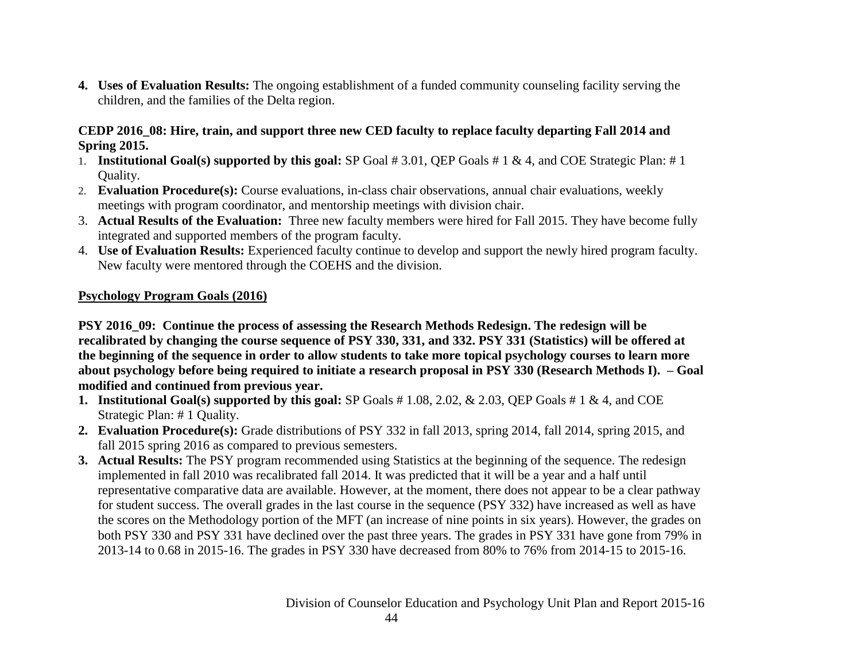**4. Uses of Evaluation Results:** The ongoing establishment of a funded community counseling facility serving the children, and the families of the Delta region.

#### **CEDP 2016\_08: Hire, train, and support three new CED faculty to replace faculty departing Fall 2014 and Spring 2015.**

- 1. **Institutional Goal(s) supported by this goal:** SP Goal # 3.01, QEP Goals # 1 & 4, and COE Strategic Plan: # 1 Quality.
- 2. **Evaluation Procedure(s):** Course evaluations, in-class chair observations, annual chair evaluations, weekly meetings with program coordinator, and mentorship meetings with division chair.
- 3. **Actual Results of the Evaluation:** Three new faculty members were hired for Fall 2015. They have become fully integrated and supported members of the program faculty.
- 4. **Use of Evaluation Results:** Experienced faculty continue to develop and support the newly hired program faculty. New faculty were mentored through the COEHS and the division.

## **Psychology Program Goals (2016)**

**PSY 2016\_09: Continue the process of assessing the Research Methods Redesign. The redesign will be recalibrated by changing the course sequence of PSY 330, 331, and 332. PSY 331 (Statistics) will be offered at the beginning of the sequence in order to allow students to take more topical psychology courses to learn more about psychology before being required to initiate a research proposal in PSY 330 (Research Methods I). – Goal modified and continued from previous year.**

- **1. Institutional Goal(s) supported by this goal:** SP Goals # 1.08, 2.02, & 2.03, QEP Goals # 1 & 4, and COE Strategic Plan: # 1 Quality.
- **2. Evaluation Procedure(s):** Grade distributions of PSY 332 in fall 2013, spring 2014, fall 2014, spring 2015, and fall 2015 spring 2016 as compared to previous semesters.
- **3. Actual Results:** The PSY program recommended using Statistics at the beginning of the sequence. The redesign implemented in fall 2010 was recalibrated fall 2014. It was predicted that it will be a year and a half until representative comparative data are available. However, at the moment, there does not appear to be a clear pathway for student success. The overall grades in the last course in the sequence (PSY 332) have increased as well as have the scores on the Methodology portion of the MFT (an increase of nine points in six years). However, the grades on both PSY 330 and PSY 331 have declined over the past three years. The grades in PSY 331 have gone from 79% in 2013-14 to 0.68 in 2015-16. The grades in PSY 330 have decreased from 80% to 76% from 2014-15 to 2015-16.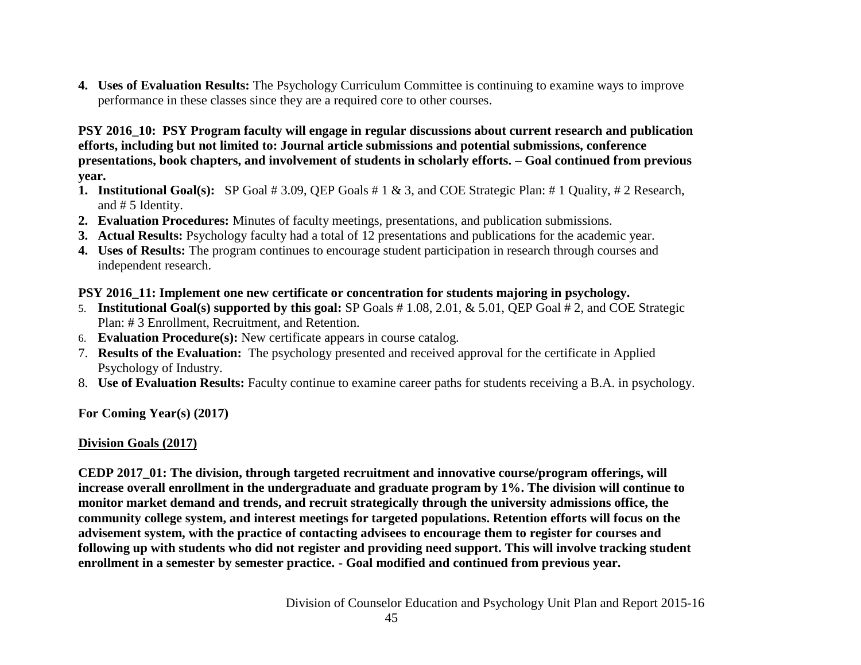**4. Uses of Evaluation Results:** The Psychology Curriculum Committee is continuing to examine ways to improve performance in these classes since they are a required core to other courses.

**PSY 2016\_10: PSY Program faculty will engage in regular discussions about current research and publication efforts, including but not limited to: Journal article submissions and potential submissions, conference presentations, book chapters, and involvement of students in scholarly efforts. – Goal continued from previous year.**

- **1. Institutional Goal(s):** SP Goal # 3.09, QEP Goals # 1 & 3, and COE Strategic Plan: # 1 Quality, # 2 Research, and # 5 Identity.
- **2. Evaluation Procedures:** Minutes of faculty meetings, presentations, and publication submissions.
- **3. Actual Results:** Psychology faculty had a total of 12 presentations and publications for the academic year.
- **4. Uses of Results:** The program continues to encourage student participation in research through courses and independent research.

# **PSY 2016\_11: Implement one new certificate or concentration for students majoring in psychology.**

- 5. **Institutional Goal(s) supported by this goal:** SP Goals # 1.08, 2.01, & 5.01, QEP Goal # 2, and COE Strategic Plan: # 3 Enrollment, Recruitment, and Retention.
- 6. **Evaluation Procedure(s):** New certificate appears in course catalog.
- 7. **Results of the Evaluation:** The psychology presented and received approval for the certificate in Applied Psychology of Industry.
- 8. **Use of Evaluation Results:** Faculty continue to examine career paths for students receiving a B.A. in psychology.

**For Coming Year(s) (2017)**

# **Division Goals (2017)**

**CEDP 2017\_01: The division, through targeted recruitment and innovative course/program offerings, will increase overall enrollment in the undergraduate and graduate program by 1%. The division will continue to monitor market demand and trends, and recruit strategically through the university admissions office, the community college system, and interest meetings for targeted populations. Retention efforts will focus on the advisement system, with the practice of contacting advisees to encourage them to register for courses and following up with students who did not register and providing need support. This will involve tracking student enrollment in a semester by semester practice. - Goal modified and continued from previous year.**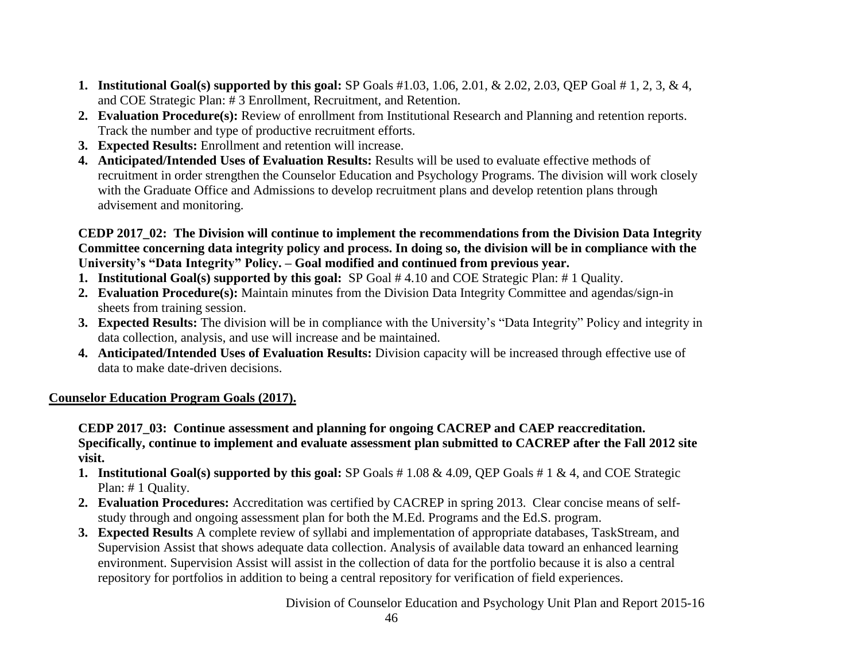- **1. Institutional Goal(s) supported by this goal:** SP Goals #1.03, 1.06, 2.01, & 2.02, 2.03, QEP Goal # 1, 2, 3, & 4, and COE Strategic Plan: # 3 Enrollment, Recruitment, and Retention.
- **2. Evaluation Procedure(s):** Review of enrollment from Institutional Research and Planning and retention reports. Track the number and type of productive recruitment efforts.
- **3. Expected Results:** Enrollment and retention will increase.
- **4. Anticipated/Intended Uses of Evaluation Results:** Results will be used to evaluate effective methods of recruitment in order strengthen the Counselor Education and Psychology Programs. The division will work closely with the Graduate Office and Admissions to develop recruitment plans and develop retention plans through advisement and monitoring.

## **CEDP 2017\_02: The Division will continue to implement the recommendations from the Division Data Integrity Committee concerning data integrity policy and process. In doing so, the division will be in compliance with the University's "Data Integrity" Policy. – Goal modified and continued from previous year.**

- **1. Institutional Goal(s) supported by this goal:** SP Goal # 4.10 and COE Strategic Plan: # 1 Quality.
- **2. Evaluation Procedure(s):** Maintain minutes from the Division Data Integrity Committee and agendas/sign-in sheets from training session.
- **3. Expected Results:** The division will be in compliance with the University's "Data Integrity" Policy and integrity in data collection, analysis, and use will increase and be maintained.
- **4. Anticipated/Intended Uses of Evaluation Results:** Division capacity will be increased through effective use of data to make date-driven decisions.

# **Counselor Education Program Goals (2017).**

**CEDP 2017\_03: Continue assessment and planning for ongoing CACREP and CAEP reaccreditation. Specifically, continue to implement and evaluate assessment plan submitted to CACREP after the Fall 2012 site visit.** 

- **1. Institutional Goal(s) supported by this goal:** SP Goals # 1.08 & 4.09, QEP Goals # 1 & 4, and COE Strategic Plan: # 1 Quality.
- **2. Evaluation Procedures:** Accreditation was certified by CACREP in spring 2013. Clear concise means of selfstudy through and ongoing assessment plan for both the M.Ed. Programs and the Ed.S. program.
- **3. Expected Results** A complete review of syllabi and implementation of appropriate databases, TaskStream, and Supervision Assist that shows adequate data collection. Analysis of available data toward an enhanced learning environment. Supervision Assist will assist in the collection of data for the portfolio because it is also a central repository for portfolios in addition to being a central repository for verification of field experiences.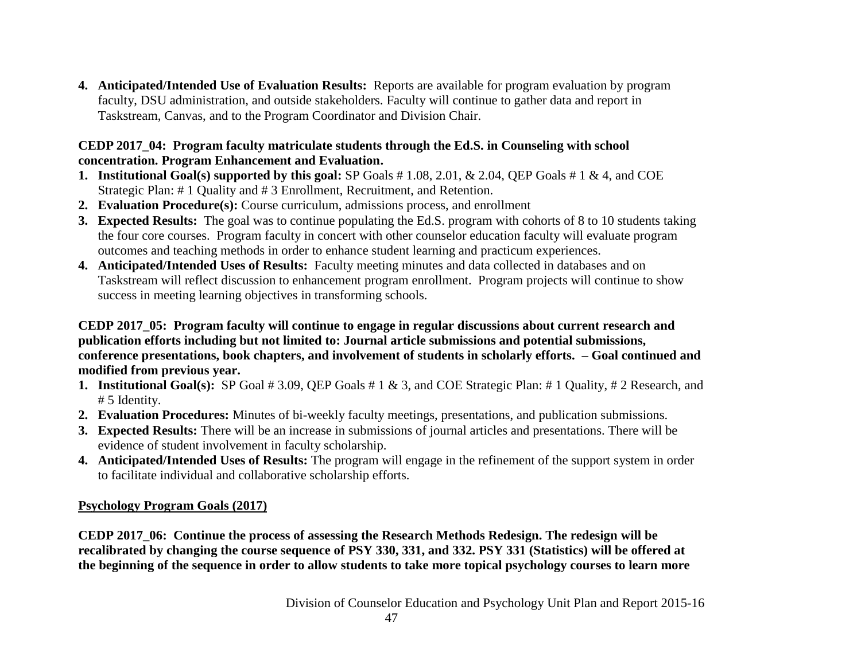**4. Anticipated/Intended Use of Evaluation Results:** Reports are available for program evaluation by program faculty, DSU administration, and outside stakeholders. Faculty will continue to gather data and report in Taskstream, Canvas, and to the Program Coordinator and Division Chair.

## **CEDP 2017\_04: Program faculty matriculate students through the Ed.S. in Counseling with school concentration. Program Enhancement and Evaluation.**

- **1. Institutional Goal(s) supported by this goal:** SP Goals # 1.08, 2.01, & 2.04, QEP Goals # 1 & 4, and COE Strategic Plan: # 1 Quality and # 3 Enrollment, Recruitment, and Retention.
- **2. Evaluation Procedure(s):** Course curriculum, admissions process, and enrollment
- **3. Expected Results:** The goal was to continue populating the Ed.S. program with cohorts of 8 to 10 students taking the four core courses. Program faculty in concert with other counselor education faculty will evaluate program outcomes and teaching methods in order to enhance student learning and practicum experiences.
- **4. Anticipated/Intended Uses of Results:** Faculty meeting minutes and data collected in databases and on Taskstream will reflect discussion to enhancement program enrollment. Program projects will continue to show success in meeting learning objectives in transforming schools.

## **CEDP 2017\_05: Program faculty will continue to engage in regular discussions about current research and publication efforts including but not limited to: Journal article submissions and potential submissions, conference presentations, book chapters, and involvement of students in scholarly efforts. – Goal continued and modified from previous year.**

- **1. Institutional Goal(s):** SP Goal # 3.09, QEP Goals # 1 & 3, and COE Strategic Plan: # 1 Quality, # 2 Research, and # 5 Identity.
- **2. Evaluation Procedures:** Minutes of bi-weekly faculty meetings, presentations, and publication submissions.
- **3. Expected Results:** There will be an increase in submissions of journal articles and presentations. There will be evidence of student involvement in faculty scholarship.
- **4. Anticipated/Intended Uses of Results:** The program will engage in the refinement of the support system in order to facilitate individual and collaborative scholarship efforts.

# **Psychology Program Goals (2017)**

**CEDP 2017\_06: Continue the process of assessing the Research Methods Redesign. The redesign will be recalibrated by changing the course sequence of PSY 330, 331, and 332. PSY 331 (Statistics) will be offered at the beginning of the sequence in order to allow students to take more topical psychology courses to learn more**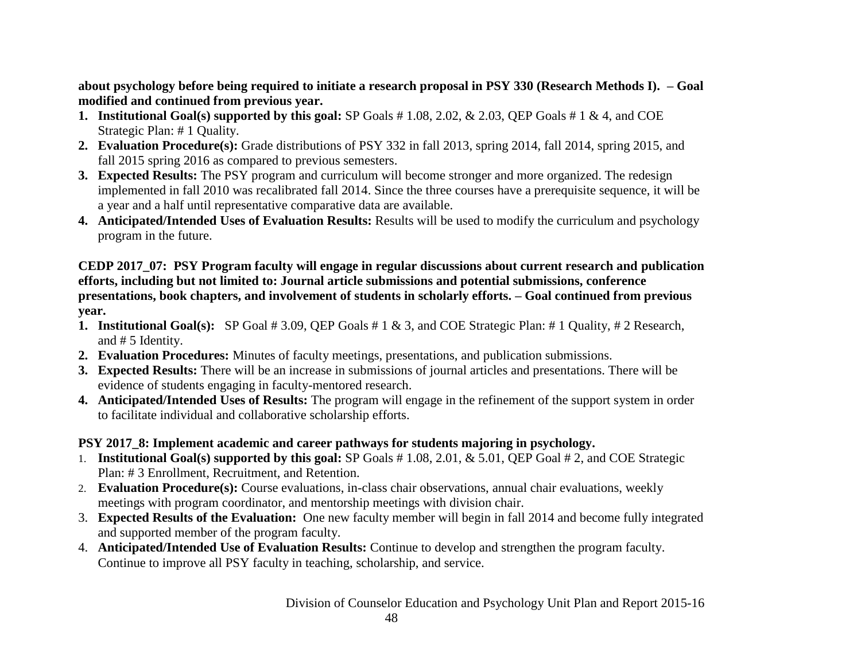**about psychology before being required to initiate a research proposal in PSY 330 (Research Methods I). – Goal modified and continued from previous year.**

- **1. Institutional Goal(s) supported by this goal:** SP Goals # 1.08, 2.02, & 2.03, QEP Goals # 1 & 4, and COE Strategic Plan: # 1 Quality.
- **2. Evaluation Procedure(s):** Grade distributions of PSY 332 in fall 2013, spring 2014, fall 2014, spring 2015, and fall 2015 spring 2016 as compared to previous semesters.
- **3. Expected Results:** The PSY program and curriculum will become stronger and more organized. The redesign implemented in fall 2010 was recalibrated fall 2014. Since the three courses have a prerequisite sequence, it will be a year and a half until representative comparative data are available.
- **4. Anticipated/Intended Uses of Evaluation Results:** Results will be used to modify the curriculum and psychology program in the future.

#### **CEDP 2017\_07: PSY Program faculty will engage in regular discussions about current research and publication efforts, including but not limited to: Journal article submissions and potential submissions, conference presentations, book chapters, and involvement of students in scholarly efforts. – Goal continued from previous year.**

- **1. Institutional Goal(s):** SP Goal # 3.09, QEP Goals # 1 & 3, and COE Strategic Plan: # 1 Quality, # 2 Research, and # 5 Identity.
- **2. Evaluation Procedures:** Minutes of faculty meetings, presentations, and publication submissions.
- **3. Expected Results:** There will be an increase in submissions of journal articles and presentations. There will be evidence of students engaging in faculty-mentored research.
- **4. Anticipated/Intended Uses of Results:** The program will engage in the refinement of the support system in order to facilitate individual and collaborative scholarship efforts.

# **PSY 2017\_8: Implement academic and career pathways for students majoring in psychology.**

- 1. **Institutional Goal(s) supported by this goal:** SP Goals # 1.08, 2.01, & 5.01, QEP Goal # 2, and COE Strategic Plan: # 3 Enrollment, Recruitment, and Retention.
- 2. **Evaluation Procedure(s):** Course evaluations, in-class chair observations, annual chair evaluations, weekly meetings with program coordinator, and mentorship meetings with division chair.
- 3. **Expected Results of the Evaluation:** One new faculty member will begin in fall 2014 and become fully integrated and supported member of the program faculty.
- 4. **Anticipated/Intended Use of Evaluation Results:** Continue to develop and strengthen the program faculty. Continue to improve all PSY faculty in teaching, scholarship, and service.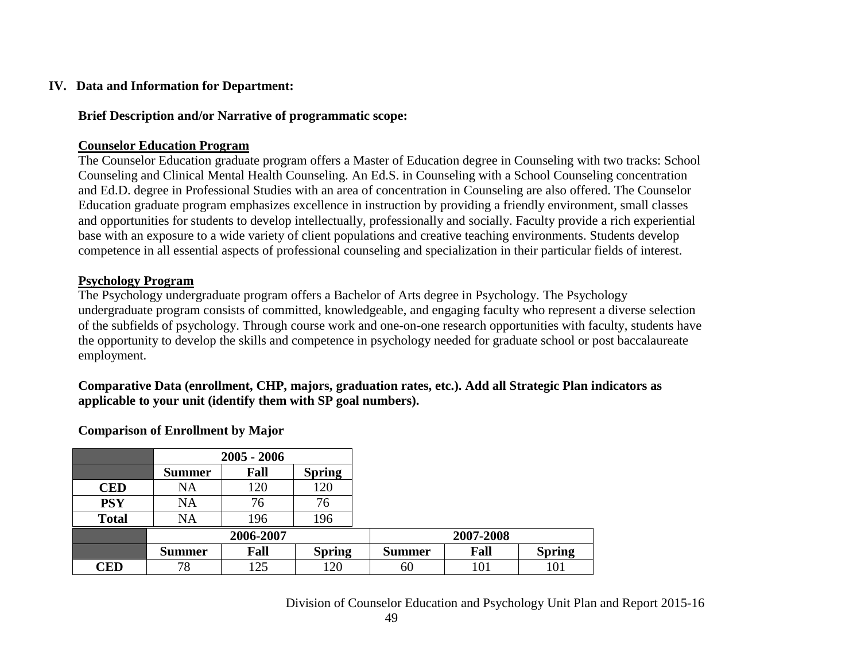#### **IV. Data and Information for Department:**

#### **Brief Description and/or Narrative of programmatic scope:**

#### **Counselor Education Program**

The Counselor Education graduate program offers a Master of Education degree in Counseling with two tracks: School Counseling and Clinical Mental Health Counseling. An Ed.S. in Counseling with a School Counseling concentration and Ed.D. degree in Professional Studies with an area of concentration in Counseling are also offered. The Counselor Education graduate program emphasizes excellence in instruction by providing a friendly environment, small classes and opportunities for students to develop intellectually, professionally and socially. Faculty provide a rich experiential base with an exposure to a wide variety of client populations and creative teaching environments. Students develop competence in all essential aspects of professional counseling and specialization in their particular fields of interest.

#### **Psychology Program**

The Psychology undergraduate program offers a Bachelor of Arts degree in Psychology. The Psychology undergraduate program consists of committed, knowledgeable, and engaging faculty who represent a diverse selection of the subfields of psychology. Through course work and one-on-one research opportunities with faculty, students have the opportunity to develop the skills and competence in psychology needed for graduate school or post baccalaureate employment.

**Comparative Data (enrollment, CHP, majors, graduation rates, etc.). Add all Strategic Plan indicators as applicable to your unit (identify them with SP goal numbers).**

#### **Comparison of Enrollment by Major**

|              |               | $2005 - 2006$ |               |               |           |               |
|--------------|---------------|---------------|---------------|---------------|-----------|---------------|
|              | <b>Summer</b> | Fall          | <b>Spring</b> |               |           |               |
| <b>CED</b>   | NA            | 120           | 120           |               |           |               |
| <b>PSY</b>   | NA            | 76            | 76            |               |           |               |
| <b>Total</b> | NA            | 196           | 196           |               |           |               |
|              |               | 2006-2007     |               |               | 2007-2008 |               |
|              | <b>Summer</b> | Fall          | <b>Spring</b> | <b>Summer</b> | Fall      | <b>Spring</b> |
| CED          | 78            | 125           | .20           | 60            | 101       | 101           |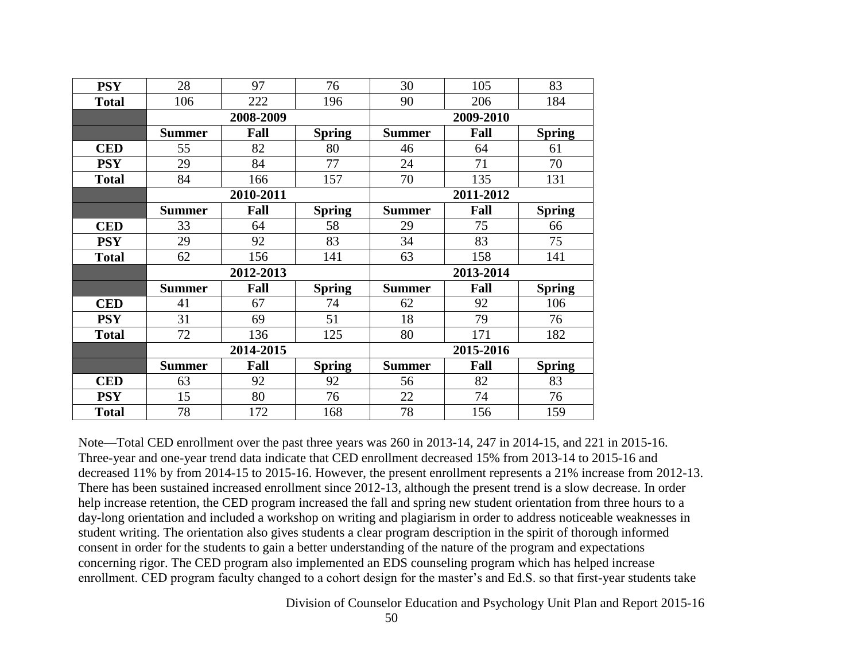| <b>PSY</b>   | 28            | 97        | 76            | 30            | 105       | 83            |
|--------------|---------------|-----------|---------------|---------------|-----------|---------------|
| <b>Total</b> | 106           | 222       | 196           | 90            | 206       | 184           |
|              |               | 2008-2009 |               | 2009-2010     |           |               |
|              | <b>Summer</b> | Fall      | <b>Spring</b> | <b>Summer</b> | Fall      | <b>Spring</b> |
| <b>CED</b>   | 55            | 82        | 80            | 46            | 64        | 61            |
| <b>PSY</b>   | 29            | 84        | 77            | 24            | 71        | 70            |
| <b>Total</b> | 84            | 166       | 157           | 70            | 135       | 131           |
|              |               | 2010-2011 |               |               | 2011-2012 |               |
|              | <b>Summer</b> | Fall      | <b>Spring</b> | <b>Summer</b> | Fall      | <b>Spring</b> |
| <b>CED</b>   | 33            | 64        | 58            | 29            | 75        | 66            |
| <b>PSY</b>   | 29            | 92        | 83            | 34            | 83        | 75            |
| <b>Total</b> | 62            | 156       | 141           | 63            | 158       | 141           |
|              |               | 2012-2013 |               | 2013-2014     |           |               |
|              | <b>Summer</b> | Fall      | <b>Spring</b> | <b>Summer</b> | Fall      | <b>Spring</b> |
| <b>CED</b>   | 41            | 67        | 74            | 62            | 92        | 106           |
| <b>PSY</b>   | 31            | 69        | 51            | 18            | 79        | 76            |
| <b>Total</b> | 72            | 136       | 125           | 80            | 171       | 182           |
|              |               | 2014-2015 |               |               | 2015-2016 |               |
|              | <b>Summer</b> | Fall      | <b>Spring</b> | <b>Summer</b> | Fall      | <b>Spring</b> |
| <b>CED</b>   | 63            | 92        | 92            | 56            | 82        | 83            |
| <b>PSY</b>   | 15            | 80        | 76            | 22            | 74        | 76            |
| <b>Total</b> | 78            | 172       | 168           | 78            | 156       | 159           |

Note—Total CED enrollment over the past three years was 260 in 2013-14, 247 in 2014-15, and 221 in 2015-16. Three-year and one-year trend data indicate that CED enrollment decreased 15% from 2013-14 to 2015-16 and decreased 11% by from 2014-15 to 2015-16. However, the present enrollment represents a 21% increase from 2012-13. There has been sustained increased enrollment since 2012-13, although the present trend is a slow decrease. In order help increase retention, the CED program increased the fall and spring new student orientation from three hours to a day-long orientation and included a workshop on writing and plagiarism in order to address noticeable weaknesses in student writing. The orientation also gives students a clear program description in the spirit of thorough informed consent in order for the students to gain a better understanding of the nature of the program and expectations concerning rigor. The CED program also implemented an EDS counseling program which has helped increase enrollment. CED program faculty changed to a cohort design for the master's and Ed.S. so that first-year students take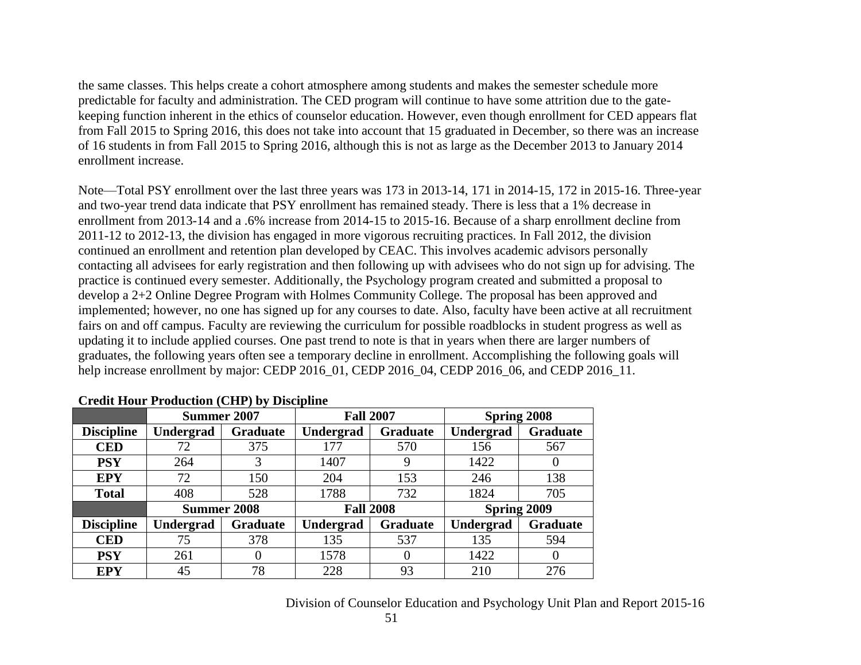the same classes. This helps create a cohort atmosphere among students and makes the semester schedule more predictable for faculty and administration. The CED program will continue to have some attrition due to the gatekeeping function inherent in the ethics of counselor education. However, even though enrollment for CED appears flat from Fall 2015 to Spring 2016, this does not take into account that 15 graduated in December, so there was an increase of 16 students in from Fall 2015 to Spring 2016, although this is not as large as the December 2013 to January 2014 enrollment increase.

Note—Total PSY enrollment over the last three years was 173 in 2013-14, 171 in 2014-15, 172 in 2015-16. Three-year and two-year trend data indicate that PSY enrollment has remained steady. There is less that a 1% decrease in enrollment from 2013-14 and a .6% increase from 2014-15 to 2015-16. Because of a sharp enrollment decline from 2011-12 to 2012-13, the division has engaged in more vigorous recruiting practices. In Fall 2012, the division continued an enrollment and retention plan developed by CEAC. This involves academic advisors personally contacting all advisees for early registration and then following up with advisees who do not sign up for advising. The practice is continued every semester. Additionally, the Psychology program created and submitted a proposal to develop a 2+2 Online Degree Program with Holmes Community College. The proposal has been approved and implemented; however, no one has signed up for any courses to date. Also, faculty have been active at all recruitment fairs on and off campus. Faculty are reviewing the curriculum for possible roadblocks in student progress as well as updating it to include applied courses. One past trend to note is that in years when there are larger numbers of graduates, the following years often see a temporary decline in enrollment. Accomplishing the following goals will help increase enrollment by major: CEDP 2016\_01, CEDP 2016\_04, CEDP 2016\_06, and CEDP 2016\_11.

|                   | Summer 2007        |                 | <b>Fall 2007</b> |                 | <b>Spring 2008</b> |                 |
|-------------------|--------------------|-----------------|------------------|-----------------|--------------------|-----------------|
| <b>Discipline</b> | <b>Undergrad</b>   | <b>Graduate</b> | Undergrad        | <b>Graduate</b> | Undergrad          | <b>Graduate</b> |
| <b>CED</b>        | 72                 | 375             | 177              | 570             | 156                | 567             |
| <b>PSY</b>        | 264                | 3               | 1407             | 9               | 1422               | U               |
| <b>EPY</b>        | 72                 | 150             | 204              | 153             | 246                | 138             |
| <b>Total</b>      | 408                | 528             | 1788             | 732             | 1824               | 705             |
|                   | <b>Summer 2008</b> |                 | <b>Fall 2008</b> |                 | Spring 2009        |                 |
| <b>Discipline</b> | <b>Undergrad</b>   | <b>Graduate</b> | Undergrad        | <b>Graduate</b> | Undergrad          | <b>Graduate</b> |
| <b>CED</b>        | 75                 | 378             | 135              | 537             | 135                | 594             |
| <b>PSY</b>        | 261                | $\Omega$        | 1578             | $\Omega$        | 1422               | $\theta$        |
| <b>EPY</b>        | 45                 | 78              | 228              | 93              | 210                | 276             |

#### **Credit Hour Production (CHP) by Discipline**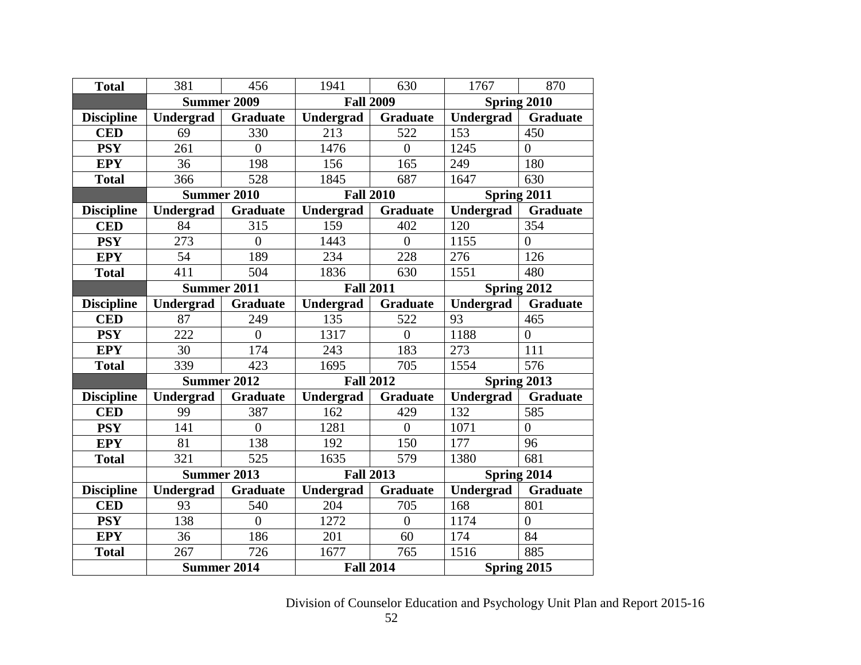| <b>Total</b>      | 381                | 456             | 1941             | 630             | 1767             | 870             |
|-------------------|--------------------|-----------------|------------------|-----------------|------------------|-----------------|
|                   | <b>Summer 2009</b> |                 | <b>Fall 2009</b> |                 |                  | Spring 2010     |
| <b>Discipline</b> | Undergrad          | <b>Graduate</b> | <b>Undergrad</b> | Graduate        | Undergrad        | <b>Graduate</b> |
| <b>CED</b>        | 69                 | 330             | 213              | 522             | 153              | 450             |
| <b>PSY</b>        | 261                | $\overline{0}$  | 1476             | $\overline{0}$  | 1245             | $\overline{0}$  |
| <b>EPY</b>        | 36                 | 198             | 156              | 165             | 249              | 180             |
| <b>Total</b>      | 366                | 528             | 1845             | 687             | 1647             | 630             |
|                   | <b>Summer 2010</b> |                 | <b>Fall 2010</b> |                 |                  | Spring 2011     |
| <b>Discipline</b> | Undergrad          | <b>Graduate</b> | <b>Undergrad</b> | <b>Graduate</b> | <b>Undergrad</b> | <b>Graduate</b> |
| <b>CED</b>        | 84                 | 315             | 159              | 402             | 120              | 354             |
| <b>PSY</b>        | 273                | $\overline{0}$  | 1443             | $\overline{0}$  | 1155             | $\overline{0}$  |
| <b>EPY</b>        | 54                 | 189             | 234              | 228             | 276              | 126             |
| <b>Total</b>      | 411                | 504             | 1836             | 630             | 1551             | 480             |
|                   | <b>Summer 2011</b> |                 | <b>Fall 2011</b> |                 |                  | Spring 2012     |
| <b>Discipline</b> | Undergrad          | <b>Graduate</b> | <b>Undergrad</b> | <b>Graduate</b> | <b>Undergrad</b> | <b>Graduate</b> |
| <b>CED</b>        | 87                 | 249             | 135              | 522             | 93               | 465             |
| <b>PSY</b>        | 222                | $\overline{0}$  | 1317             | $\overline{0}$  | 1188             | $\overline{0}$  |
| <b>EPY</b>        | 30                 | 174             | 243              | 183             | 273              | 111             |
| <b>Total</b>      | 339                | 423             | 1695             | 705             | 1554             | 576             |
|                   | <b>Summer 2012</b> |                 | <b>Fall 2012</b> |                 | Spring $2013$    |                 |
| <b>Discipline</b> | Undergrad          | <b>Graduate</b> | Undergrad        | <b>Graduate</b> | Undergrad        | <b>Graduate</b> |
| <b>CED</b>        | 99                 | 387             | 162              | 429             | 132              | 585             |
| <b>PSY</b>        | 141                | $\overline{0}$  | 1281             | $\overline{0}$  | 1071             | $\overline{0}$  |
| <b>EPY</b>        | 81                 | 138             | 192              | 150             | 177              | 96              |
| <b>Total</b>      | 321                | 525             | 1635             | 579             | 1380             | 681             |
|                   | <b>Summer 2013</b> |                 | <b>Fall 2013</b> |                 |                  | Spring 2014     |
| <b>Discipline</b> | Undergrad          | <b>Graduate</b> | <b>Undergrad</b> | <b>Graduate</b> | Undergrad        | <b>Graduate</b> |
| <b>CED</b>        | 93                 | 540             | 204              | 705             | 168              | 801             |
| <b>PSY</b>        | 138                | $\overline{0}$  | 1272             | $\overline{0}$  | 1174             | $\overline{0}$  |
| <b>EPY</b>        | 36                 | 186             | 201              | 60              | 174              | 84              |
| <b>Total</b>      | 267                | 726             | 1677             | 765             | 1516             | 885             |
|                   | <b>Summer 2014</b> |                 | <b>Fall 2014</b> |                 |                  | Spring 2015     |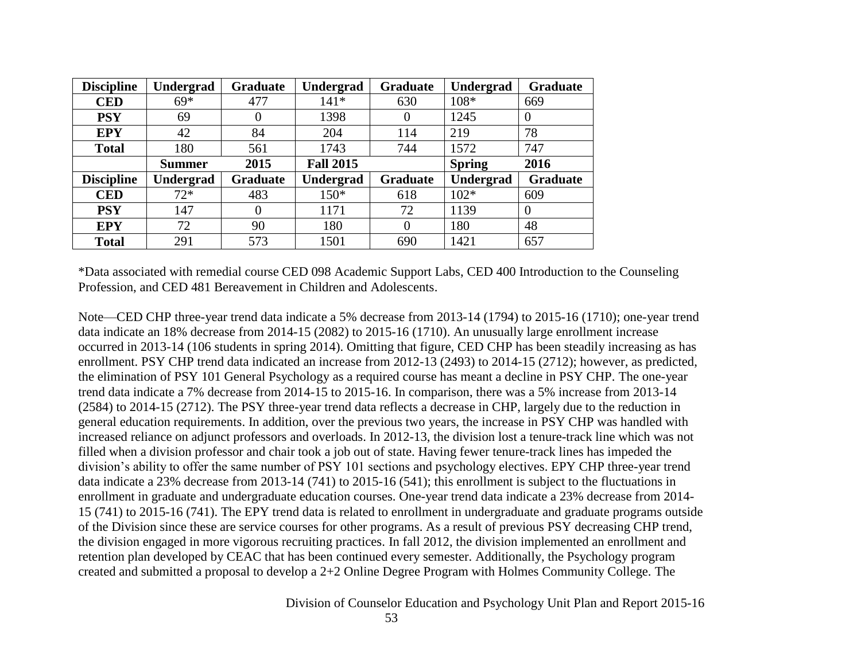| <b>Discipline</b> | <b>Undergrad</b> | <b>Graduate</b> | Undergrad        | <b>Graduate</b> | Undergrad        | <b>Graduate</b> |
|-------------------|------------------|-----------------|------------------|-----------------|------------------|-----------------|
| <b>CED</b>        | $69*$            | 477             | $141*$           | 630             | 108*             | 669             |
| <b>PSY</b>        | 69               |                 | 1398             | 0               | 1245             | 0               |
| <b>EPY</b>        | 42               | 84              | 204              | 114             | 219              | 78              |
| <b>Total</b>      | 180              | 561             | 1743             | 744             | 1572             | 747             |
|                   | <b>Summer</b>    | 2015            | <b>Fall 2015</b> |                 | <b>Spring</b>    | 2016            |
| <b>Discipline</b> | Undergrad        | Graduate        | <b>Undergrad</b> | <b>Graduate</b> | <b>Undergrad</b> | <b>Graduate</b> |
| <b>CED</b>        | $72*$            | 483             | $150*$           | 618             | $102*$           | 609             |
| <b>PSY</b>        | 147              |                 | 1171             | 72              | 1139             | 0               |
| <b>EPY</b>        | 72               | 90              | 180              | $\Omega$        | 180              | 48              |
| <b>Total</b>      | 291              | 573             | 1501             | 690             | 1421             | 657             |

\*Data associated with remedial course CED 098 Academic Support Labs, CED 400 Introduction to the Counseling Profession, and CED 481 Bereavement in Children and Adolescents.

Note—CED CHP three-year trend data indicate a 5% decrease from 2013-14 (1794) to 2015-16 (1710); one-year trend data indicate an 18% decrease from 2014-15 (2082) to 2015-16 (1710). An unusually large enrollment increase occurred in 2013-14 (106 students in spring 2014). Omitting that figure, CED CHP has been steadily increasing as has enrollment. PSY CHP trend data indicated an increase from 2012-13 (2493) to 2014-15 (2712); however, as predicted, the elimination of PSY 101 General Psychology as a required course has meant a decline in PSY CHP. The one-year trend data indicate a 7% decrease from 2014-15 to 2015-16. In comparison, there was a 5% increase from 2013-14 (2584) to 2014-15 (2712). The PSY three-year trend data reflects a decrease in CHP, largely due to the reduction in general education requirements. In addition, over the previous two years, the increase in PSY CHP was handled with increased reliance on adjunct professors and overloads. In 2012-13, the division lost a tenure-track line which was not filled when a division professor and chair took a job out of state. Having fewer tenure-track lines has impeded the division's ability to offer the same number of PSY 101 sections and psychology electives. EPY CHP three-year trend data indicate a 23% decrease from 2013-14 (741) to 2015-16 (541); this enrollment is subject to the fluctuations in enrollment in graduate and undergraduate education courses. One-year trend data indicate a 23% decrease from 2014- 15 (741) to 2015-16 (741). The EPY trend data is related to enrollment in undergraduate and graduate programs outside of the Division since these are service courses for other programs. As a result of previous PSY decreasing CHP trend, the division engaged in more vigorous recruiting practices. In fall 2012, the division implemented an enrollment and retention plan developed by CEAC that has been continued every semester. Additionally, the Psychology program created and submitted a proposal to develop a 2+2 Online Degree Program with Holmes Community College. The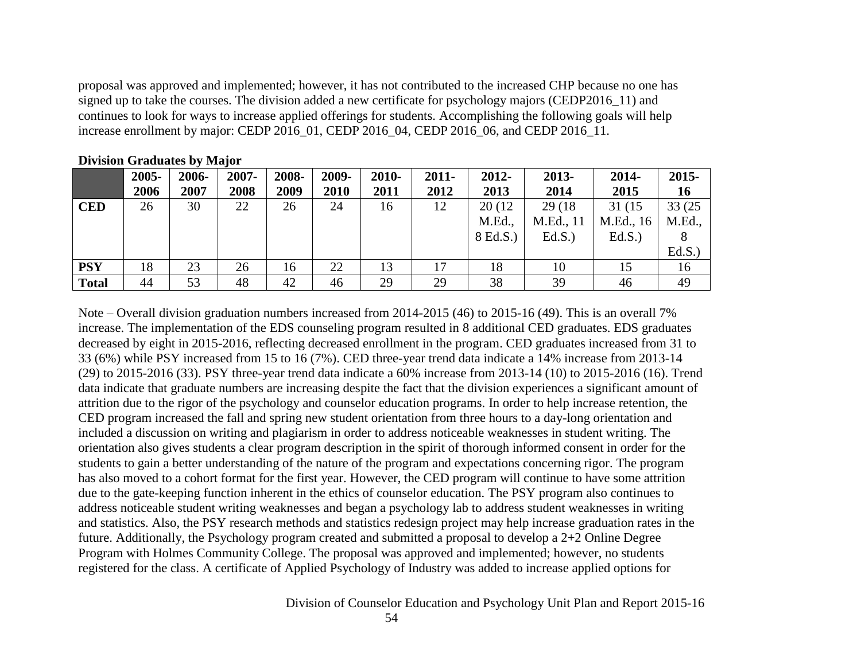proposal was approved and implemented; however, it has not contributed to the increased CHP because no one has signed up to take the courses. The division added a new certificate for psychology majors (CEDP2016 11) and continues to look for ways to increase applied offerings for students. Accomplishing the following goals will help increase enrollment by major: CEDP 2016\_01, CEDP 2016\_04, CEDP 2016\_06, and CEDP 2016\_11.

|              | 2005-<br>2006 | 2006-<br>2007 | 2007-<br>2008 | 2008-<br>2009 | 2009-<br>2010 | 2010-<br>2011 | $2011 -$<br>2012 | 2012-<br>2013 | 2013-<br>2014 | 2014-<br>2015 | $2015 -$<br>16 |
|--------------|---------------|---------------|---------------|---------------|---------------|---------------|------------------|---------------|---------------|---------------|----------------|
|              |               |               |               |               |               |               |                  |               |               |               |                |
| <b>CED</b>   | 26            | 30            | 22            | 26            | 24            | 16            | 12               | 20 (12)       | 29 (18)       | 31 (15        | 33 (25         |
|              |               |               |               |               |               |               |                  | M.Ed.,        | M.Ed., 11     | M.Ed., 16     | M.Ed.,         |
|              |               |               |               |               |               |               |                  | 8 Ed.S.)      | Ed.S.         | Ed.S.         |                |
|              |               |               |               |               |               |               |                  |               |               |               | Ed.S.          |
| <b>PSY</b>   | 18            | 23            | 26            | 16            | 22            | 13            | 17               | 18            | 10            |               | 16             |
| <b>Total</b> | 44            | 53            | 48            | 42            | 46            | 29            | 29               | 38            | 39            | 46            | 49             |

**Division Graduates by Major**

Note – Overall division graduation numbers increased from 2014-2015 (46) to 2015-16 (49). This is an overall 7% increase. The implementation of the EDS counseling program resulted in 8 additional CED graduates. EDS graduates decreased by eight in 2015-2016, reflecting decreased enrollment in the program. CED graduates increased from 31 to 33 (6%) while PSY increased from 15 to 16 (7%). CED three-year trend data indicate a 14% increase from 2013-14 (29) to 2015-2016 (33). PSY three-year trend data indicate a 60% increase from 2013-14 (10) to 2015-2016 (16). Trend data indicate that graduate numbers are increasing despite the fact that the division experiences a significant amount of attrition due to the rigor of the psychology and counselor education programs. In order to help increase retention, the CED program increased the fall and spring new student orientation from three hours to a day-long orientation and included a discussion on writing and plagiarism in order to address noticeable weaknesses in student writing. The orientation also gives students a clear program description in the spirit of thorough informed consent in order for the students to gain a better understanding of the nature of the program and expectations concerning rigor. The program has also moved to a cohort format for the first year. However, the CED program will continue to have some attrition due to the gate-keeping function inherent in the ethics of counselor education. The PSY program also continues to address noticeable student writing weaknesses and began a psychology lab to address student weaknesses in writing and statistics. Also, the PSY research methods and statistics redesign project may help increase graduation rates in the future. Additionally, the Psychology program created and submitted a proposal to develop a 2+2 Online Degree Program with Holmes Community College. The proposal was approved and implemented; however, no students registered for the class. A certificate of Applied Psychology of Industry was added to increase applied options for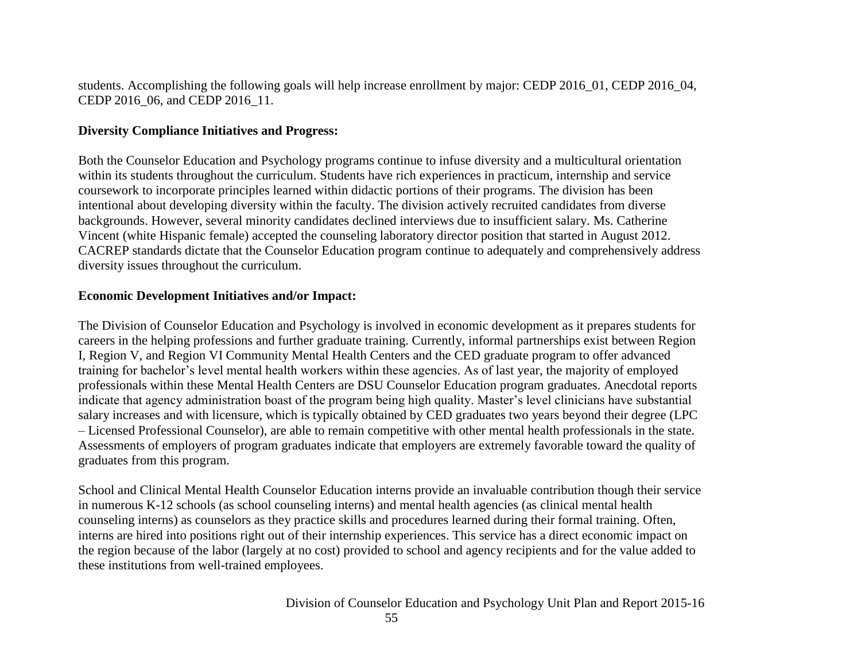students. Accomplishing the following goals will help increase enrollment by major: CEDP 2016\_01, CEDP 2016\_04, CEDP 2016 06, and CEDP 2016 11.

#### **Diversity Compliance Initiatives and Progress:**

Both the Counselor Education and Psychology programs continue to infuse diversity and a multicultural orientation within its students throughout the curriculum. Students have rich experiences in practicum, internship and service coursework to incorporate principles learned within didactic portions of their programs. The division has been intentional about developing diversity within the faculty. The division actively recruited candidates from diverse backgrounds. However, several minority candidates declined interviews due to insufficient salary. Ms. Catherine Vincent (white Hispanic female) accepted the counseling laboratory director position that started in August 2012. CACREP standards dictate that the Counselor Education program continue to adequately and comprehensively address diversity issues throughout the curriculum.

#### **Economic Development Initiatives and/or Impact:**

The Division of Counselor Education and Psychology is involved in economic development as it prepares students for careers in the helping professions and further graduate training. Currently, informal partnerships exist between Region I, Region V, and Region VI Community Mental Health Centers and the CED graduate program to offer advanced training for bachelor's level mental health workers within these agencies. As of last year, the majority of employed professionals within these Mental Health Centers are DSU Counselor Education program graduates. Anecdotal reports indicate that agency administration boast of the program being high quality. Master's level clinicians have substantial salary increases and with licensure, which is typically obtained by CED graduates two years beyond their degree (LPC – Licensed Professional Counselor), are able to remain competitive with other mental health professionals in the state. Assessments of employers of program graduates indicate that employers are extremely favorable toward the quality of graduates from this program.

School and Clinical Mental Health Counselor Education interns provide an invaluable contribution though their service in numerous K-12 schools (as school counseling interns) and mental health agencies (as clinical mental health counseling interns) as counselors as they practice skills and procedures learned during their formal training. Often, interns are hired into positions right out of their internship experiences. This service has a direct economic impact on the region because of the labor (largely at no cost) provided to school and agency recipients and for the value added to these institutions from well-trained employees.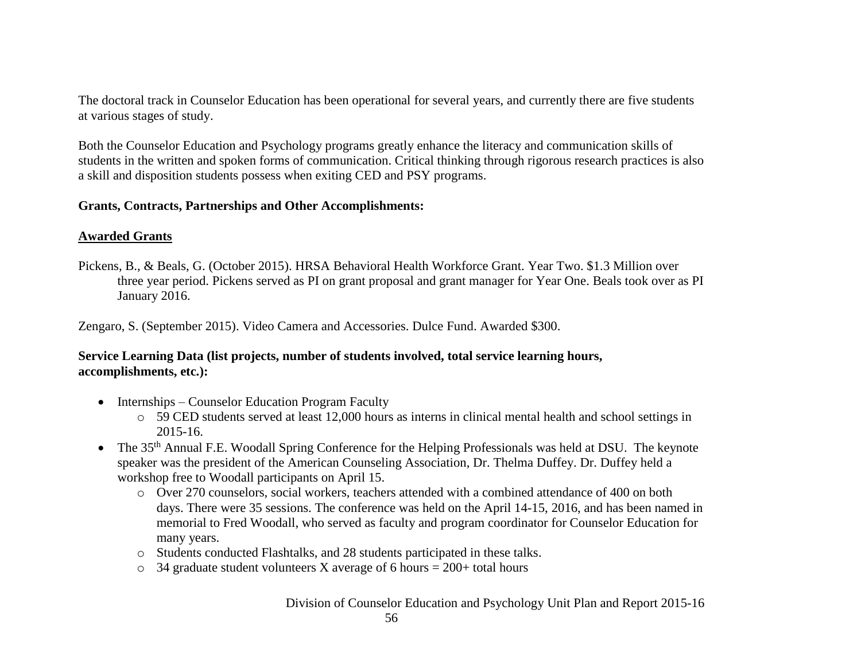The doctoral track in Counselor Education has been operational for several years, and currently there are five students at various stages of study.

Both the Counselor Education and Psychology programs greatly enhance the literacy and communication skills of students in the written and spoken forms of communication. Critical thinking through rigorous research practices is also a skill and disposition students possess when exiting CED and PSY programs.

#### **Grants, Contracts, Partnerships and Other Accomplishments:**

#### **Awarded Grants**

Pickens, B., & Beals, G. (October 2015). HRSA Behavioral Health Workforce Grant. Year Two. \$1.3 Million over three year period. Pickens served as PI on grant proposal and grant manager for Year One. Beals took over as PI January 2016.

Zengaro, S. (September 2015). Video Camera and Accessories. Dulce Fund. Awarded \$300.

## **Service Learning Data (list projects, number of students involved, total service learning hours, accomplishments, etc.):**

- Internships Counselor Education Program Faculty
	- o 59 CED students served at least 12,000 hours as interns in clinical mental health and school settings in 2015-16.
- The 35<sup>th</sup> Annual F.E. Woodall Spring Conference for the Helping Professionals was held at DSU. The keynote speaker was the president of the American Counseling Association, Dr. Thelma Duffey. Dr. Duffey held a workshop free to Woodall participants on April 15.
	- o Over 270 counselors, social workers, teachers attended with a combined attendance of 400 on both days. There were 35 sessions. The conference was held on the April 14-15, 2016, and has been named in memorial to Fred Woodall, who served as faculty and program coordinator for Counselor Education for many years.
	- o Students conducted Flashtalks, and 28 students participated in these talks.
	- $\circ$  34 graduate student volunteers X average of 6 hours = 200+ total hours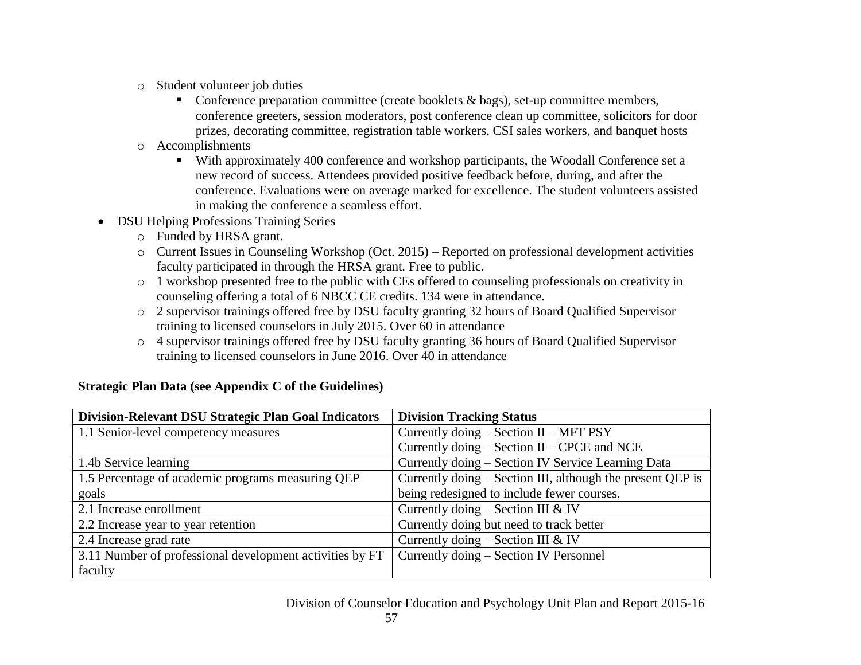- o Student volunteer job duties
	- Conference preparation committee (create booklets  $\&$  bags), set-up committee members, conference greeters, session moderators, post conference clean up committee, solicitors for door prizes, decorating committee, registration table workers, CSI sales workers, and banquet hosts
- o Accomplishments
	- With approximately 400 conference and workshop participants, the Woodall Conference set a new record of success. Attendees provided positive feedback before, during, and after the conference. Evaluations were on average marked for excellence. The student volunteers assisted in making the conference a seamless effort.
- DSU Helping Professions Training Series
	- o Funded by HRSA grant.
	- o Current Issues in Counseling Workshop (Oct. 2015) Reported on professional development activities faculty participated in through the HRSA grant. Free to public.
	- o 1 workshop presented free to the public with CEs offered to counseling professionals on creativity in counseling offering a total of 6 NBCC CE credits. 134 were in attendance.
	- o 2 supervisor trainings offered free by DSU faculty granting 32 hours of Board Qualified Supervisor training to licensed counselors in July 2015. Over 60 in attendance
	- o 4 supervisor trainings offered free by DSU faculty granting 36 hours of Board Qualified Supervisor training to licensed counselors in June 2016. Over 40 in attendance

| Division-Relevant DSU Strategic Plan Goal Indicators     | <b>Division Tracking Status</b>                            |
|----------------------------------------------------------|------------------------------------------------------------|
| 1.1 Senior-level competency measures                     | Currently doing - Section II - MFT PSY                     |
|                                                          | Currently doing $-$ Section II $-$ CPCE and NCE            |
| 1.4b Service learning                                    | Currently doing – Section IV Service Learning Data         |
| 1.5 Percentage of academic programs measuring QEP        | Currently doing – Section III, although the present QEP is |
| goals                                                    | being redesigned to include fewer courses.                 |
| 2.1 Increase enrollment                                  | Currently doing $-$ Section III & IV                       |
| 2.2 Increase year to year retention                      | Currently doing but need to track better                   |
| 2.4 Increase grad rate                                   | Currently doing $-$ Section III & IV                       |
| 3.11 Number of professional development activities by FT | Currently doing – Section IV Personnel                     |
| faculty                                                  |                                                            |

## **Strategic Plan Data (see Appendix C of the Guidelines)**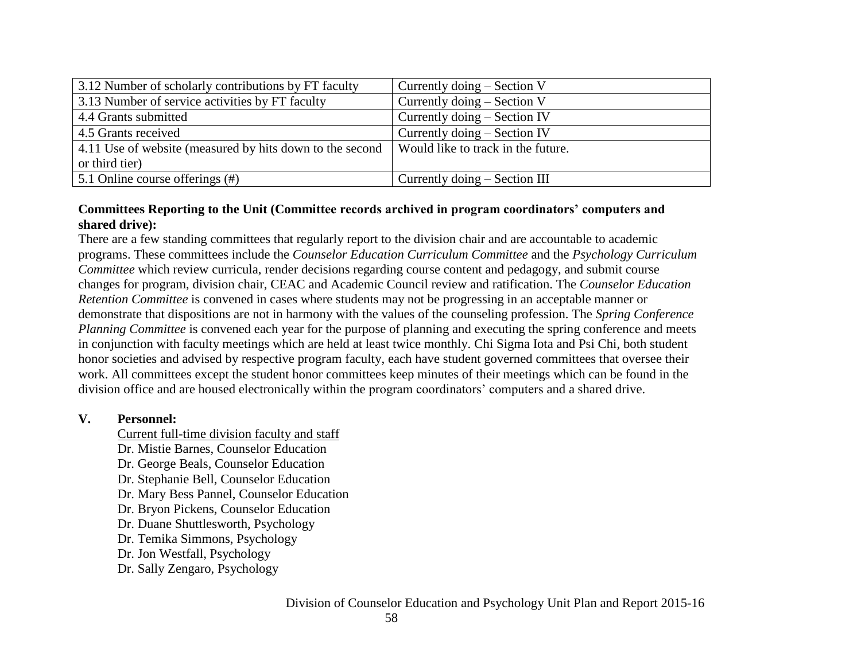| 3.12 Number of scholarly contributions by FT faculty     | Currently doing $-$ Section V      |
|----------------------------------------------------------|------------------------------------|
| 3.13 Number of service activities by FT faculty          | Currently doing $-$ Section V      |
| 4.4 Grants submitted                                     | Currently doing $-$ Section IV     |
| 4.5 Grants received                                      | Currently doing $-$ Section IV     |
| 4.11 Use of website (measured by hits down to the second | Would like to track in the future. |
| or third tier)                                           |                                    |
| 5.1 Online course offerings (#)                          | Currently doing – Section III      |

## **Committees Reporting to the Unit (Committee records archived in program coordinators' computers and shared drive):**

There are a few standing committees that regularly report to the division chair and are accountable to academic programs. These committees include the *Counselor Education Curriculum Committee* and the *Psychology Curriculum Committee* which review curricula, render decisions regarding course content and pedagogy, and submit course changes for program, division chair, CEAC and Academic Council review and ratification. The *Counselor Education Retention Committee* is convened in cases where students may not be progressing in an acceptable manner or demonstrate that dispositions are not in harmony with the values of the counseling profession. The *Spring Conference Planning Committee* is convened each year for the purpose of planning and executing the spring conference and meets in conjunction with faculty meetings which are held at least twice monthly. Chi Sigma Iota and Psi Chi, both student honor societies and advised by respective program faculty, each have student governed committees that oversee their work. All committees except the student honor committees keep minutes of their meetings which can be found in the division office and are housed electronically within the program coordinators' computers and a shared drive.

#### **V. Personnel:**

- Current full-time division faculty and staff
- Dr. Mistie Barnes, Counselor Education
- Dr. George Beals, Counselor Education
- Dr. Stephanie Bell, Counselor Education
- Dr. Mary Bess Pannel, Counselor Education
- Dr. Bryon Pickens, Counselor Education
- Dr. Duane Shuttlesworth, Psychology
- Dr. Temika Simmons, Psychology
- Dr. Jon Westfall, Psychology
- Dr. Sally Zengaro, Psychology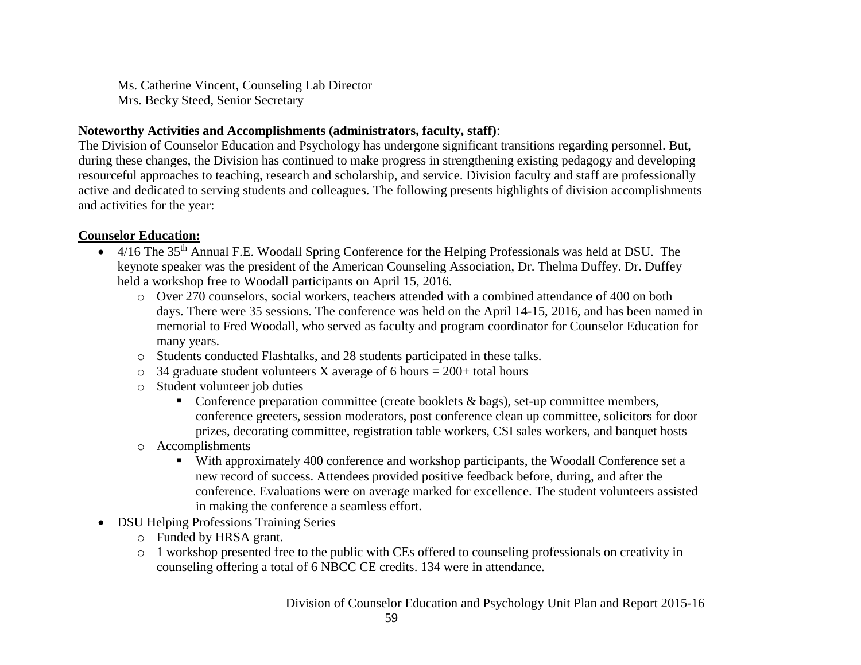Ms. Catherine Vincent, Counseling Lab Director Mrs. Becky Steed, Senior Secretary

#### **Noteworthy Activities and Accomplishments (administrators, faculty, staff)**:

The Division of Counselor Education and Psychology has undergone significant transitions regarding personnel. But, during these changes, the Division has continued to make progress in strengthening existing pedagogy and developing resourceful approaches to teaching, research and scholarship, and service. Division faculty and staff are professionally active and dedicated to serving students and colleagues. The following presents highlights of division accomplishments and activities for the year:

## **Counselor Education:**

- 4/16 The 35th Annual F.E. Woodall Spring Conference for the Helping Professionals was held at DSU. The keynote speaker was the president of the American Counseling Association, Dr. Thelma Duffey. Dr. Duffey held a workshop free to Woodall participants on April 15, 2016.
	- o Over 270 counselors, social workers, teachers attended with a combined attendance of 400 on both days. There were 35 sessions. The conference was held on the April 14-15, 2016, and has been named in memorial to Fred Woodall, who served as faculty and program coordinator for Counselor Education for many years.
	- o Students conducted Flashtalks, and 28 students participated in these talks.
	- $\circ$  34 graduate student volunteers X average of 6 hours = 200+ total hours
	- o Student volunteer job duties
		- **Conference preparation committee (create booklets & bags), set-up committee members,** conference greeters, session moderators, post conference clean up committee, solicitors for door prizes, decorating committee, registration table workers, CSI sales workers, and banquet hosts
	- o Accomplishments
		- With approximately 400 conference and workshop participants, the Woodall Conference set a new record of success. Attendees provided positive feedback before, during, and after the conference. Evaluations were on average marked for excellence. The student volunteers assisted in making the conference a seamless effort.
- DSU Helping Professions Training Series
	- o Funded by HRSA grant.
	- o 1 workshop presented free to the public with CEs offered to counseling professionals on creativity in counseling offering a total of 6 NBCC CE credits. 134 were in attendance.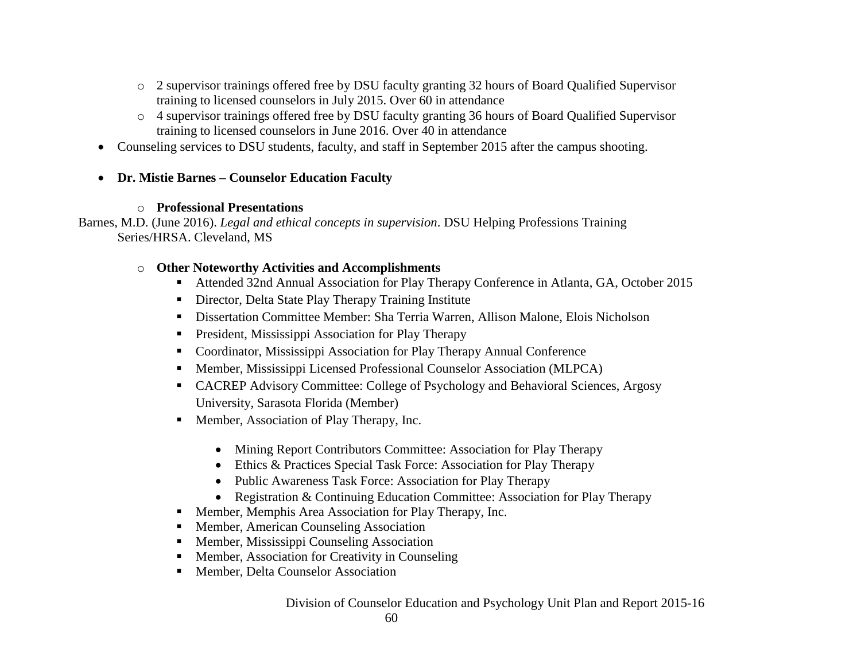- o 2 supervisor trainings offered free by DSU faculty granting 32 hours of Board Qualified Supervisor training to licensed counselors in July 2015. Over 60 in attendance
- o 4 supervisor trainings offered free by DSU faculty granting 36 hours of Board Qualified Supervisor training to licensed counselors in June 2016. Over 40 in attendance
- Counseling services to DSU students, faculty, and staff in September 2015 after the campus shooting.

## **Dr. Mistie Barnes – Counselor Education Faculty**

## o **Professional Presentations**

Barnes, M.D. (June 2016). *Legal and ethical concepts in supervision*. DSU Helping Professions Training Series/HRSA. Cleveland, MS

## o **Other Noteworthy Activities and Accomplishments**

- Attended 32nd Annual Association for Play Therapy Conference in Atlanta, GA, October 2015
- Director, Delta State Play Therapy Training Institute
- Dissertation Committee Member: Sha Terria Warren, Allison Malone, Elois Nicholson
- **President, Mississippi Association for Play Therapy**
- Coordinator, Mississippi Association for Play Therapy Annual Conference
- Member, Mississippi Licensed Professional Counselor Association (MLPCA)
- CACREP Advisory Committee: College of Psychology and Behavioral Sciences, Argosy University, Sarasota Florida (Member)
- Member, Association of Play Therapy, Inc.
	- Mining Report Contributors Committee: Association for Play Therapy
	- Ethics & Practices Special Task Force: Association for Play Therapy
	- Public Awareness Task Force: Association for Play Therapy
	- Registration & Continuing Education Committee: Association for Play Therapy
- **Member, Memphis Area Association for Play Therapy, Inc.**
- **Member, American Counseling Association**
- **Member, Mississippi Counseling Association**
- **Member, Association for Creativity in Counseling**
- **Member, Delta Counselor Association**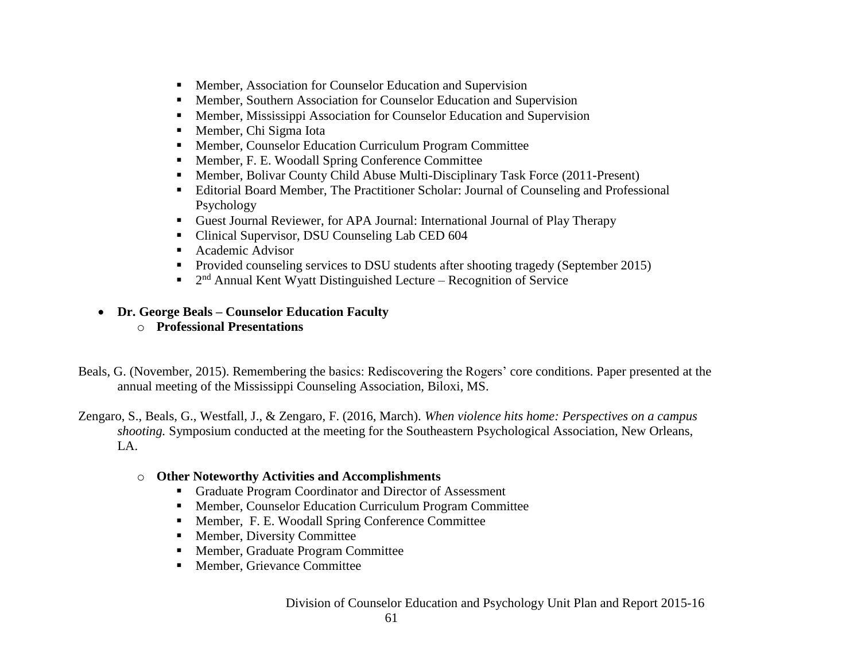- **Member, Association for Counselor Education and Supervision**
- Member, Southern Association for Counselor Education and Supervision
- Member, Mississippi Association for Counselor Education and Supervision
- Member, Chi Sigma Iota
- Member, Counselor Education Curriculum Program Committee
- Member, F. E. Woodall Spring Conference Committee
- Member, Bolivar County Child Abuse Multi-Disciplinary Task Force (2011-Present)
- Editorial Board Member, The Practitioner Scholar: Journal of Counseling and Professional Psychology
- Guest Journal Reviewer, for APA Journal: International Journal of Play Therapy
- Clinical Supervisor, DSU Counseling Lab CED 604
- Academic Advisor
- Provided counseling services to DSU students after shooting tragedy (September 2015)
- $\blacksquare$  2<sup>nd</sup> Annual Kent Wyatt Distinguished Lecture Recognition of Service
- **Dr. George Beals – Counselor Education Faculty**
	- o **Professional Presentations**
- Beals, G. (November, 2015). Remembering the basics: Rediscovering the Rogers' core conditions. Paper presented at the annual meeting of the Mississippi Counseling Association, Biloxi, MS.
- Zengaro, S., Beals, G., Westfall, J., & Zengaro, F. (2016, March). *When violence hits home: Perspectives on a campus shooting.* Symposium conducted at the meeting for the Southeastern Psychological Association, New Orleans, LA.
	- o **Other Noteworthy Activities and Accomplishments**
		- Graduate Program Coordinator and Director of Assessment
		- Member, Counselor Education Curriculum Program Committee
		- Member, F. E. Woodall Spring Conference Committee
		- **Member, Diversity Committee**
		- Member, Graduate Program Committee
		- **Member, Grievance Committee**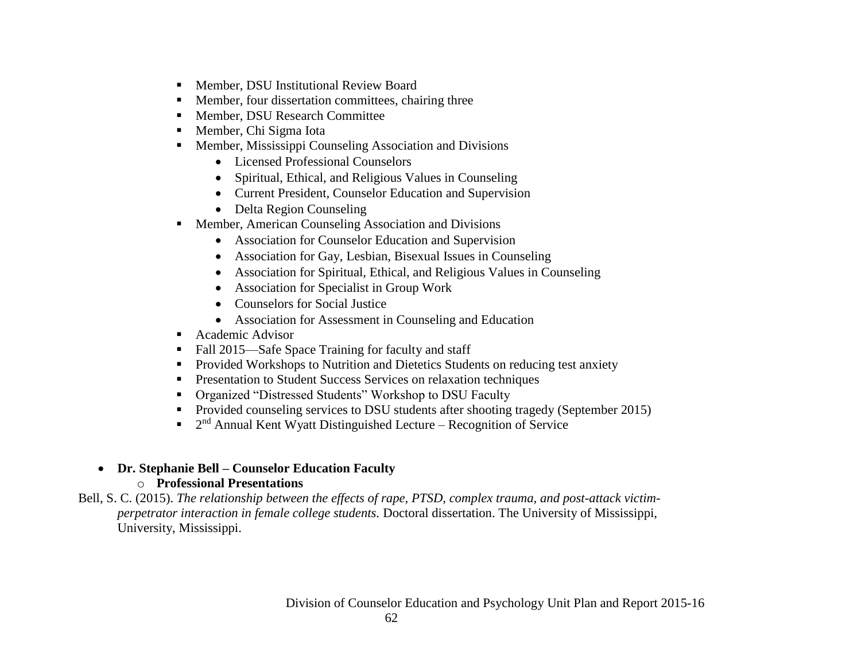- **Member, DSU Institutional Review Board**
- Member, four dissertation committees, chairing three
- **Member, DSU Research Committee**
- Member, Chi Sigma Iota
- **Member, Mississippi Counseling Association and Divisions** 
	- Licensed Professional Counselors
	- Spiritual, Ethical, and Religious Values in Counseling
	- Current President, Counselor Education and Supervision
	- Delta Region Counseling
- **Member, American Counseling Association and Divisions** 
	- Association for Counselor Education and Supervision
	- Association for Gay, Lesbian, Bisexual Issues in Counseling
	- Association for Spiritual, Ethical, and Religious Values in Counseling
	- Association for Specialist in Group Work
	- Counselors for Social Justice
	- Association for Assessment in Counseling and Education
- Academic Advisor
- Fall 2015—Safe Space Training for faculty and staff
- **Provided Workshops to Nutrition and Dietetics Students on reducing test anxiety**
- **Presentation to Student Success Services on relaxation techniques**
- Organized "Distressed Students" Workshop to DSU Faculty
- **Provided counseling services to DSU students after shooting tragedy (September 2015)**
- $\blacksquare$  2<sup>nd</sup> Annual Kent Wyatt Distinguished Lecture Recognition of Service

# **Dr. Stephanie Bell – Counselor Education Faculty**

# o **Professional Presentations**

Bell, S. C. (2015). *The relationship between the effects of rape, PTSD, complex trauma, and post-attack victimperpetrator interaction in female college students.* Doctoral dissertation. The University of Mississippi, University, Mississippi.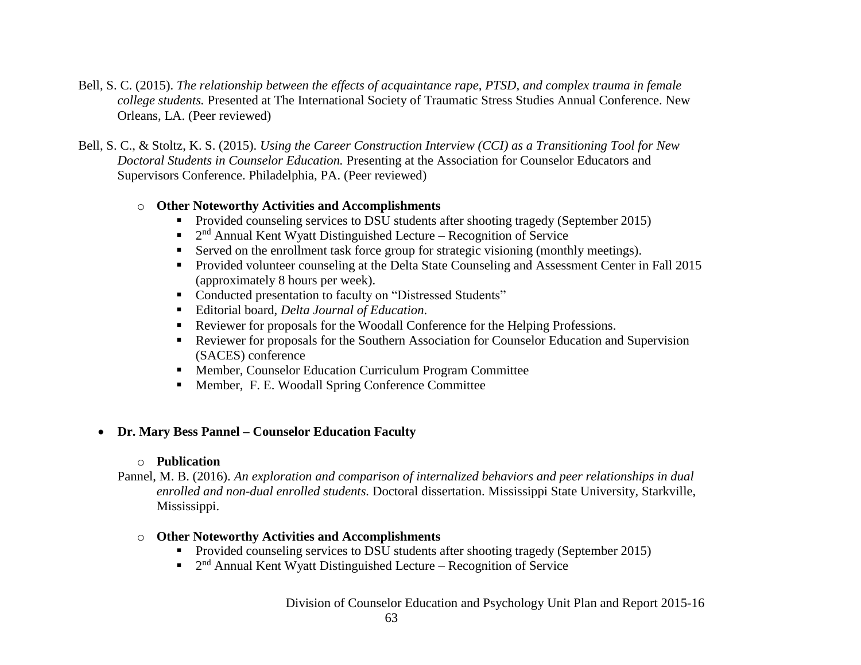- Bell, S. C. (2015). *The relationship between the effects of acquaintance rape, PTSD, and complex trauma in female college students.* Presented at The International Society of Traumatic Stress Studies Annual Conference. New Orleans, LA. (Peer reviewed)
- Bell, S. C., & Stoltz, K. S. (2015). *Using the Career Construction Interview (CCI) as a Transitioning Tool for New Doctoral Students in Counselor Education.* Presenting at the Association for Counselor Educators and Supervisors Conference. Philadelphia, PA. (Peer reviewed)

#### o **Other Noteworthy Activities and Accomplishments**

- Provided counseling services to DSU students after shooting tragedy (September 2015)
- $\blacksquare$  2<sup>nd</sup> Annual Kent Wyatt Distinguished Lecture Recognition of Service
- Served on the enrollment task force group for strategic visioning (monthly meetings).
- **Provided volunteer counseling at the Delta State Counseling and Assessment Center in Fall 2015** (approximately 8 hours per week).
- Conducted presentation to faculty on "Distressed Students"
- Editorial board, *Delta Journal of Education*.
- Reviewer for proposals for the Woodall Conference for the Helping Professions.
- Reviewer for proposals for the Southern Association for Counselor Education and Supervision (SACES) conference
- Member, Counselor Education Curriculum Program Committee
- Member, F. E. Woodall Spring Conference Committee

## **Dr. Mary Bess Pannel – Counselor Education Faculty**

#### o **Publication**

Pannel, M. B. (2016). *An exploration and comparison of internalized behaviors and peer relationships in dual enrolled and non-dual enrolled students.* Doctoral dissertation. Mississippi State University, Starkville, Mississippi.

## o **Other Noteworthy Activities and Accomplishments**

- **Provided counseling services to DSU students after shooting tragedy (September 2015)**
- $\blacksquare$  2<sup>nd</sup> Annual Kent Wyatt Distinguished Lecture Recognition of Service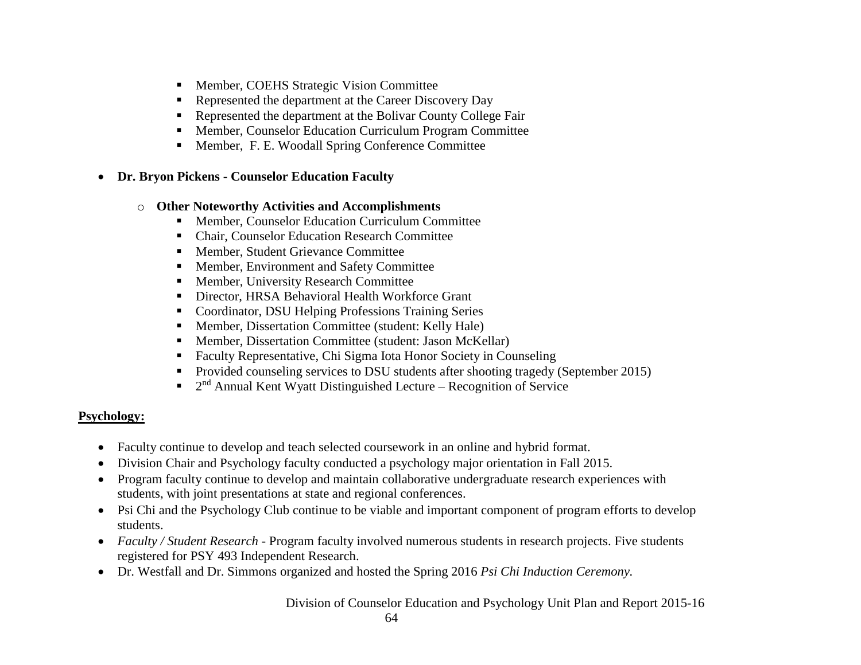- Member, COEHS Strategic Vision Committee
- Represented the department at the Career Discovery Day
- Represented the department at the Bolivar County College Fair
- Member, Counselor Education Curriculum Program Committee
- Member, F. E. Woodall Spring Conference Committee
- **Dr. Bryon Pickens - Counselor Education Faculty**

## o **Other Noteworthy Activities and Accomplishments**

- Member, Counselor Education Curriculum Committee
- Chair, Counselor Education Research Committee
- Member, Student Grievance Committee
- Member, Environment and Safety Committee
- **Member, University Research Committee**
- Director, HRSA Behavioral Health Workforce Grant
- Coordinator, DSU Helping Professions Training Series
- **Member, Dissertation Committee (student: Kelly Hale)**
- Member, Dissertation Committee (student: Jason McKellar)
- Faculty Representative, Chi Sigma Iota Honor Society in Counseling
- **Provided counseling services to DSU students after shooting tragedy (September 2015)**
- $\blacksquare$  2<sup>nd</sup> Annual Kent Wyatt Distinguished Lecture Recognition of Service

# **Psychology:**

- Faculty continue to develop and teach selected coursework in an online and hybrid format.
- Division Chair and Psychology faculty conducted a psychology major orientation in Fall 2015.
- Program faculty continue to develop and maintain collaborative undergraduate research experiences with students, with joint presentations at state and regional conferences.
- Psi Chi and the Psychology Club continue to be viable and important component of program efforts to develop students.
- *Faculty / Student Research* Program faculty involved numerous students in research projects. Five students registered for PSY 493 Independent Research.
- Dr. Westfall and Dr. Simmons organized and hosted the Spring 2016 *Psi Chi Induction Ceremony.*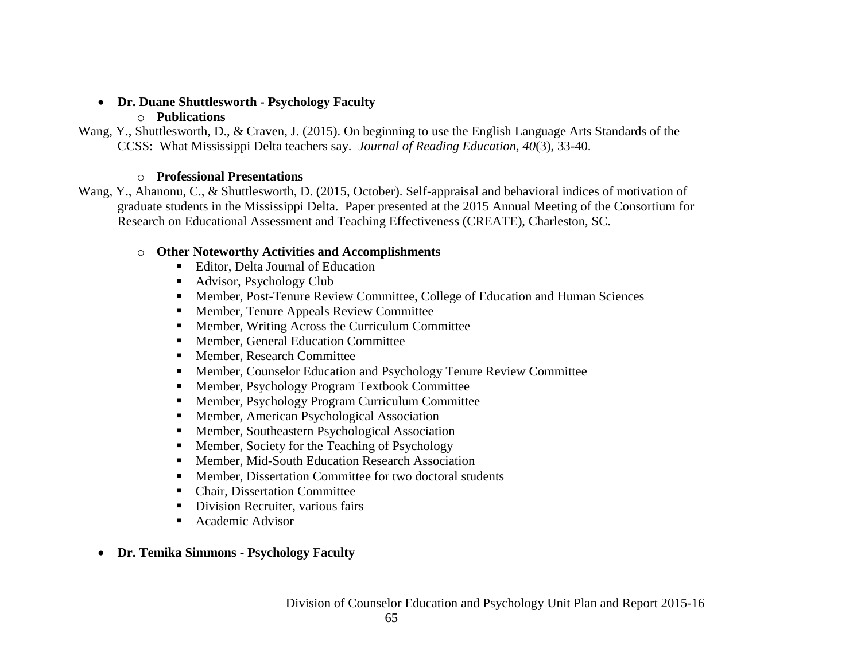#### **Dr. Duane Shuttlesworth - Psychology Faculty**

## o **Publications**

Wang, Y., Shuttlesworth, D., & Craven, J. (2015). On beginning to use the English Language Arts Standards of the CCSS: What Mississippi Delta teachers say. *Journal of Reading Education, 40*(3), 33-40.

## o **Professional Presentations**

Wang, Y., Ahanonu, C., & Shuttlesworth, D. (2015, October). Self-appraisal and behavioral indices of motivation of graduate students in the Mississippi Delta. Paper presented at the 2015 Annual Meeting of the Consortium for Research on Educational Assessment and Teaching Effectiveness (CREATE), Charleston, SC.

# o **Other Noteworthy Activities and Accomplishments**

- Editor, Delta Journal of Education
- Advisor, Psychology Club
- Member, Post-Tenure Review Committee, College of Education and Human Sciences
- Member, Tenure Appeals Review Committee
- Member, Writing Across the Curriculum Committee
- Member, General Education Committee
- Member, Research Committee
- Member, Counselor Education and Psychology Tenure Review Committee
- Member, Psychology Program Textbook Committee
- Member, Psychology Program Curriculum Committee
- Member, American Psychological Association
- Member, Southeastern Psychological Association
- Member, Society for the Teaching of Psychology
- Member, Mid-South Education Research Association
- Member, Dissertation Committee for two doctoral students
- Chair, Dissertation Committee
- Division Recruiter, various fairs
- Academic Advisor
- **Dr. Temika Simmons - Psychology Faculty**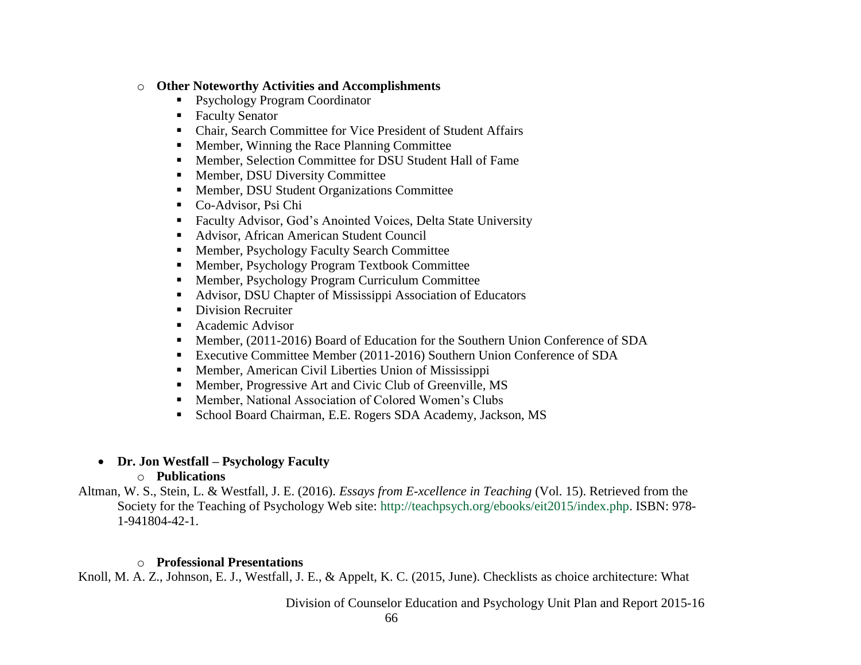#### o **Other Noteworthy Activities and Accomplishments**

- Psychology Program Coordinator
- Faculty Senator
- Chair, Search Committee for Vice President of Student Affairs
- **Member, Winning the Race Planning Committee**
- Member, Selection Committee for DSU Student Hall of Fame
- **Member, DSU Diversity Committee**
- **Member, DSU Student Organizations Committee**
- Co-Advisor, Psi Chi
- Faculty Advisor, God's Anointed Voices, Delta State University
- Advisor, African American Student Council
- Member, Psychology Faculty Search Committee
- Member, Psychology Program Textbook Committee
- Member, Psychology Program Curriculum Committee
- Advisor, DSU Chapter of Mississippi Association of Educators
- Division Recruiter
- Academic Advisor
- Member, (2011-2016) Board of Education for the Southern Union Conference of SDA
- Executive Committee Member (2011-2016) Southern Union Conference of SDA
- Member, American Civil Liberties Union of Mississippi
- Member, Progressive Art and Civic Club of Greenville, MS
- Member, National Association of Colored Women's Clubs
- School Board Chairman, E.E. Rogers SDA Academy, Jackson, MS

# **Dr. Jon Westfall – Psychology Faculty**

## o **Publications**

Altman, W. S., Stein, L. & Westfall, J. E. (2016). *Essays from E-xcellence in Teaching* (Vol. 15). Retrieved from the Society for the Teaching of Psychology Web site: [http://teachpsych.org/ebooks/eit2015/index.php.](http://www.google.com/url?q=http%3A%2F%2Fteachpsych.org%2Febooks%2Feit2015%2Findex.php&sa=D&sntz=1&usg=AFrqEzf17vzoGZxuWg7fT5z5WD-0w_FqQg) ISBN: 978- 1-941804-42-1.

# o **Professional Presentations**

Knoll, M. A. Z., Johnson, E. J., Westfall, J. E., & Appelt, K. C. (2015, June). Checklists as choice architecture: What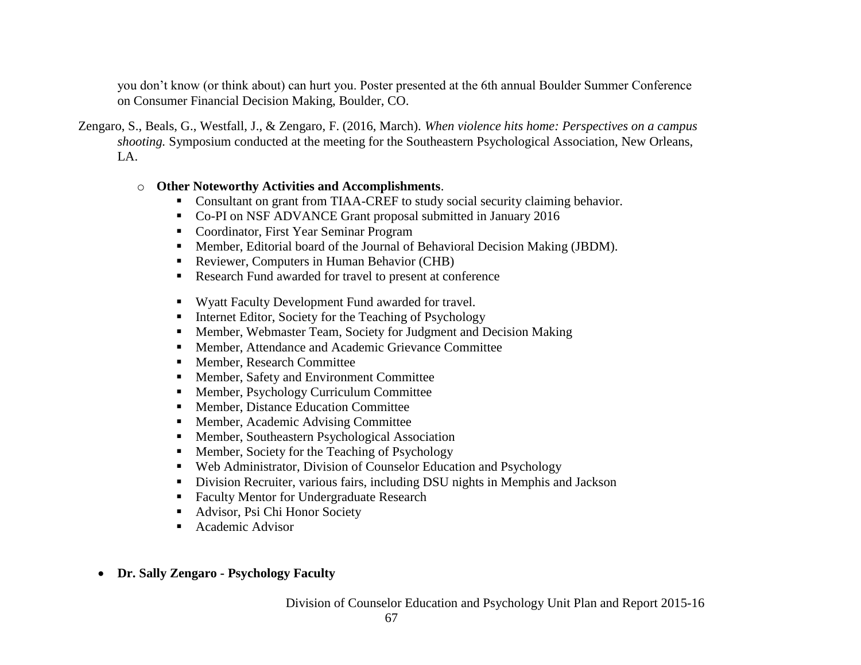you don't know (or think about) can hurt you. Poster presented at the 6th annual Boulder Summer Conference on Consumer Financial Decision Making, Boulder, CO.

Zengaro, S., Beals, G., Westfall, J., & Zengaro, F. (2016, March). *When violence hits home: Perspectives on a campus shooting.* Symposium conducted at the meeting for the Southeastern Psychological Association, New Orleans,  $L_A$ 

#### o **Other Noteworthy Activities and Accomplishments**.

- Consultant on grant from TIAA-CREF to study social security claiming behavior.
- Co-PI on NSF ADVANCE Grant proposal submitted in January 2016
- Coordinator, First Year Seminar Program
- Member, Editorial board of the Journal of Behavioral Decision Making (JBDM).
- Reviewer, Computers in Human Behavior (CHB)
- Research Fund awarded for travel to present at conference
- Wyatt Faculty Development Fund awarded for travel.
- $\blacksquare$  Internet Editor, Society for the Teaching of Psychology
- Member, Webmaster Team, Society for Judgment and Decision Making
- Member, Attendance and Academic Grievance Committee
- Member, Research Committee
- Member, Safety and Environment Committee
- Member, Psychology Curriculum Committee
- Member, Distance Education Committee
- Member, Academic Advising Committee
- Member, Southeastern Psychological Association
- Member, Society for the Teaching of Psychology
- Web Administrator, Division of Counselor Education and Psychology
- Division Recruiter, various fairs, including DSU nights in Memphis and Jackson
- Faculty Mentor for Undergraduate Research
- Advisor, Psi Chi Honor Society
- Academic Advisor
- **Dr. Sally Zengaro - Psychology Faculty**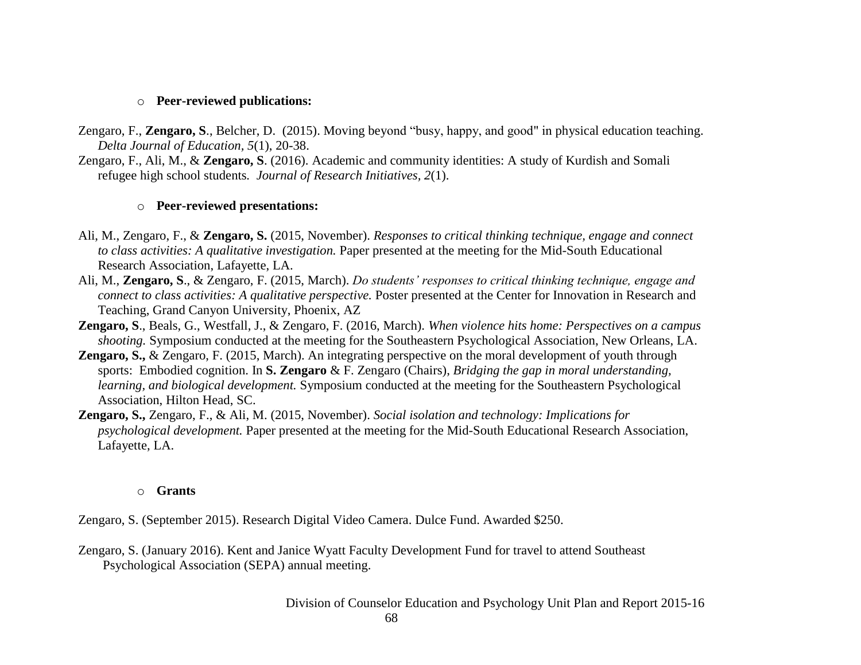#### o **Peer-reviewed publications:**

- Zengaro, F., **Zengaro, S**., Belcher, D. (2015). Moving beyond "busy, happy, and good" in physical education teaching. *Delta Journal of Education, 5*(1), 20-38.
- Zengaro, F., Ali, M., & **Zengaro, S**. (2016). Academic and community identities: A study of Kurdish and Somali refugee high school students*. Journal of Research Initiatives, 2*(1).

#### o **Peer-reviewed presentations:**

- Ali, M., Zengaro, F., & **Zengaro, S.** (2015, November). *Responses to critical thinking technique, engage and connect to class activities: A qualitative investigation.* Paper presented at the meeting for the Mid-South Educational Research Association, Lafayette, LA.
- Ali, M., **Zengaro, S**., & Zengaro, F. (2015, March). *Do students' responses to critical thinking technique, engage and connect to class activities: A qualitative perspective.* Poster presented at the Center for Innovation in Research and Teaching, Grand Canyon University, Phoenix, AZ
- **Zengaro, S**., Beals, G., Westfall, J., & Zengaro, F. (2016, March). *When violence hits home: Perspectives on a campus shooting.* Symposium conducted at the meeting for the Southeastern Psychological Association, New Orleans, LA.
- **Zengaro, S.,** & Zengaro, F. (2015, March). An integrating perspective on the moral development of youth through sports: Embodied cognition. In **S. Zengaro** & F. Zengaro (Chairs), *Bridging the gap in moral understanding, learning, and biological development.* Symposium conducted at the meeting for the Southeastern Psychological Association, Hilton Head, SC.
- **Zengaro, S.,** Zengaro, F., & Ali, M. (2015, November). *Social isolation and technology: Implications for psychological development.* Paper presented at the meeting for the Mid-South Educational Research Association, Lafayette, LA.

#### o **Grants**

Zengaro, S. (September 2015). Research Digital Video Camera. Dulce Fund. Awarded \$250.

Zengaro, S. (January 2016). Kent and Janice Wyatt Faculty Development Fund for travel to attend Southeast Psychological Association (SEPA) annual meeting.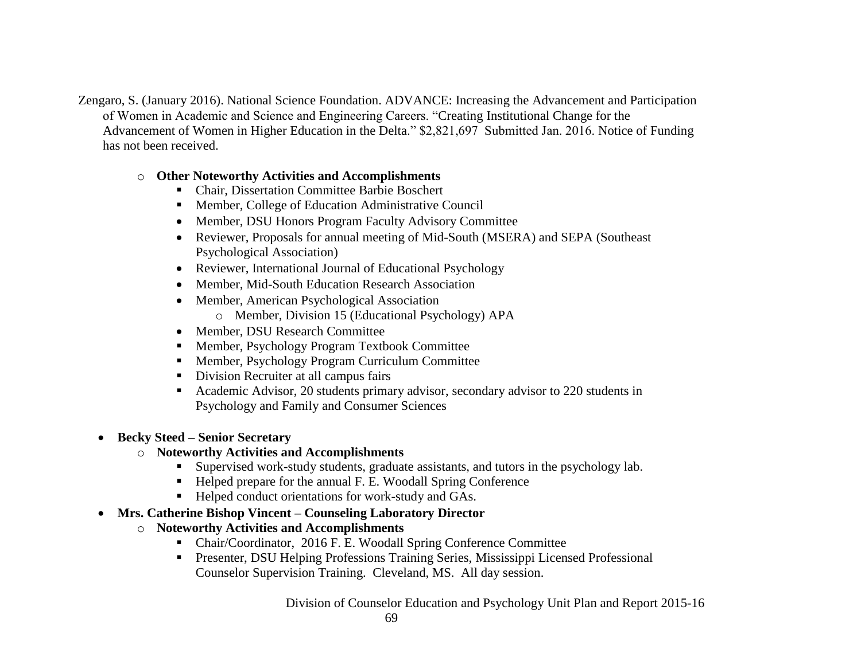Zengaro, S. (January 2016). National Science Foundation. ADVANCE: Increasing the Advancement and Participation of Women in Academic and Science and Engineering Careers. "Creating Institutional Change for the Advancement of Women in Higher Education in the Delta." \$2,821,697 Submitted Jan. 2016. Notice of Funding has not been received.

## o **Other Noteworthy Activities and Accomplishments**

- Chair, Dissertation Committee Barbie Boschert
- **Member, College of Education Administrative Council**
- Member, DSU Honors Program Faculty Advisory Committee
- Reviewer, Proposals for annual meeting of Mid-South (MSERA) and SEPA (Southeast Psychological Association)
- Reviewer, International Journal of Educational Psychology
- Member, Mid-South Education Research Association
- Member, American Psychological Association
	- o Member, Division 15 (Educational Psychology) APA
- Member, DSU Research Committee
- Member, Psychology Program Textbook Committee
- Member, Psychology Program Curriculum Committee
- Division Recruiter at all campus fairs
- Academic Advisor, 20 students primary advisor, secondary advisor to 220 students in Psychology and Family and Consumer Sciences

# **Becky Steed – Senior Secretary**

- o **Noteworthy Activities and Accomplishments**
	- Supervised work-study students, graduate assistants, and tutors in the psychology lab.
	- Helped prepare for the annual F. E. Woodall Spring Conference
	- Helped conduct orientations for work-study and GAs.
- **Mrs. Catherine Bishop Vincent – Counseling Laboratory Director**
	- o **Noteworthy Activities and Accomplishments**
		- Chair/Coordinator, 2016 F. E. Woodall Spring Conference Committee
		- Presenter, DSU Helping Professions Training Series, Mississippi Licensed Professional Counselor Supervision Training. Cleveland, MS. All day session.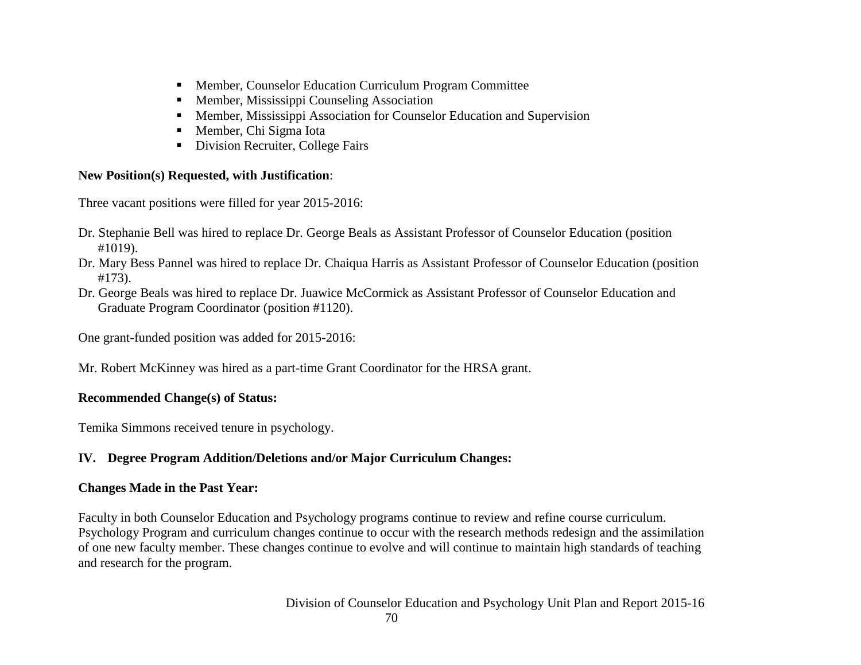- Member, Counselor Education Curriculum Program Committee
- **Member, Mississippi Counseling Association**
- Member, Mississippi Association for Counselor Education and Supervision
- Member, Chi Sigma Iota
- Division Recruiter, College Fairs

# **New Position(s) Requested, with Justification**:

Three vacant positions were filled for year 2015-2016:

- Dr. Stephanie Bell was hired to replace Dr. George Beals as Assistant Professor of Counselor Education (position #1019).
- Dr. Mary Bess Pannel was hired to replace Dr. Chaiqua Harris as Assistant Professor of Counselor Education (position #173).
- Dr. George Beals was hired to replace Dr. Juawice McCormick as Assistant Professor of Counselor Education and Graduate Program Coordinator (position #1120).

One grant-funded position was added for 2015-2016:

Mr. Robert McKinney was hired as a part-time Grant Coordinator for the HRSA grant.

# **Recommended Change(s) of Status:**

Temika Simmons received tenure in psychology.

# **IV. Degree Program Addition/Deletions and/or Major Curriculum Changes:**

# **Changes Made in the Past Year:**

Faculty in both Counselor Education and Psychology programs continue to review and refine course curriculum. Psychology Program and curriculum changes continue to occur with the research methods redesign and the assimilation of one new faculty member. These changes continue to evolve and will continue to maintain high standards of teaching and research for the program.